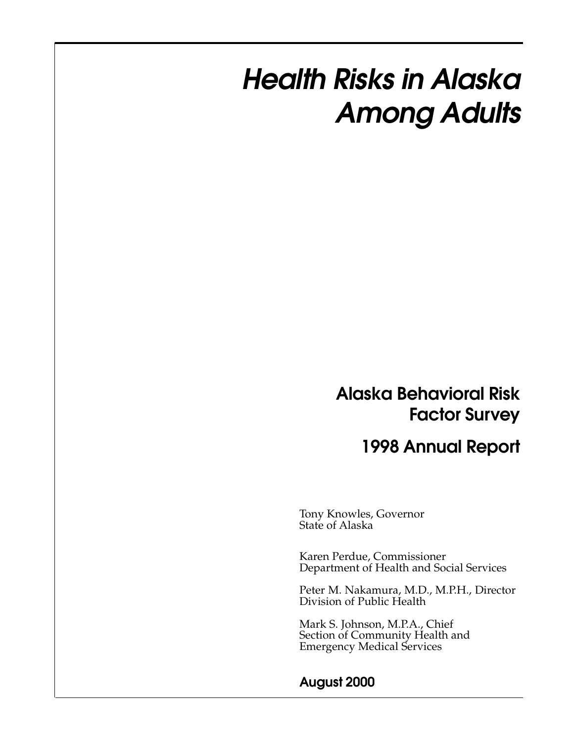# **Health Risks in Alaska Among Adults**

# **Alaska Behavioral Risk Factor Survey**

# **1998 Annual Report**

Tony Knowles, Governor State of Alaska

Karen Perdue, Commissioner Department of Health and Social Services

Peter M. Nakamura, M.D., M.P.H., Director Division of Public Health

Mark S. Johnson, M.P.A., Chief Section of Community Health and Emergency Medical Services

#### **August 2000**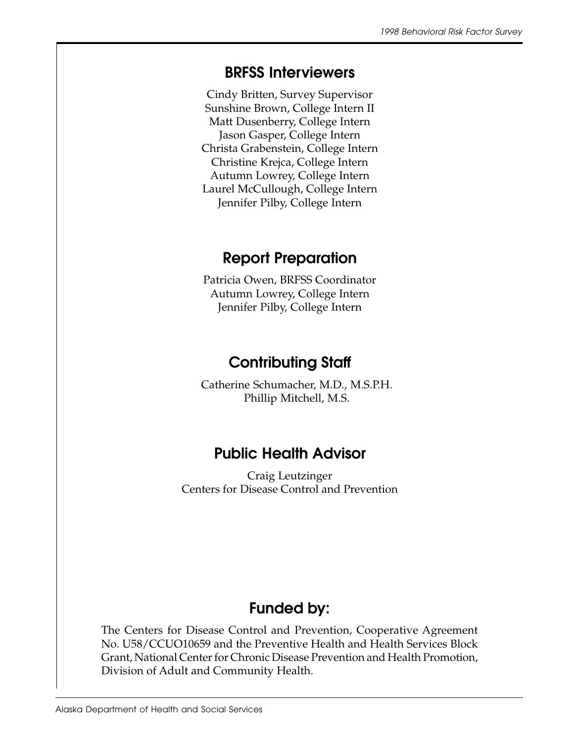## **BRFSS Interviewers**

Cindy Britten, Survey Supervisor Sunshine Brown, College Intern II Matt Dusenberry, College Intern Jason Gasper, College Intern Christa Grabenstein, College Intern Christine Krejca, College Intern Autumn Lowrey, College Intern Laurel McCullough, College Intern Jennifer Pilby, College Intern

## **Report Preparation**

Patricia Owen, BRFSS Coordinator Autumn Lowrey, College Intern Jennifer Pilby, College Intern

# **Contributing Staff**

Catherine Schumacher, M.D., M.S.P.H. Phillip Mitchell, M.S.

# **Public Health Advisor**

Craig Leutzinger Centers for Disease Control and Prevention

# **Funded by:**

The Centers for Disease Control and Prevention, Cooperative Agreement No. U58/CCUO10659 and the Preventive Health and Health Services Block Grant, National Center for Chronic Disease Prevention and Health Promotion, Division of Adult and Community Health.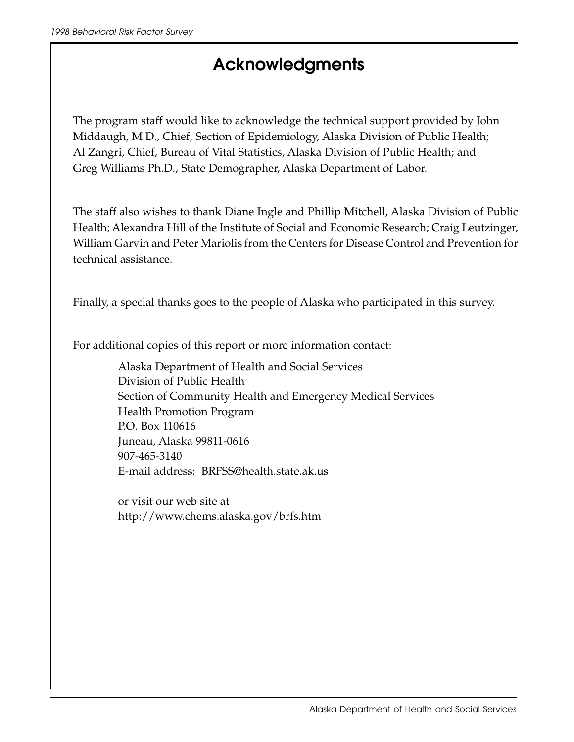# **Acknowledgments**

The program staff would like to acknowledge the technical support provided by John Middaugh, M.D., Chief, Section of Epidemiology, Alaska Division of Public Health; Al Zangri, Chief, Bureau of Vital Statistics, Alaska Division of Public Health; and Greg Williams Ph.D., State Demographer, Alaska Department of Labor.

The staff also wishes to thank Diane Ingle and Phillip Mitchell, Alaska Division of Public Health; Alexandra Hill of the Institute of Social and Economic Research; Craig Leutzinger, William Garvin and Peter Mariolis from the Centers for Disease Control and Prevention for technical assistance.

Finally, a special thanks goes to the people of Alaska who participated in this survey.

For additional copies of this report or more information contact:

Alaska Department of Health and Social Services Division of Public Health Section of Community Health and Emergency Medical Services Health Promotion Program P.O. Box 110616 Juneau, Alaska 99811-0616 907-465-3140 E-mail address: BRFSS@health.state.ak.us

or visit our web site at http://www.chems.alaska.gov/brfs.htm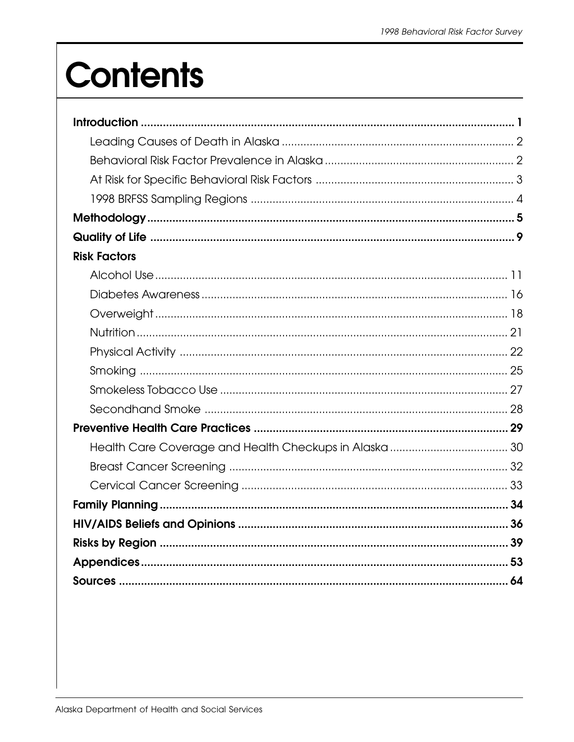# **Contents**

| <b>Risk Factors</b> |  |
|---------------------|--|
|                     |  |
|                     |  |
|                     |  |
|                     |  |
|                     |  |
|                     |  |
|                     |  |
|                     |  |
|                     |  |
|                     |  |
|                     |  |
|                     |  |
|                     |  |
|                     |  |
|                     |  |
|                     |  |
|                     |  |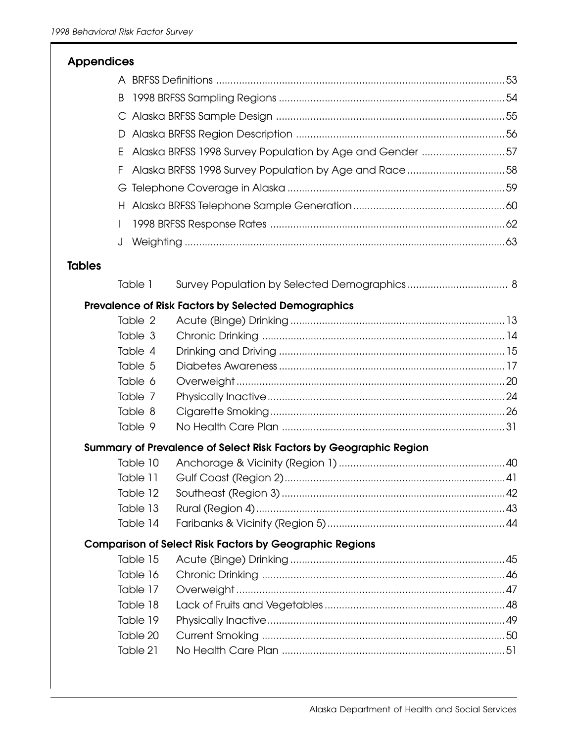| <b>Appendices</b> |          |                                                                   |  |
|-------------------|----------|-------------------------------------------------------------------|--|
|                   |          |                                                                   |  |
|                   | B        |                                                                   |  |
|                   | С        |                                                                   |  |
|                   | D        |                                                                   |  |
|                   | E.       | Alaska BRFSS 1998 Survey Population by Age and Gender 57          |  |
|                   | F        | Alaska BRFSS 1998 Survey Population by Age and Race 58            |  |
|                   |          |                                                                   |  |
|                   | H.       |                                                                   |  |
|                   |          |                                                                   |  |
|                   |          |                                                                   |  |
|                   |          |                                                                   |  |
| <b>Tables</b>     |          |                                                                   |  |
|                   | Table 1  |                                                                   |  |
|                   |          | Prevalence of Risk Factors by Selected Demographics               |  |
|                   | Table 2  |                                                                   |  |
|                   | Table 3  |                                                                   |  |
|                   | Table 4  |                                                                   |  |
|                   | Table 5  |                                                                   |  |
|                   | Table 6  |                                                                   |  |
|                   | Table 7  |                                                                   |  |
|                   | Table 8  |                                                                   |  |
|                   | Table 9  |                                                                   |  |
|                   |          | Summary of Prevalence of Select Risk Factors by Geographic Region |  |
|                   | Table 10 |                                                                   |  |
|                   |          |                                                                   |  |
|                   | Table 12 |                                                                   |  |
|                   | Table 13 |                                                                   |  |
|                   | Table 14 |                                                                   |  |
|                   |          | <b>Comparison of Select Risk Factors by Geographic Regions</b>    |  |
|                   | Table 15 |                                                                   |  |
|                   | Table 16 |                                                                   |  |
|                   | Table 17 |                                                                   |  |
|                   | Table 18 |                                                                   |  |
|                   | Table 19 |                                                                   |  |
|                   | Table 20 |                                                                   |  |
|                   | Table 21 |                                                                   |  |
|                   |          |                                                                   |  |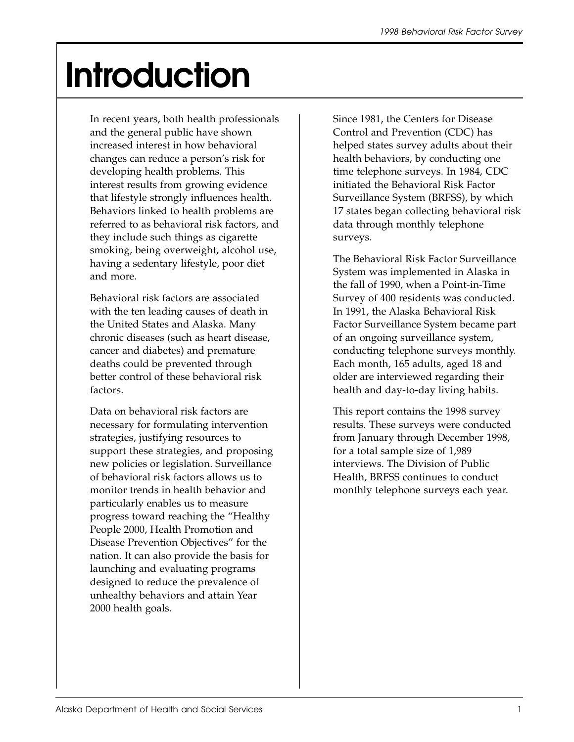# **Introduction**

In recent years, both health professionals and the general public have shown increased interest in how behavioral changes can reduce a person's risk for developing health problems. This interest results from growing evidence that lifestyle strongly influences health. Behaviors linked to health problems are referred to as behavioral risk factors, and they include such things as cigarette smoking, being overweight, alcohol use, having a sedentary lifestyle, poor diet and more.

Behavioral risk factors are associated with the ten leading causes of death in the United States and Alaska. Many chronic diseases (such as heart disease, cancer and diabetes) and premature deaths could be prevented through better control of these behavioral risk factors.

Data on behavioral risk factors are necessary for formulating intervention strategies, justifying resources to support these strategies, and proposing new policies or legislation. Surveillance of behavioral risk factors allows us to monitor trends in health behavior and particularly enables us to measure progress toward reaching the "Healthy People 2000, Health Promotion and Disease Prevention Objectives" for the nation. It can also provide the basis for launching and evaluating programs designed to reduce the prevalence of unhealthy behaviors and attain Year 2000 health goals.

Since 1981, the Centers for Disease Control and Prevention (CDC) has helped states survey adults about their health behaviors, by conducting one time telephone surveys. In 1984, CDC initiated the Behavioral Risk Factor Surveillance System (BRFSS), by which 17 states began collecting behavioral risk data through monthly telephone surveys.

The Behavioral Risk Factor Surveillance System was implemented in Alaska in the fall of 1990, when a Point-in-Time Survey of 400 residents was conducted. In 1991, the Alaska Behavioral Risk Factor Surveillance System became part of an ongoing surveillance system, conducting telephone surveys monthly. Each month, 165 adults, aged 18 and older are interviewed regarding their health and day-to-day living habits.

This report contains the 1998 survey results. These surveys were conducted from January through December 1998, for a total sample size of 1,989 interviews. The Division of Public Health, BRFSS continues to conduct monthly telephone surveys each year.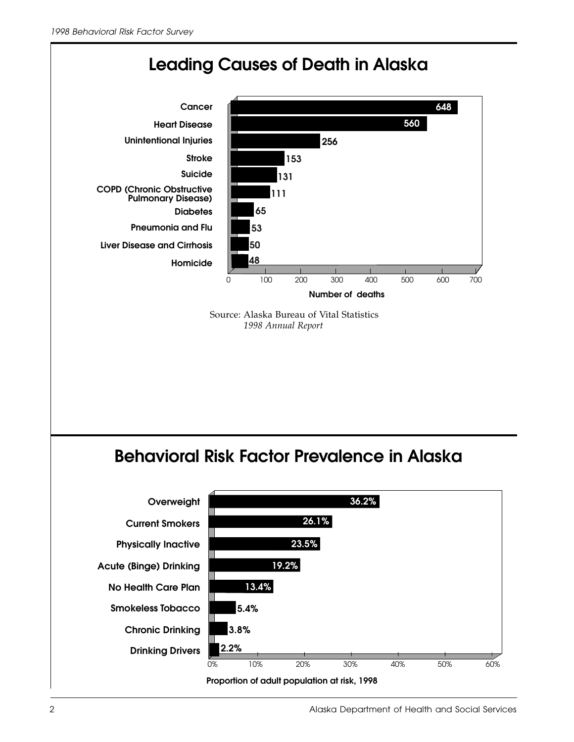# **Leading Causes of Death in Alaska**



**Smokeless Tobacco No Health Care Plan Acute (Binge) Drinking**

**Drinking Drivers Chronic Drinking 2.2% 3.8%**



0% 50% 60% 10% 30% 20% 40%

**Proportion of adult population at risk, 1998**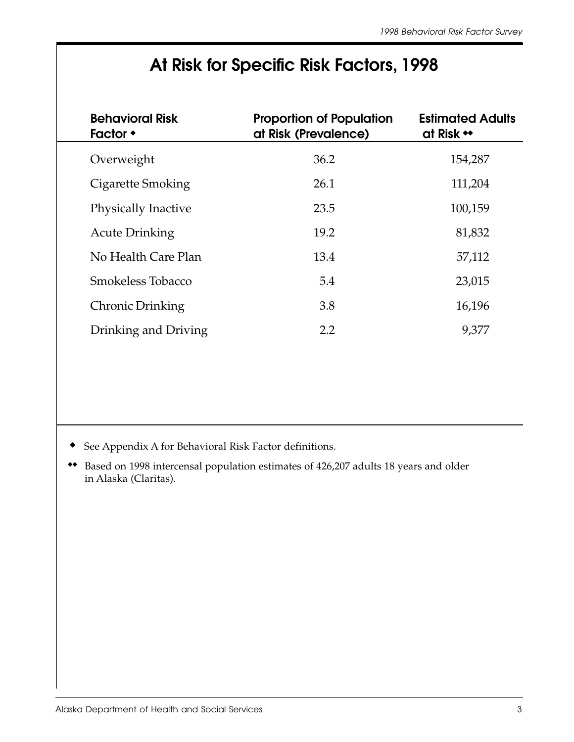| <b>Behavioral Risk</b><br><b>Factor *</b> | <b>Proportion of Population</b><br>at Risk (Prevalence) | <b>Estimated Adults</b><br>at Risk ** |
|-------------------------------------------|---------------------------------------------------------|---------------------------------------|
| Overweight                                | 36.2                                                    | 154,287                               |
| Cigarette Smoking                         | 26.1                                                    | 111,204                               |
| <b>Physically Inactive</b>                | 23.5                                                    | 100,159                               |
| <b>Acute Drinking</b>                     | 19.2                                                    | 81,832                                |
| No Health Care Plan                       | 13.4                                                    | 57,112                                |
| Smokeless Tobacco                         | 5.4                                                     | 23,015                                |
| Chronic Drinking                          | 3.8                                                     | 16,196                                |
| Drinking and Driving                      | 2.2                                                     | 9,377                                 |

# **At Risk for Specific Risk Factors, 1998**

◆ See Appendix A for Behavioral Risk Factor definitions.

◆◆ Based on 1998 intercensal population estimates of 426,207 adults 18 years and older in Alaska (Claritas).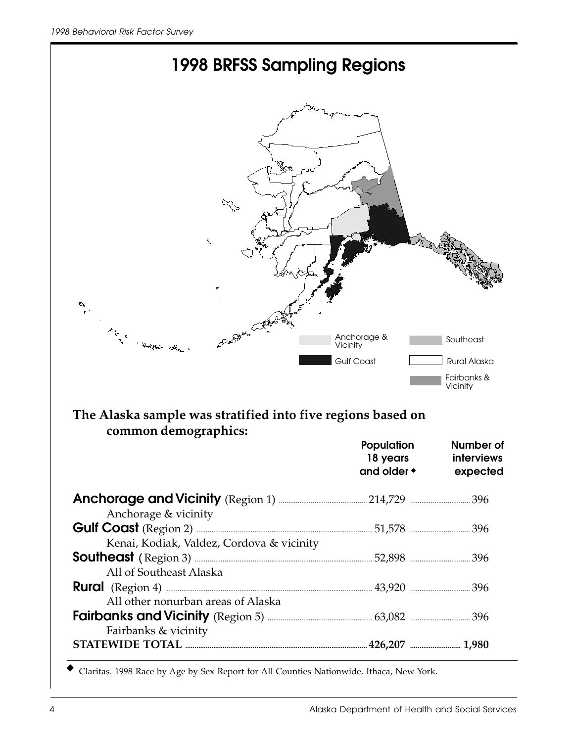

|                                                                  | Population<br>18 years<br>and older $\bullet$ | Number of<br>interviews<br>expected |
|------------------------------------------------------------------|-----------------------------------------------|-------------------------------------|
|                                                                  |                                               |                                     |
| Anchorage & vicinity                                             |                                               |                                     |
| <b>Gulf Coast</b> (Region 2) <b><i>manufacture 1996</i></b> 1996 |                                               |                                     |
| Kenai, Kodiak, Valdez, Cordova & vicinity                        |                                               |                                     |
|                                                                  |                                               |                                     |
| All of Southeast Alaska                                          |                                               |                                     |
|                                                                  |                                               |                                     |
| All other nonurban areas of Alaska                               |                                               |                                     |
|                                                                  |                                               |                                     |
| Fairbanks & vicinity                                             |                                               |                                     |
|                                                                  |                                               |                                     |

Claritas. 1998 Race by Age by Sex Report for All Counties Nationwide. Ithaca, New York.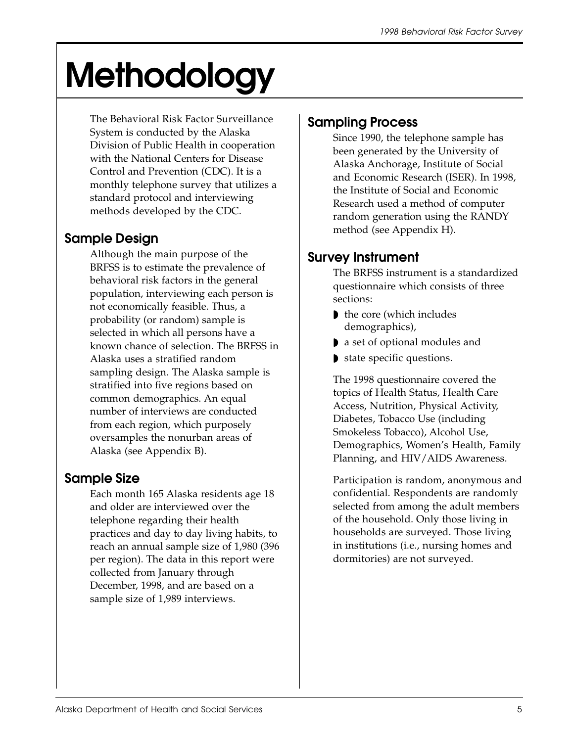# **Methodology**

The Behavioral Risk Factor Surveillance System is conducted by the Alaska Division of Public Health in cooperation with the National Centers for Disease Control and Prevention (CDC). It is a monthly telephone survey that utilizes a standard protocol and interviewing methods developed by the CDC.

## **Sample Design**

Although the main purpose of the BRFSS is to estimate the prevalence of behavioral risk factors in the general population, interviewing each person is not economically feasible. Thus, a probability (or random) sample is selected in which all persons have a known chance of selection. The BRFSS in Alaska uses a stratified random sampling design. The Alaska sample is stratified into five regions based on common demographics. An equal number of interviews are conducted from each region, which purposely oversamples the nonurban areas of Alaska (see Appendix B).

## **Sample Size**

Each month 165 Alaska residents age 18 and older are interviewed over the telephone regarding their health practices and day to day living habits, to reach an annual sample size of 1,980 (396 per region). The data in this report were collected from January through December, 1998, and are based on a sample size of 1,989 interviews.

## **Sampling Process**

Since 1990, the telephone sample has been generated by the University of Alaska Anchorage, Institute of Social and Economic Research (ISER). In 1998, the Institute of Social and Economic Research used a method of computer random generation using the RANDY method (see Appendix H).

## **Survey Instrument**

The BRFSS instrument is a standardized questionnaire which consists of three sections:

- ◗ the core (which includes demographics),
- ◗ a set of optional modules and
- state specific questions.

The 1998 questionnaire covered the topics of Health Status, Health Care Access, Nutrition, Physical Activity, Diabetes, Tobacco Use (including Smokeless Tobacco), Alcohol Use, Demographics, Women's Health, Family Planning, and HIV/AIDS Awareness.

Participation is random, anonymous and confidential. Respondents are randomly selected from among the adult members of the household. Only those living in households are surveyed. Those living in institutions (i.e., nursing homes and dormitories) are not surveyed.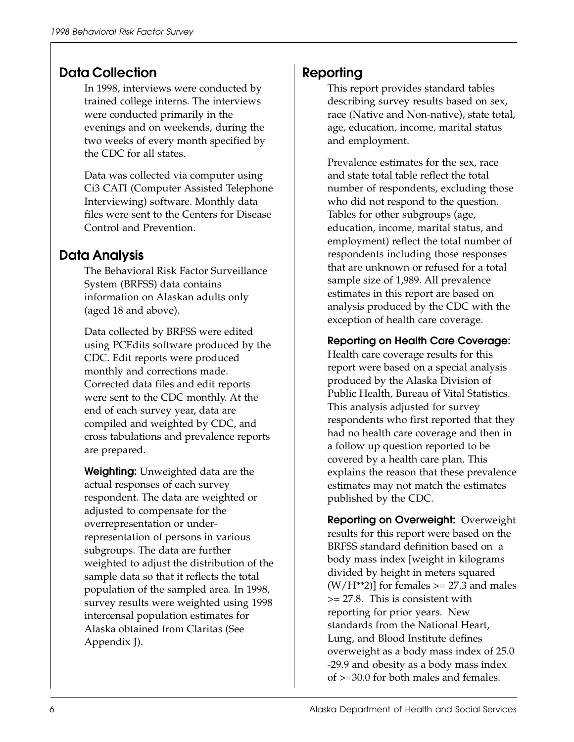## **Data Collection**

In 1998, interviews were conducted by trained college interns. The interviews were conducted primarily in the evenings and on weekends, during the two weeks of every month specified by the CDC for all states.

Data was collected via computer using Ci3 CATI (Computer Assisted Telephone Interviewing) software. Monthly data files were sent to the Centers for Disease Control and Prevention.

## **Data Analysis**

The Behavioral Risk Factor Surveillance System (BRFSS) data contains information on Alaskan adults only (aged 18 and above).

Data collected by BRFSS were edited using PCEdits software produced by the CDC. Edit reports were produced monthly and corrections made. Corrected data files and edit reports were sent to the CDC monthly. At the end of each survey year, data are compiled and weighted by CDC, and cross tabulations and prevalence reports are prepared.

**Weighting:** Unweighted data are the actual responses of each survey respondent. The data are weighted or adjusted to compensate for the overrepresentation or underrepresentation of persons in various subgroups. The data are further weighted to adjust the distribution of the sample data so that it reflects the total population of the sampled area. In 1998, survey results were weighted using 1998 intercensal population estimates for Alaska obtained from Claritas (See Appendix J).

## **Reporting**

This report provides standard tables describing survey results based on sex, race (Native and Non-native), state total, age, education, income, marital status and employment.

Prevalence estimates for the sex, race and state total table reflect the total number of respondents, excluding those who did not respond to the question. Tables for other subgroups (age, education, income, marital status, and employment) reflect the total number of respondents including those responses that are unknown or refused for a total sample size of 1,989. All prevalence estimates in this report are based on analysis produced by the CDC with the exception of health care coverage.

#### **Reporting on Health Care Coverage:**

Health care coverage results for this report were based on a special analysis produced by the Alaska Division of Public Health, Bureau of Vital Statistics. This analysis adjusted for survey respondents who first reported that they had no health care coverage and then in a follow up question reported to be covered by a health care plan. This explains the reason that these prevalence estimates may not match the estimates published by the CDC.

**Reporting on Overweight:** Overweight results for this report were based on the BRFSS standard definition based on a body mass index [weight in kilograms divided by height in meters squared  $(W/H^{**}2)$ ] for females >= 27.3 and males >= 27.8. This is consistent with reporting for prior years. New standards from the National Heart, Lung, and Blood Institute defines overweight as a body mass index of 25.0 -29.9 and obesity as a body mass index of >=30.0 for both males and females.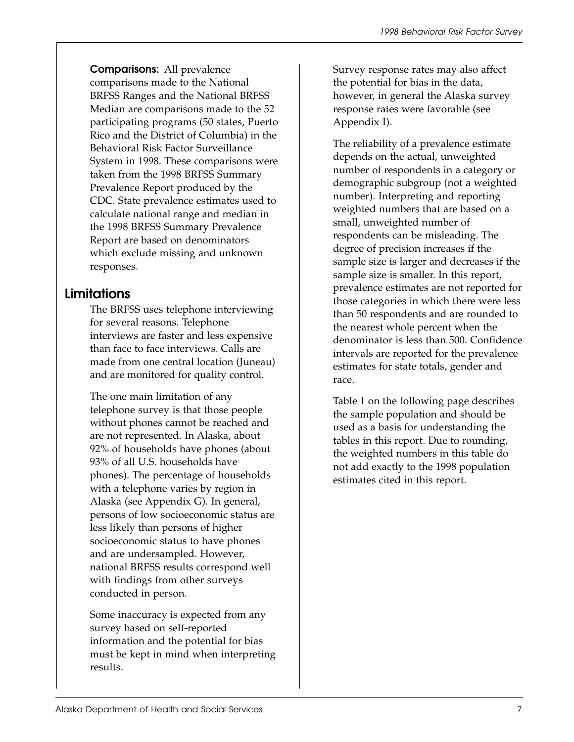**Comparisons:** All prevalence comparisons made to the National BRFSS Ranges and the National BRFSS Median are comparisons made to the 52 participating programs (50 states, Puerto Rico and the District of Columbia) in the Behavioral Risk Factor Surveillance System in 1998. These comparisons were taken from the 1998 BRFSS Summary Prevalence Report produced by the CDC. State prevalence estimates used to calculate national range and median in the 1998 BRFSS Summary Prevalence Report are based on denominators which exclude missing and unknown responses.

## **Limitations**

The BRFSS uses telephone interviewing for several reasons. Telephone interviews are faster and less expensive than face to face interviews. Calls are made from one central location (Juneau) and are monitored for quality control.

The one main limitation of any telephone survey is that those people without phones cannot be reached and are not represented. In Alaska, about 92% of households have phones (about 93% of all U.S. households have phones). The percentage of households with a telephone varies by region in Alaska (see Appendix G). In general, persons of low socioeconomic status are less likely than persons of higher socioeconomic status to have phones and are undersampled. However, national BRFSS results correspond well with findings from other surveys conducted in person.

Some inaccuracy is expected from any survey based on self-reported information and the potential for bias must be kept in mind when interpreting results.

Survey response rates may also affect the potential for bias in the data, however, in general the Alaska survey response rates were favorable (see Appendix I).

The reliability of a prevalence estimate depends on the actual, unweighted number of respondents in a category or demographic subgroup (not a weighted number). Interpreting and reporting weighted numbers that are based on a small, unweighted number of respondents can be misleading. The degree of precision increases if the sample size is larger and decreases if the sample size is smaller. In this report, prevalence estimates are not reported for those categories in which there were less than 50 respondents and are rounded to the nearest whole percent when the denominator is less than 500. Confidence intervals are reported for the prevalence estimates for state totals, gender and race.

Table 1 on the following page describes the sample population and should be used as a basis for understanding the tables in this report. Due to rounding, the weighted numbers in this table do not add exactly to the 1998 population estimates cited in this report.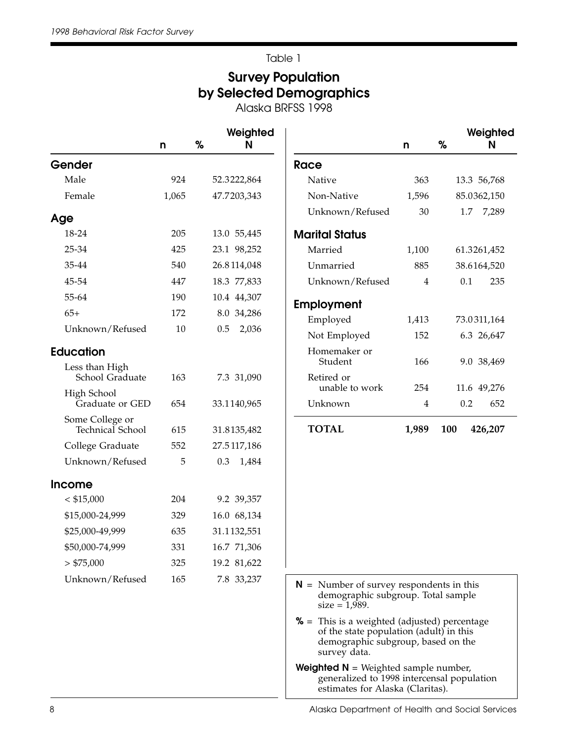# **Survey Population by Selected Demographics**

|                                       | n      | % | Weighted<br>N |                                                                                                                                               | n              | % |     | Weighted<br>N             |
|---------------------------------------|--------|---|---------------|-----------------------------------------------------------------------------------------------------------------------------------------------|----------------|---|-----|---------------------------|
| Gender                                |        |   |               | <b>Race</b>                                                                                                                                   |                |   |     |                           |
| Male                                  | 924    |   | 52.3222,864   | Native                                                                                                                                        | 363            |   |     | 13.3 56,768               |
| Female                                | 1,065  |   | 47.7203,343   | Non-Native                                                                                                                                    | 1,596          |   |     | 85.0362,150               |
| Age                                   |        |   |               | Unknown/Refused                                                                                                                               | 30             |   | 1.7 | 7,289                     |
| 18-24                                 | 205    |   | 13.0 55,445   | <b>Marital Status</b>                                                                                                                         |                |   |     |                           |
| 25-34                                 | 425    |   | 23.1 98,252   | Married                                                                                                                                       | 1,100          |   |     | 61.3261,452               |
| 35-44                                 | 540    |   | 26.8114,048   | Unmarried                                                                                                                                     | 885            |   |     | 38.6164,520               |
| 45-54                                 | 447    |   | 18.3 77,833   | Unknown/Refused                                                                                                                               | $\overline{4}$ |   | 0.1 | 235                       |
| 55-64                                 | 190    |   | 10.4 44,307   |                                                                                                                                               |                |   |     |                           |
| $65+$                                 | 172    |   | 8.0 34,286    | Employment<br>Employed                                                                                                                        |                |   |     |                           |
| Unknown/Refused                       | $10\,$ |   | 2,036<br>0.5  |                                                                                                                                               | 1,413<br>152   |   |     | 73.0311,164<br>6.3 26,647 |
| <b>Education</b>                      |        |   |               | Not Employed<br>Homemaker or<br>Student                                                                                                       | 166            |   |     | 9.0 38,469                |
| Less than High<br>School Graduate     | 163    |   | 7.3 31,090    | Retired or<br>unable to work                                                                                                                  | 254            |   |     |                           |
| <b>High School</b><br>Graduate or GED | 654    |   | 33.1140,965   | Unknown                                                                                                                                       | 4              |   | 0.2 | 11.6 49,276<br>652        |
| Some College or<br>Technical School   | 615    |   | 31.8135,482   | <b>TOTAL</b>                                                                                                                                  | 1,989          |   | 100 | 426,207                   |
| College Graduate                      | 552    |   | 27.5117,186   |                                                                                                                                               |                |   |     |                           |
| Unknown/Refused                       | 5      |   | 1,484<br>0.3  |                                                                                                                                               |                |   |     |                           |
| Income                                |        |   |               |                                                                                                                                               |                |   |     |                           |
| $<$ \$15,000                          | 204    |   | 9.2 39,357    |                                                                                                                                               |                |   |     |                           |
| \$15,000-24,999                       | 329    |   | 16.0 68,134   |                                                                                                                                               |                |   |     |                           |
| \$25,000-49,999                       | 635    |   | 31.1132,551   |                                                                                                                                               |                |   |     |                           |
| \$50,000-74,999                       | 331    |   | 16.7 71,306   |                                                                                                                                               |                |   |     |                           |
| $>$ \$75,000                          | 325    |   | 19.2 81,622   |                                                                                                                                               |                |   |     |                           |
| Unknown/Refused                       | 165    |   | 7.8 33,237    | $N =$ Number of survey respondents in this<br>demographic subgroup. Total sample<br>$size = 1,989.$                                           |                |   |     |                           |
|                                       |        |   |               | % = This is a weighted (adjusted) percentage<br>of the state population (adult) in this<br>demographic subgroup, based on the<br>survey data. |                |   |     |                           |
|                                       |        |   |               | <b>Weighted <math>N = Weighted sample number</math></b> ,<br>generalized to 1998 intercensal population<br>estimates for Alaska (Claritas).   |                |   |     |                           |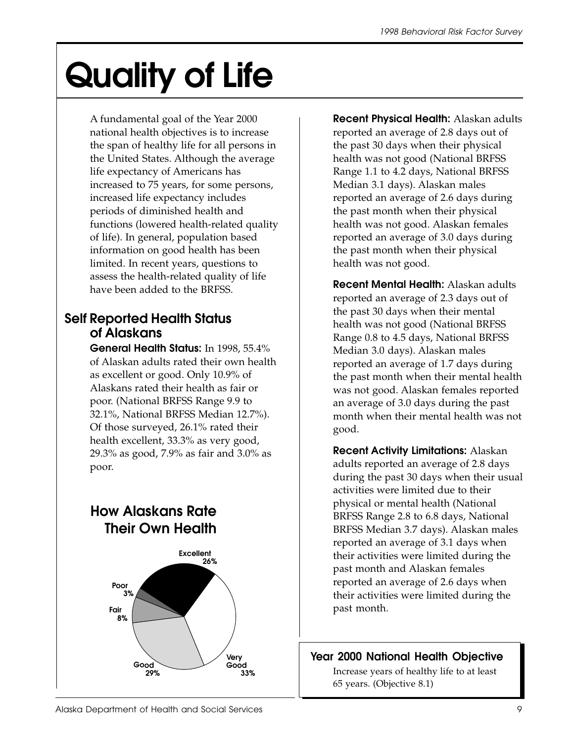# **Quality of Life**

A fundamental goal of the Year 2000 national health objectives is to increase the span of healthy life for all persons in the United States. Although the average life expectancy of Americans has increased to 75 years, for some persons, increased life expectancy includes periods of diminished health and functions (lowered health-related quality of life). In general, population based information on good health has been limited. In recent years, questions to assess the health-related quality of life have been added to the BRFSS.

## **Self Reported Health Status of Alaskans**

**General Health Status:** In 1998, 55.4% of Alaskan adults rated their own health as excellent or good. Only 10.9% of Alaskans rated their health as fair or poor. (National BRFSS Range 9.9 to 32.1%, National BRFSS Median 12.7%). Of those surveyed, 26.1% rated their health excellent, 33.3% as very good, 29.3% as good, 7.9% as fair and 3.0% as poor.

## **Excellent 26% How Alaskans Rate Their Own Health**



**Recent Physical Health:** Alaskan adults reported an average of 2.8 days out of the past 30 days when their physical health was not good (National BRFSS Range 1.1 to 4.2 days, National BRFSS Median 3.1 days). Alaskan males reported an average of 2.6 days during the past month when their physical health was not good. Alaskan females reported an average of 3.0 days during the past month when their physical health was not good.

**Recent Mental Health:** Alaskan adults reported an average of 2.3 days out of the past 30 days when their mental health was not good (National BRFSS Range 0.8 to 4.5 days, National BRFSS Median 3.0 days). Alaskan males reported an average of 1.7 days during the past month when their mental health was not good. Alaskan females reported an average of 3.0 days during the past month when their mental health was not good.

**Recent Activity Limitations:** Alaskan adults reported an average of 2.8 days during the past 30 days when their usual activities were limited due to their physical or mental health (National BRFSS Range 2.8 to 6.8 days, National BRFSS Median 3.7 days). Alaskan males reported an average of 3.1 days when their activities were limited during the past month and Alaskan females reported an average of 2.6 days when their activities were limited during the past month.

### **Year 2000 National Health Objective**

Increase years of healthy life to at least 65 years. (Objective 8.1)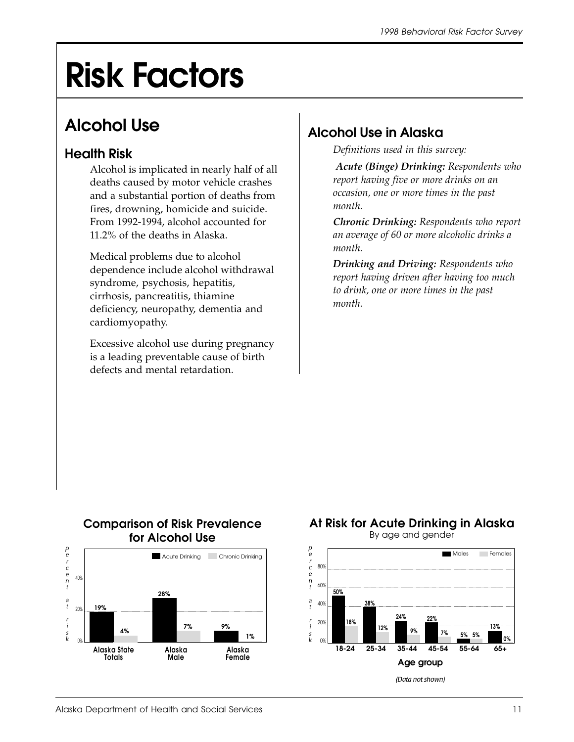# **Risk Factors**

# **Alcohol Use**

## **Health Risk**

Alcohol is implicated in nearly half of all deaths caused by motor vehicle crashes and a substantial portion of deaths from fires, drowning, homicide and suicide. From 1992-1994, alcohol accounted for 11.2% of the deaths in Alaska.

Medical problems due to alcohol dependence include alcohol withdrawal syndrome, psychosis, hepatitis, cirrhosis, pancreatitis, thiamine deficiency, neuropathy, dementia and cardiomyopathy.

Excessive alcohol use during pregnancy is a leading preventable cause of birth defects and mental retardation.

# **Alcohol Use in Alaska**

*Definitions used in this survey:*

 *Acute (Binge) Drinking: Respondents who report having five or more drinks on an occasion, one or more times in the past month.*

*Chronic Drinking: Respondents who report an average of 60 or more alcoholic drinks a month.*

*Drinking and Driving: Respondents who report having driven after having too much to drink, one or more times in the past month.*



**19%**

*a t r i s k* 0%

20%

**Alaska State Totals**

#### **Comparison of Risk Prevalence for Alcohol Use**

**Alaska Male**

**9% 4%**

**7%**

**Alaska Female**

#### **At Risk for Acute Drinking in Alaska** By age and gender

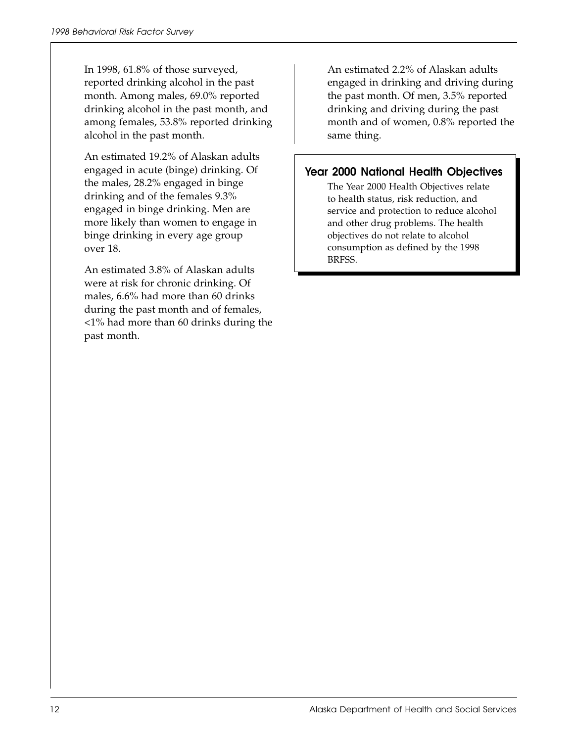In 1998, 61.8% of those surveyed, reported drinking alcohol in the past month. Among males, 69.0% reported drinking alcohol in the past month, and among females, 53.8% reported drinking alcohol in the past month.

An estimated 19.2% of Alaskan adults engaged in acute (binge) drinking. Of the males, 28.2% engaged in binge drinking and of the females 9.3% engaged in binge drinking. Men are more likely than women to engage in binge drinking in every age group over 18.

An estimated 3.8% of Alaskan adults were at risk for chronic drinking. Of males, 6.6% had more than 60 drinks during the past month and of females, <1% had more than 60 drinks during the past month.

An estimated 2.2% of Alaskan adults engaged in drinking and driving during the past month. Of men, 3.5% reported drinking and driving during the past month and of women, 0.8% reported the same thing.

#### **Year 2000 National Health Objectives**

The Year 2000 Health Objectives relate to health status, risk reduction, and service and protection to reduce alcohol and other drug problems. The health objectives do not relate to alcohol consumption as defined by the 1998 BRFSS.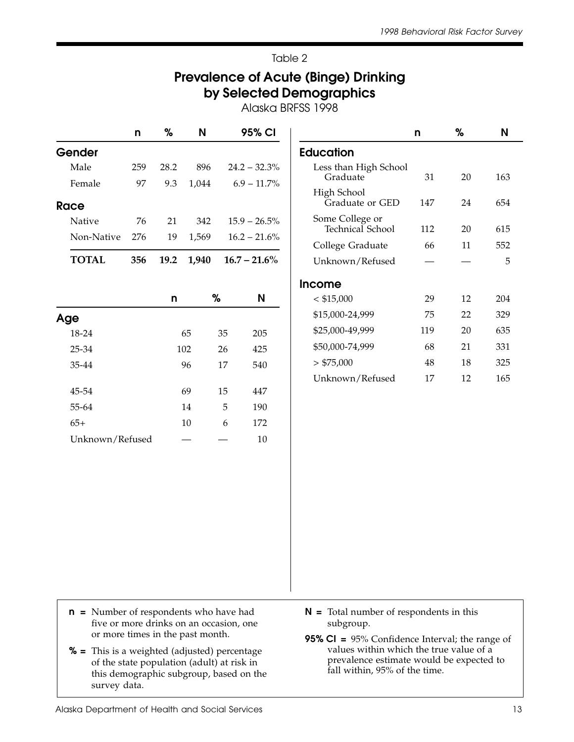## **Prevalence of Acute (Binge) Drinking by Selected Demographics**

|                                                 | n   | %    | N     |                  | 95% CI          |                                                          | n   | %  | N   |
|-------------------------------------------------|-----|------|-------|------------------|-----------------|----------------------------------------------------------|-----|----|-----|
| Gender                                          |     |      |       |                  |                 | <b>Education</b>                                         |     |    |     |
| Male                                            | 259 | 28.2 | 896   |                  | $24.2 - 32.3\%$ | Less than High School                                    |     |    |     |
| Female                                          | 97  | 9.3  | 1,044 |                  | $6.9 - 11.7\%$  | Graduate                                                 | 31  | 20 | 163 |
| <b>Race</b>                                     |     |      |       |                  |                 | High School<br>Graduate or GED                           | 147 | 24 | 654 |
| Native                                          | 76  | 21   | 342   |                  | $15.9 - 26.5\%$ | Some College or                                          |     |    |     |
| Non-Native                                      | 276 | 19   | 1,569 |                  | $16.2-21.6\%$   | Technical School                                         | 112 | 20 | 615 |
|                                                 |     |      |       |                  |                 | College Graduate                                         | 66  | 11 | 552 |
| <b>TOTAL</b>                                    | 356 | 19.2 | 1,940 |                  | $16.7 - 21.6\%$ | Unknown/Refused                                          |     |    | 5   |
|                                                 |     |      |       |                  |                 | Income                                                   |     |    |     |
|                                                 |     | n    |       | $\%$             | $\mathsf{N}$    | $<$ \$15,000                                             | 29  | 12 | 204 |
| Age                                             |     |      |       |                  |                 | \$15,000-24,999                                          | 75  | 22 | 329 |
| 18-24                                           |     |      | 65    | 35               | 205             | \$25,000-49,999                                          | 119 | 20 | 635 |
| 25-34                                           |     |      | 102   | 26               | 425             | \$50,000-74,999                                          | 68  | 21 | 331 |
| 35-44                                           |     |      | 96    | $17\,$           | 540             | > \$75,000                                               | 48  | 18 | 325 |
|                                                 |     |      |       |                  |                 | Unknown/Refused                                          | 17  | 12 | 165 |
| 45-54                                           |     |      | 69    | 15               | 447             |                                                          |     |    |     |
| 55-64                                           |     |      | 14    | 5                | 190             |                                                          |     |    |     |
| $65+$                                           |     |      | 10    | $\boldsymbol{6}$ | 172             |                                                          |     |    |     |
| Unknown/Refused                                 |     |      |       |                  | $10\,$          |                                                          |     |    |     |
|                                                 |     |      |       |                  |                 |                                                          |     |    |     |
|                                                 |     |      |       |                  |                 |                                                          |     |    |     |
|                                                 |     |      |       |                  |                 |                                                          |     |    |     |
|                                                 |     |      |       |                  |                 |                                                          |     |    |     |
|                                                 |     |      |       |                  |                 |                                                          |     |    |     |
|                                                 |     |      |       |                  |                 |                                                          |     |    |     |
|                                                 |     |      |       |                  |                 |                                                          |     |    |     |
|                                                 |     |      |       |                  |                 |                                                          |     |    |     |
|                                                 |     |      |       |                  |                 |                                                          |     |    |     |
|                                                 |     |      |       |                  |                 |                                                          |     |    |     |
| $n =$ Number of respondents who have had        |     |      |       |                  |                 | $N =$ Total number of respondents in this                |     |    |     |
| five or more drinks on an occasion, one         |     |      |       |                  |                 | subgroup.                                                |     |    |     |
| or more times in the past month.                |     |      |       |                  |                 | <b>95% Cl =</b> $95\%$ Confidence Interval; the range of |     |    |     |
| $\%$ = This is a weighted (adjusted) percentage |     |      |       |                  |                 | values within which the true value of a                  |     |    |     |

- **% =** This is a weighted (adjusted) percentage of the state population (adult) at risk in this demographic subgroup, based on the survey data.
- values within which the true value of a prevalence estimate would be expected to fall within, 95% of the time.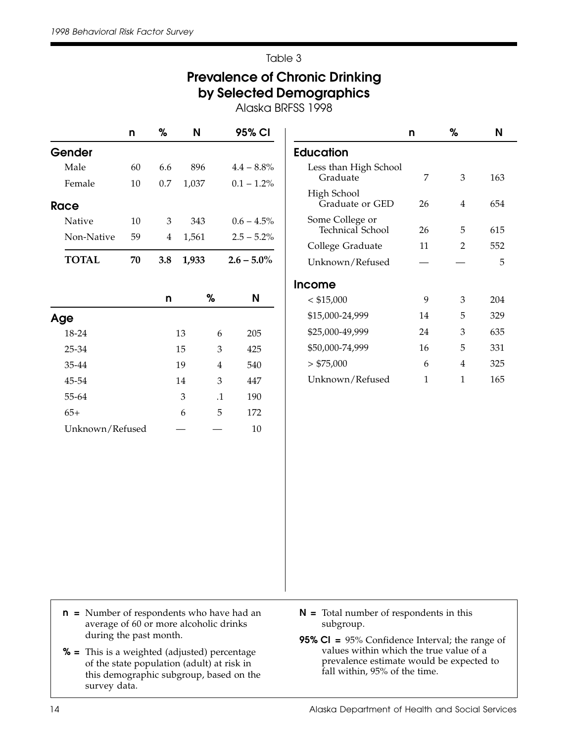## **Prevalence of Chronic Drinking by Selected Demographics**

|              | n  | ℅       | N     |                | 95% CI        |
|--------------|----|---------|-------|----------------|---------------|
| Gender       |    |         |       |                |               |
| Male         | 60 | 6.6     | 896   |                | $4.4 - 8.8\%$ |
| Female       | 10 | $0.7\,$ | 1,037 |                | $0.1 - 1.2\%$ |
| Race         |    |         |       |                |               |
| Native       | 10 | 3       | 343   |                | $0.6 - 4.5\%$ |
| Non-Native   | 59 | 4       | 1,561 |                | $2.5 - 5.2\%$ |
| <b>TOTAL</b> | 70 | 3.8     | 1,933 |                | $2.6 - 5.0\%$ |
|              |    | n       |       | ℅              | N             |
|              |    |         |       |                |               |
|              |    |         |       |                |               |
| Age<br>18-24 |    |         | 13    | 6              | 205           |
| 25-34        |    |         | 15    | 3              | 425           |
| 35-44        |    |         | 19    | $\overline{4}$ | 540           |
| 45-54        |    |         | 14    | 3              | 447           |
| 55-64        |    |         | 3     | $\cdot$ 1      | 190           |
| $65+$        |    |         | 6     | 5              | 172           |

|                                     | n  | % |     |
|-------------------------------------|----|---|-----|
| Education                           |    |   |     |
| Less than High School<br>Graduate   | 7  | З | 163 |
| High School<br>Graduate or GED      | 26 | 4 | 654 |
| Some College or<br>Technical School | 26 | 5 | 615 |
| College Graduate                    | 11 | 2 | 552 |
| Unknown/Refused                     |    |   | 5   |
| Income                              |    |   |     |
| $<$ \$15,000                        | 9  | 3 | 204 |
| \$15,000-24,999                     | 14 | 5 | 329 |
| \$25,000-49,999                     | 24 | 3 | 635 |
| \$50,000-74,999                     | 16 | 5 | 331 |
| $>$ \$75,000                        | 6  | 4 | 325 |
| Unknown/Refused                     | 1  | 1 | 165 |
|                                     |    |   |     |

- **n =** Number of respondents who have had an average of 60 or more alcoholic drinks during the past month.
- **% =** This is a weighted (adjusted) percentage of the state population (adult) at risk in this demographic subgroup, based on the survey data.
- **N =** Total number of respondents in this subgroup.
- **95% CI =** 95% Confidence Interval; the range of values within which the true value of a prevalence estimate would be expected to fall within, 95% of the time.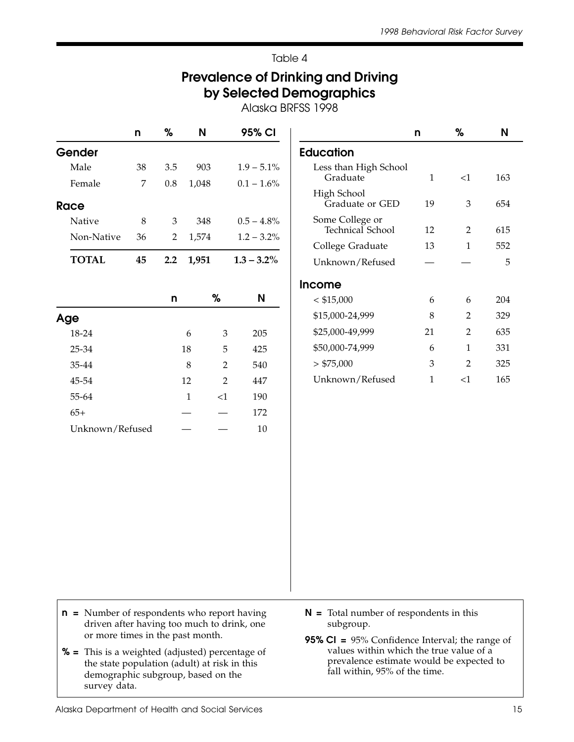### **Prevalence of Drinking and Driving by Selected Demographics**

|                 | n              | $\%$           | N            |                | 95% CI        |             |
|-----------------|----------------|----------------|--------------|----------------|---------------|-------------|
| Gender          |                |                |              |                |               | <b>Educ</b> |
| Male            | 38             | 3.5            | 903          |                | $1.9 - 5.1\%$ | Les         |
| Female          | $\overline{7}$ | $0.8\,$        | 1,048        |                | $0.1 - 1.6\%$ |             |
| <b>Race</b>     |                |                |              |                |               | Hig         |
| Native          | $\,8\,$        | 3              | 348          |                | $0.5 - 4.8\%$ | Sor         |
| Non-Native      | 36             | $\overline{2}$ | 1,574        |                | $1.2 - 3.2\%$ | Co          |
| <b>TOTAL</b>    | 45             | 2.2            | 1,951        |                | $1.3 - 3.2\%$ | Un          |
|                 |                |                |              |                |               | Incor       |
|                 |                | n              |              | %              | N             | $<$ \$      |
| Age             |                |                |              |                |               | \$15        |
| 18-24           |                |                | 6            | 3              | 205           | \$25        |
| 25-34           |                |                | 18           | 5              | 425           | \$50        |
| 35-44           |                |                | $\,8\,$      | $\overline{2}$ | 540           | $>$ \$      |
| 45-54           |                |                | 12           | $\overline{2}$ | 447           | Un          |
| 55-64           |                |                | $\mathbf{1}$ | $\leq$ 1       | 190           |             |
| $65+$           |                |                |              |                | 172           |             |
| Unknown/Refused |                |                |              |                | $10\,$        |             |
|                 |                |                |              |                |               |             |
|                 |                |                |              |                |               |             |
|                 |                |                |              |                |               |             |
|                 |                |                |              |                |               |             |
|                 |                |                |              |                |               |             |
|                 |                |                |              |                |               |             |
|                 |                |                |              |                |               |             |

|                                     | n  | %  |     |
|-------------------------------------|----|----|-----|
| <b>Education</b>                    |    |    |     |
| Less than High School<br>Graduate   | 1  | ا> | 163 |
| High School<br>Graduate or GED      | 19 | 3  | 654 |
| Some College or<br>Technical School | 12 | 2  | 615 |
| College Graduate                    | 13 | 1  | 552 |
| Unknown/Refused                     |    |    | 5   |
| Income                              |    |    |     |
| $<$ \$15,000                        | 6  | 6  | 204 |
| \$15,000-24,999                     | 8  | 2  | 329 |
| \$25,000-49,999                     | 21 | 2  | 635 |
| \$50,000-74,999                     | 6  | 1  | 331 |
| > \$75,000                          | 3  | 2  | 325 |
| Unknown/Refused                     | 1  | -1 | 165 |

- **n =** Number of respondents who report having driven after having too much to drink, one or more times in the past month.
- **% =** This is a weighted (adjusted) percentage of the state population (adult) at risk in this demographic subgroup, based on the survey data.
- **N =** Total number of respondents in this subgroup.
- **95% CI =** 95% Confidence Interval; the range of values within which the true value of a prevalence estimate would be expected to fall within, 95% of the time.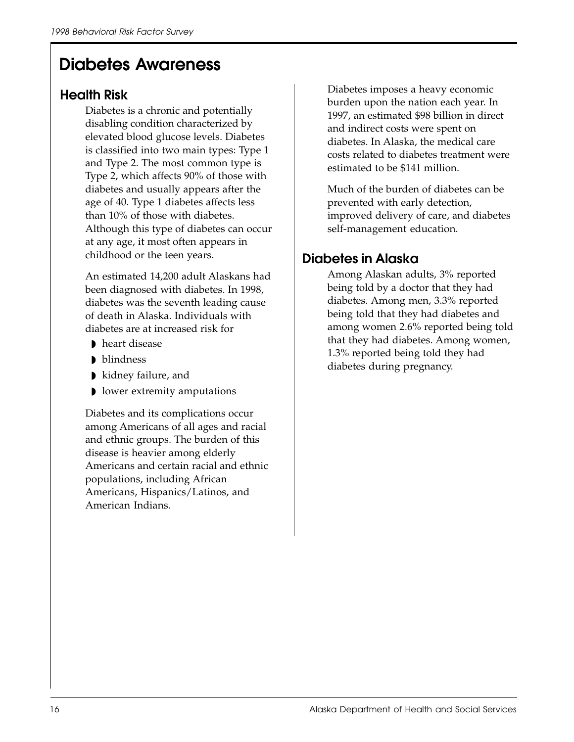# **Diabetes Awareness**

## **Health Risk**

Diabetes is a chronic and potentially disabling condition characterized by elevated blood glucose levels. Diabetes is classified into two main types: Type 1 and Type 2. The most common type is Type 2, which affects 90% of those with diabetes and usually appears after the age of 40. Type 1 diabetes affects less than 10% of those with diabetes. Although this type of diabetes can occur at any age, it most often appears in childhood or the teen years.

An estimated 14,200 adult Alaskans had been diagnosed with diabetes. In 1998, diabetes was the seventh leading cause of death in Alaska. Individuals with diabetes are at increased risk for

- ◗ heart disease
- blindness
- ◗ kidney failure, and
- ◗ lower extremity amputations

Diabetes and its complications occur among Americans of all ages and racial and ethnic groups. The burden of this disease is heavier among elderly Americans and certain racial and ethnic populations, including African Americans, Hispanics/Latinos, and American Indians.

Diabetes imposes a heavy economic burden upon the nation each year. In 1997, an estimated \$98 billion in direct and indirect costs were spent on diabetes. In Alaska, the medical care costs related to diabetes treatment were estimated to be \$141 million.

Much of the burden of diabetes can be prevented with early detection, improved delivery of care, and diabetes self-management education.

## **Diabetes in Alaska**

Among Alaskan adults, 3% reported being told by a doctor that they had diabetes. Among men, 3.3% reported being told that they had diabetes and among women 2.6% reported being told that they had diabetes. Among women, 1.3% reported being told they had diabetes during pregnancy.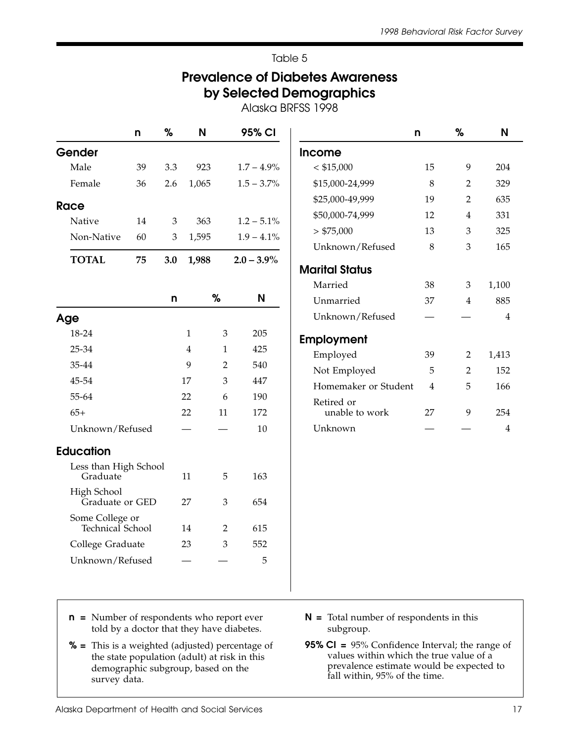## **Prevalence of Diabetes Awareness by Selected Demographics**

|                                     | n  | %   | N     |                | 95% CI        |
|-------------------------------------|----|-----|-------|----------------|---------------|
| Gender                              |    |     |       |                |               |
| Male                                | 39 | 3.3 | 923   |                | $1.7 - 4.9\%$ |
| Female                              | 36 | 2.6 | 1,065 |                | $1.5 - 3.7\%$ |
| Race                                |    |     |       |                |               |
| Native                              | 14 | 3   | 363   |                | $1.2 - 5.1\%$ |
| Non-Native                          | 60 | 3   | 1,595 |                | $1.9 - 4.1\%$ |
| <b>TOTAL</b>                        | 75 | 3.0 | 1,988 |                | $2.0 - 3.9\%$ |
|                                     |    | n   |       | ℅              | N             |
| Age                                 |    |     |       |                |               |
| 18-24                               |    |     | 1     | 3              | 205           |
| 25-34                               |    |     | 4     | 1              | 425           |
| 35-44                               |    |     | 9     | $\overline{2}$ | 540           |
| 45-54                               |    |     | 17    | 3              | 447           |
| 55-64                               |    |     | 22    | 6              | 190           |
| $65+$                               |    |     | 22    | 11             | 172           |
| Unknown/Refused                     |    |     |       |                | 10            |
| <b>Education</b>                    |    |     |       |                |               |
| Less than High School<br>Graduate   |    |     | 11    | 5              | 163           |
| High School<br>Graduate or GED      |    |     | 27    | 3              | 654           |
| Some College or<br>Technical School |    |     | 14    | 2              | 615           |
|                                     |    |     |       |                |               |
| College Graduate                    |    |     | 23    | 3              | 552           |

| 9<br>$\overline{2}$<br>$\overline{2}$<br>4<br>3 | 204<br>329<br>635<br>331 |
|-------------------------------------------------|--------------------------|
|                                                 |                          |
|                                                 |                          |
|                                                 |                          |
|                                                 |                          |
|                                                 |                          |
|                                                 | 325                      |
| 3                                               | 165                      |
|                                                 |                          |
| 3                                               | 1,100                    |
| 4                                               | 885                      |
|                                                 | 4                        |
|                                                 |                          |
| 2                                               | 1,413                    |
| $\mathfrak{D}$                                  | 152                      |
| 5                                               | 166                      |
| 9                                               | 254                      |
|                                                 | 4                        |
|                                                 |                          |

- **n =** Number of respondents who report ever told by a doctor that they have diabetes.
- **% =** This is a weighted (adjusted) percentage of the state population (adult) at risk in this demographic subgroup, based on the survey data.
- **N =** Total number of respondents in this subgroup.
- **95% CI =** 95% Confidence Interval; the range of values within which the true value of a prevalence estimate would be expected to fall within, 95% of the time.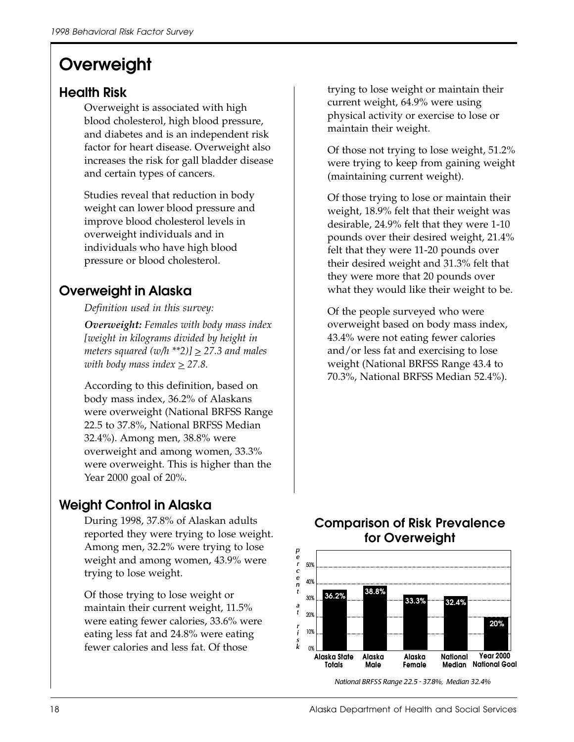# **Overweight**

## **Health Risk**

Overweight is associated with high blood cholesterol, high blood pressure, and diabetes and is an independent risk factor for heart disease. Overweight also increases the risk for gall bladder disease and certain types of cancers.

Studies reveal that reduction in body weight can lower blood pressure and improve blood cholesterol levels in overweight individuals and in individuals who have high blood pressure or blood cholesterol.

## **Overweight in Alaska**

*Definition used in this survey:*

*Overweight: Females with body mass index [weight in kilograms divided by height in meters squared (w/h \*\*2)]*  $\geq$  27.3 *and males with body mass index*  $\geq$  27.8.

According to this definition, based on body mass index, 36.2% of Alaskans were overweight (National BRFSS Range 22.5 to 37.8%, National BRFSS Median 32.4%). Among men, 38.8% were overweight and among women, 33.3% were overweight. This is higher than the Year 2000 goal of 20%.

## **Weight Control in Alaska**

During 1998, 37.8% of Alaskan adults reported they were trying to lose weight. Among men, 32.2% were trying to lose weight and among women, 43.9% were trying to lose weight.

Of those trying to lose weight or maintain their current weight, 11.5% were eating fewer calories, 33.6% were eating less fat and 24.8% were eating fewer calories and less fat. Of those

trying to lose weight or maintain their current weight, 64.9% were using physical activity or exercise to lose or maintain their weight.

Of those not trying to lose weight, 51.2% were trying to keep from gaining weight (maintaining current weight).

Of those trying to lose or maintain their weight, 18.9% felt that their weight was desirable, 24.9% felt that they were 1-10 pounds over their desired weight, 21.4% felt that they were 11-20 pounds over their desired weight and 31.3% felt that they were more that 20 pounds over what they would like their weight to be.

Of the people surveyed who were overweight based on body mass index, 43.4% were not eating fewer calories and/or less fat and exercising to lose weight (National BRFSS Range 43.4 to 70.3%, National BRFSS Median 52.4%).



### **Comparison of Risk Prevalence for Overweight**

*National BRFSS Range 22.5 - 37.8%, Median 32.4%*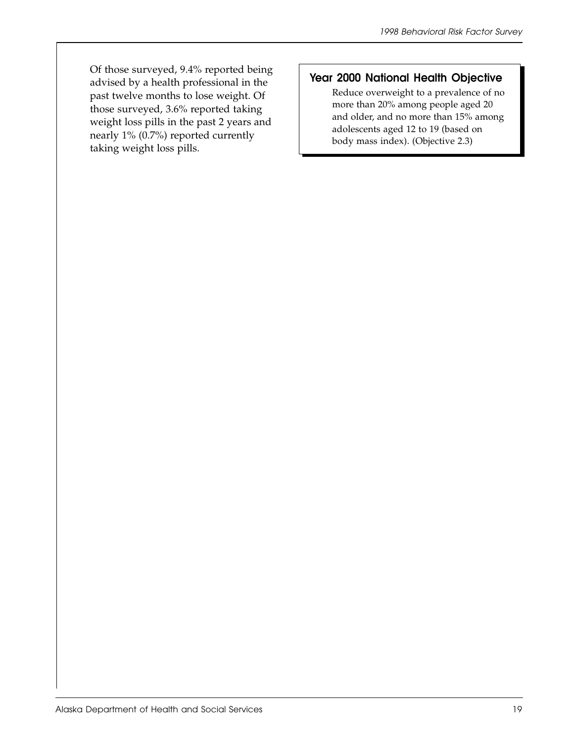Of those surveyed, 9.4% reported being advised by a health professional in the past twelve months to lose weight. Of those surveyed, 3.6% reported taking weight loss pills in the past 2 years and nearly 1% (0.7%) reported currently taking weight loss pills.

#### **Year 2000 National Health Objective**

Reduce overweight to a prevalence of no more than 20% among people aged 20 and older, and no more than 15% among adolescents aged 12 to 19 (based on body mass index). (Objective 2.3)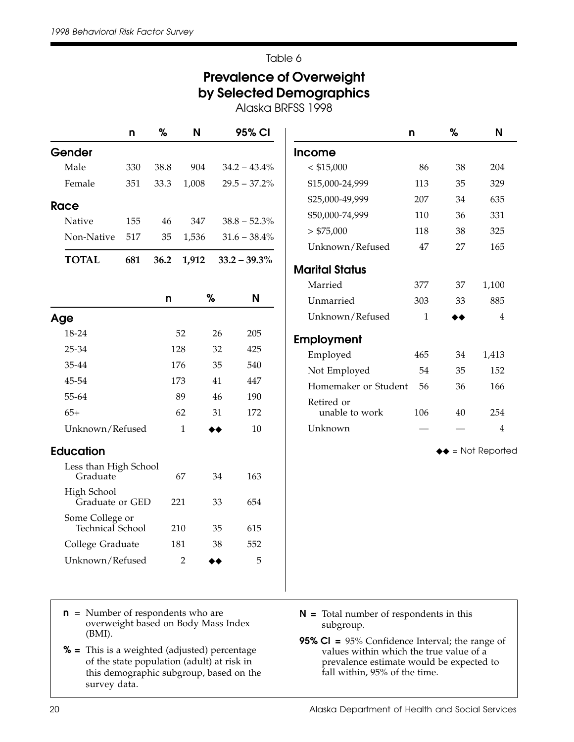## **Prevalence of Overweight by Selected Demographics**

|                                       | n   | %    | N              |    | 95% CI          |
|---------------------------------------|-----|------|----------------|----|-----------------|
| Gender                                |     |      |                |    |                 |
| Male                                  | 330 | 38.8 | 904            |    | $34.2 - 43.4\%$ |
| Female                                | 351 | 33.3 | 1,008          |    | $29.5 - 37.2\%$ |
| Race                                  |     |      |                |    |                 |
| Native                                | 155 | 46   | 347            |    | $38.8 - 52.3\%$ |
| Non-Native                            | 517 | 35   | 1,536          |    | $31.6 - 38.4\%$ |
| <b>TOTAL</b>                          | 681 | 36.2 | 1,912          |    | $33.2 - 39.3\%$ |
|                                       |     | n    |                | %  | N               |
| Age                                   |     |      |                |    |                 |
| 18-24                                 |     |      | 52             | 26 | 205             |
| 25-34                                 |     |      | 128            | 32 | 425             |
| 35-44                                 |     |      | 176            | 35 | 540             |
| 45-54                                 |     |      | 173            | 41 | 447             |
| 55-64                                 |     |      | 89             | 46 | 190             |
| $65+$                                 |     |      | 62             | 31 | 172             |
| Unknown/Refused                       |     |      | 1              |    | 10              |
| <b>Education</b>                      |     |      |                |    |                 |
| Less than High School<br>Graduate     |     |      | 67             | 34 | 163             |
| <b>High School</b><br>Graduate or GED |     |      | 221            | 33 | 654             |
| Some College or<br>Technical School   |     |      | 210            | 35 | 615             |
| College Graduate                      |     |      | 181            | 38 | 552             |
| Unknown/Refused                       |     |      | $\overline{2}$ |    | 5               |
|                                       |     |      |                |    |                 |

|                              | n   | %  | N                            |
|------------------------------|-----|----|------------------------------|
| Income                       |     |    |                              |
| $<$ \$15,000                 | 86  | 38 | 204                          |
| \$15,000-24,999              | 113 | 35 | 329                          |
| \$25,000-49,999              | 207 | 34 | 635                          |
| \$50,000-74,999              | 110 | 36 | 331                          |
| $>$ \$75,000                 | 118 | 38 | 325                          |
| Unknown/Refused              | 47  | 27 | 165                          |
| <b>Marital Status</b>        |     |    |                              |
| Married                      | 377 | 37 | 1,100                        |
| Unmarried                    | 303 | 33 | 885                          |
| Unknown/Refused              | 1   | ٠е | 4                            |
| <b>Employment</b>            |     |    |                              |
| Employed                     | 465 | 34 | 1,413                        |
| Not Employed                 | 54  | 35 | 152                          |
| Homemaker or Student         | 56  | 36 | 166                          |
| Retired or<br>unable to work | 106 | 40 | 254                          |
| Unknown                      |     |    | 4                            |
|                              |     |    | $\rightarrow$ = Not Reported |

- **n** = Number of respondents who are overweight based on Body Mass Index (BMI).
- **% =** This is a weighted (adjusted) percentage of the state population (adult) at risk in this demographic subgroup, based on the survey data.
- **N =** Total number of respondents in this subgroup.
- **95% CI =** 95% Confidence Interval; the range of values within which the true value of a prevalence estimate would be expected to fall within, 95% of the time.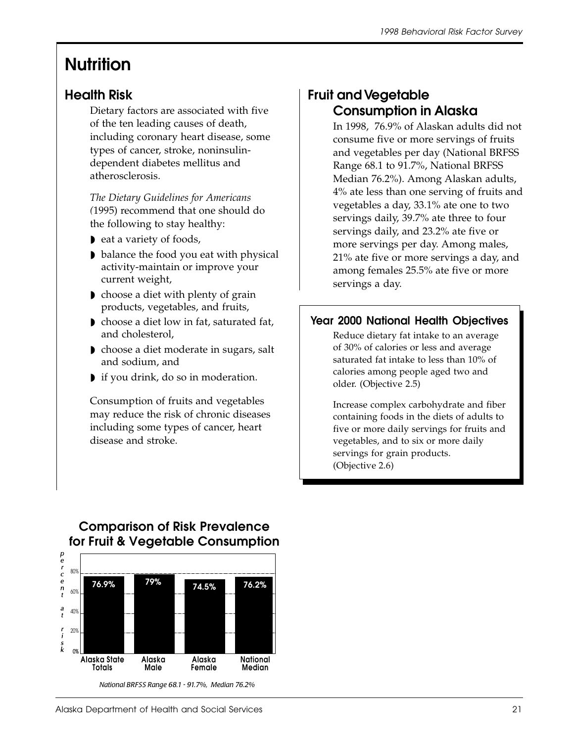# **Nutrition**

## **Health Risk**

Dietary factors are associated with five of the ten leading causes of death, including coronary heart disease, some types of cancer, stroke, noninsulindependent diabetes mellitus and atherosclerosis.

*The Dietary Guidelines for Americans (*1995) recommend that one should do the following to stay healthy:

- ◗ eat a variety of foods,
- ◗ balance the food you eat with physical activity-maintain or improve your current weight,
- ◗ choose a diet with plenty of grain products, vegetables, and fruits,
- ◗ choose a diet low in fat, saturated fat, and cholesterol,
- ◗ choose a diet moderate in sugars, salt and sodium, and
- ◗ if you drink, do so in moderation.

Consumption of fruits and vegetables may reduce the risk of chronic diseases including some types of cancer, heart disease and stroke.

## **Fruit and Vegetable Consumption in Alaska**

In 1998, 76.9% of Alaskan adults did not consume five or more servings of fruits and vegetables per day (National BRFSS Range 68.1 to 91.7%, National BRFSS Median 76.2%). Among Alaskan adults, 4% ate less than one serving of fruits and vegetables a day, 33.1% ate one to two servings daily, 39.7% ate three to four servings daily, and 23.2% ate five or more servings per day. Among males, 21% ate five or more servings a day, and among females 25.5% ate five or more servings a day.

## **Year 2000 National Health Objectives**

Reduce dietary fat intake to an average of 30% of calories or less and average saturated fat intake to less than 10% of calories among people aged two and older. (Objective 2.5)

Increase complex carbohydrate and fiber containing foods in the diets of adults to five or more daily servings for fruits and vegetables, and to six or more daily servings for grain products. (Objective 2.6)



#### **Comparison of Risk Prevalence for Fruit & Vegetable Consumption**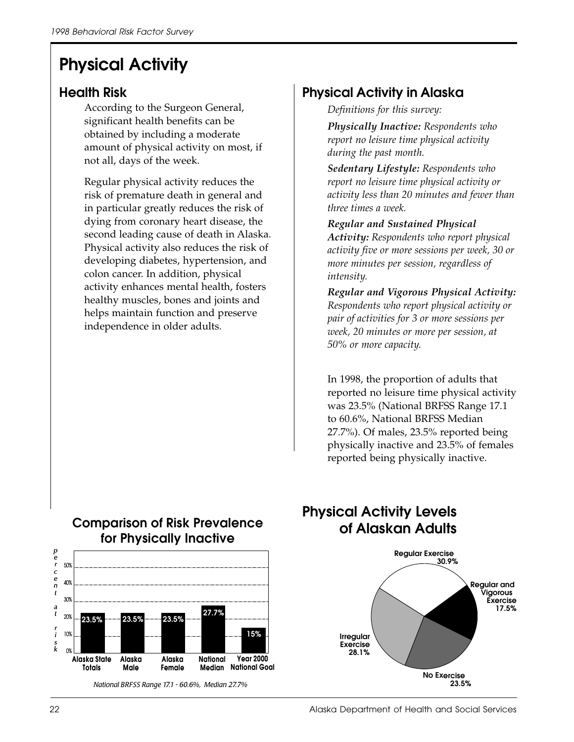# **Physical Activity**

## **Health Risk**

According to the Surgeon General, significant health benefits can be obtained by including a moderate amount of physical activity on most, if not all, days of the week.

Regular physical activity reduces the risk of premature death in general and in particular greatly reduces the risk of dying from coronary heart disease, the second leading cause of death in Alaska. Physical activity also reduces the risk of developing diabetes, hypertension, and colon cancer. In addition, physical activity enhances mental health, fosters healthy muscles, bones and joints and helps maintain function and preserve independence in older adults.

## **Physical Activity in Alaska**

*Definitions for this survey:*

*Physically Inactive: Respondents who report no leisure time physical activity during the past month.*

*Sedentary Lifestyle: Respondents who report no leisure time physical activity or activity less than 20 minutes and fewer than three times a week.*

*Regular and Sustained Physical Activity: Respondents who report physical activity five or more sessions per week, 30 or more minutes per session, regardless of intensity.*

*Regular and Vigorous Physical Activity: Respondents who report physical activity or pair of activities for 3 or more sessions per week, 20 minutes or more per session, at 50% or more capacity.*

In 1998, the proportion of adults that reported no leisure time physical activity was 23.5% (National BRFSS Range 17.1 to 60.6%, National BRFSS Median 27.7%). Of males, 23.5% reported being physically inactive and 23.5% of females reported being physically inactive.



**Comparison of Risk Prevalence**

*National BRFSS Range 17.1 - 60.6%, Median 27.7%*

## **Physical Activity Levels of Alaskan Adults**

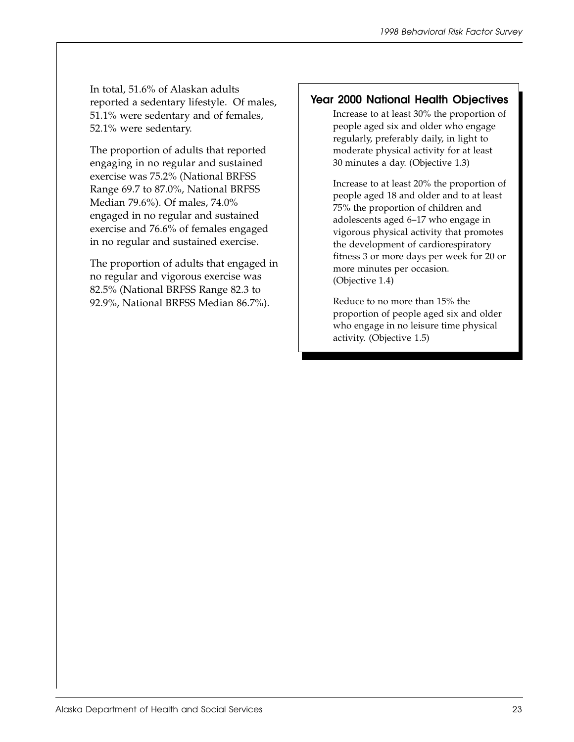In total, 51.6% of Alaskan adults reported a sedentary lifestyle. Of males, 51.1% were sedentary and of females, 52.1% were sedentary.

The proportion of adults that reported engaging in no regular and sustained exercise was 75.2% (National BRFSS Range 69.7 to 87.0%, National BRFSS Median 79.6%). Of males, 74.0% engaged in no regular and sustained exercise and 76.6% of females engaged in no regular and sustained exercise.

The proportion of adults that engaged in no regular and vigorous exercise was 82.5% (National BRFSS Range 82.3 to 92.9%, National BRFSS Median 86.7%).

### **Year 2000 National Health Objectives**

Increase to at least 30% the proportion of people aged six and older who engage regularly, preferably daily, in light to moderate physical activity for at least 30 minutes a day. (Objective 1.3)

Increase to at least 20% the proportion of people aged 18 and older and to at least 75% the proportion of children and adolescents aged 6–17 who engage in vigorous physical activity that promotes the development of cardiorespiratory fitness 3 or more days per week for 20 or more minutes per occasion. (Objective 1.4)

Reduce to no more than 15% the proportion of people aged six and older who engage in no leisure time physical activity. (Objective 1.5)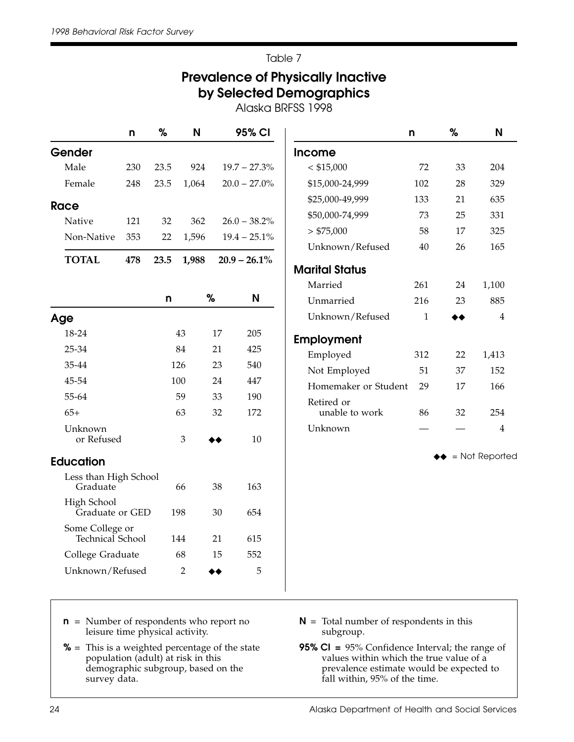| ۱Ľ<br>ır |  |
|----------|--|
|          |  |

## **Prevalence of Physically Inactive by Selected Demographics**

Alaska BRFSS 1998

|                                       | n   | %    | N     |    | 95% CI          |
|---------------------------------------|-----|------|-------|----|-----------------|
| Gender                                |     |      |       |    |                 |
| Male                                  | 230 | 23.5 | 924   |    | $19.7 - 27.3\%$ |
| Female                                | 248 | 23.5 | 1,064 |    | $20.0 - 27.0\%$ |
| <b>Race</b>                           |     |      |       |    |                 |
| Native                                | 121 | 32   | 362   |    | $26.0 - 38.2\%$ |
| Non-Native                            | 353 | 22   | 1,596 |    | $19.4 - 25.1\%$ |
| <b>TOTAL</b>                          | 478 | 23.5 | 1,988 |    | $20.9 - 26.1\%$ |
|                                       |     | n    |       | %  | N               |
| Age                                   |     |      |       |    |                 |
| 18-24                                 |     |      | 43    | 17 | 205             |
| 25-34                                 |     |      | 84    | 21 | 425             |
| 35-44                                 |     |      | 126   | 23 | 540             |
| 45-54                                 |     |      | 100   | 24 | 447             |
| 55-64                                 |     |      | 59    | 33 | 190             |
| $65+$                                 |     |      | 63    | 32 | 172             |
| Unknown<br>or Refused                 |     |      | 3     |    | 10              |
| <b>Education</b>                      |     |      |       |    |                 |
| Less than High School<br>Graduate     |     |      | 66    | 38 | 163             |
| <b>High School</b><br>Graduate or GED |     |      | 198   | 30 | 654             |
| Some College or<br>Technical School   |     |      | 144   | 21 | 615             |
| College Graduate                      |     |      | 68    | 15 | 552             |
| Unknown/Refused                       |     |      | 2     |    | 5               |

|                              | n   | %  | N     |
|------------------------------|-----|----|-------|
| Income                       |     |    |       |
| $<$ \$15,000                 | 72  | 33 | 204   |
| \$15,000-24,999              | 102 | 28 | 329   |
| \$25,000-49,999              | 133 | 21 | 635   |
| \$50,000-74,999              | 73  | 25 | 331   |
| > \$75,000                   | 58  | 17 | 325   |
| Unknown/Refused              | 40  | 26 | 165   |
| <b>Marital Status</b>        |     |    |       |
| Married                      | 261 | 24 | 1,100 |
| Unmarried                    | 216 | 23 | 885   |
| Unknown/Refused              | 1   | ▸♠ | 4     |
| Employment                   |     |    |       |
| Employed                     | 312 | 22 | 1,413 |
| Not Employed                 | 51  | 37 | 152   |
| Homemaker or Student         | 29  | 17 | 166   |
| Retired or<br>unable to work | 86  | 32 | 254   |
| Unknown                      |     |    | 4     |
|                              |     |    |       |

 $\leftrightarrow$  = Not Reported

- **n** = Number of respondents who report no leisure time physical activity.
- **%** = This is a weighted percentage of the state population (adult) at risk in this demographic subgroup, based on the survey data.
- **N** = Total number of respondents in this subgroup.
- **95% CI =** 95% Confidence Interval; the range of values within which the true value of a prevalence estimate would be expected to fall within, 95% of the time.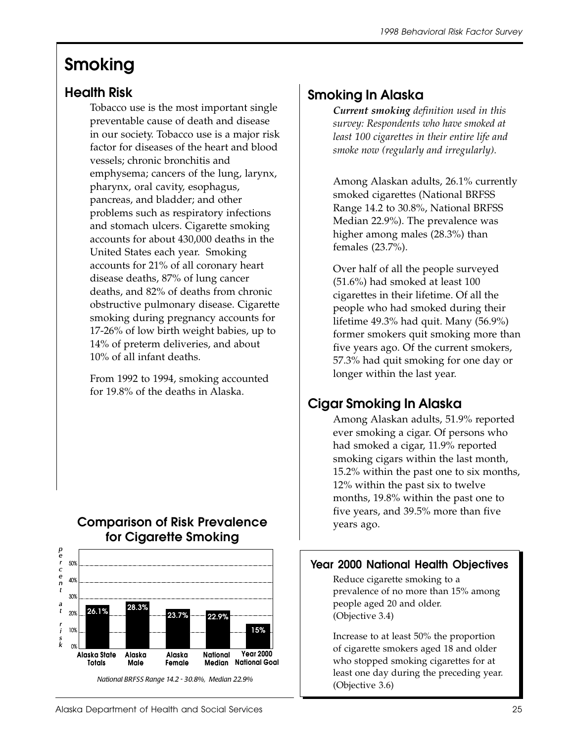# **Smoking**

## **Health Risk**

Tobacco use is the most important single preventable cause of death and disease in our society. Tobacco use is a major risk factor for diseases of the heart and blood vessels; chronic bronchitis and emphysema; cancers of the lung, larynx, pharynx, oral cavity, esophagus, pancreas, and bladder; and other problems such as respiratory infections and stomach ulcers. Cigarette smoking accounts for about 430,000 deaths in the United States each year. Smoking accounts for 21% of all coronary heart disease deaths, 87% of lung cancer deaths, and 82% of deaths from chronic obstructive pulmonary disease. Cigarette smoking during pregnancy accounts for 17-26% of low birth weight babies, up to 14% of preterm deliveries, and about 10% of all infant deaths.

From 1992 to 1994, smoking accounted for 19.8% of the deaths in Alaska.



**Comparison of Risk Prevalence for Cigarette Smoking**

# **Smoking In Alaska**

*Current smoking definition used in this survey: Respondents who have smoked at least 100 cigarettes in their entire life and smoke now (regularly and irregularly).*

Among Alaskan adults, 26.1% currently smoked cigarettes (National BRFSS Range 14.2 to 30.8%, National BRFSS Median 22.9%). The prevalence was higher among males (28.3%) than females (23.7%).

Over half of all the people surveyed (51.6%) had smoked at least 100 cigarettes in their lifetime. Of all the people who had smoked during their lifetime 49.3% had quit. Many (56.9%) former smokers quit smoking more than five years ago. Of the current smokers, 57.3% had quit smoking for one day or longer within the last year.

# **Cigar Smoking In Alaska**

Among Alaskan adults, 51.9% reported ever smoking a cigar. Of persons who had smoked a cigar, 11.9% reported smoking cigars within the last month, 15.2% within the past one to six months, 12% within the past six to twelve months, 19.8% within the past one to five years, and 39.5% more than five years ago.

## **Year 2000 National Health Objectives**

Reduce cigarette smoking to a prevalence of no more than 15% among people aged 20 and older. (Objective 3.4)

Increase to at least 50% the proportion of cigarette smokers aged 18 and older who stopped smoking cigarettes for at least one day during the preceding year. (Objective 3.6)

*National BRFSS Range 14.2 - 30.8%, Median 22.9%*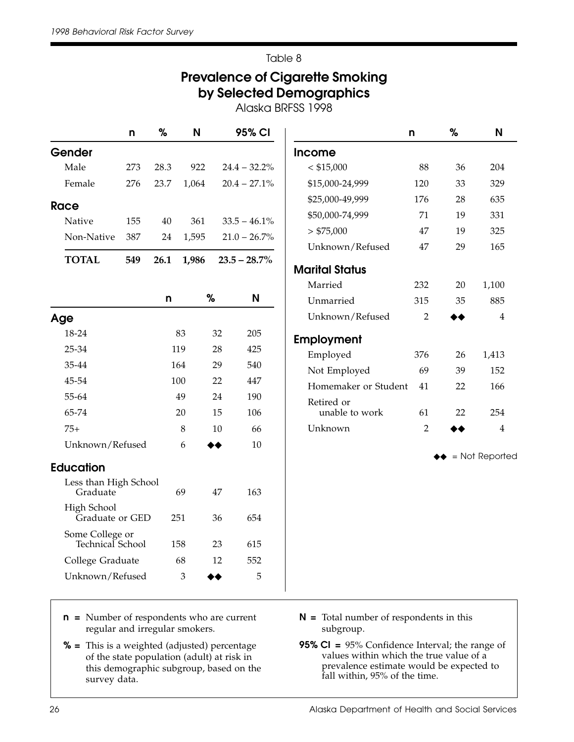## **Prevalence of Cigarette Smoking by Selected Demographics**

|                                     | n   | %    | N     |    | 95% CI          |
|-------------------------------------|-----|------|-------|----|-----------------|
| Gender                              |     |      |       |    |                 |
| Male                                | 273 | 28.3 | 922   |    | $24.4 - 32.2\%$ |
| Female                              | 276 | 23.7 | 1,064 |    | $20.4 - 27.1\%$ |
| <b>Race</b>                         |     |      |       |    |                 |
| Native                              | 155 | 40   | 361   |    | $33.5 - 46.1\%$ |
| Non-Native                          | 387 | 24   | 1,595 |    | $21.0 - 26.7\%$ |
| <b>TOTAL</b>                        | 549 | 26.1 | 1,986 |    | $23.5 - 28.7\%$ |
|                                     |     | n    |       | %  | N               |
| Age                                 |     |      |       |    |                 |
| 18-24                               |     |      | 83    | 32 | 205             |
| 25-34                               |     |      | 119   | 28 | 425             |
| 35-44                               |     |      | 164   | 29 | 540             |
| 45-54                               |     |      | 100   | 22 | 447             |
| 55-64                               |     |      | 49    | 24 | 190             |
| 65-74                               |     |      | 20    | 15 | 106             |
| $75+$                               |     |      | 8     | 10 | 66              |
| Unknown/Refused                     |     |      | 6     | ∙  | 10              |
| <b>Education</b>                    |     |      |       |    |                 |
| Less than High School<br>Graduate   |     |      | 69    | 47 | 163             |
| High School<br>Graduate or GED      |     |      | 251   | 36 | 654             |
| Some College or<br>Technical School |     |      | 158   | 23 | 615             |
| College Graduate                    |     |      | 68    | 12 | 552             |
| Unknown/Refused                     |     |      | 3     | ∙  | 5               |

|                              | n              | %  | N                                    |
|------------------------------|----------------|----|--------------------------------------|
| Income                       |                |    |                                      |
| $<$ \$15,000                 | 88             | 36 | 204                                  |
| \$15,000-24,999              | 120            | 33 | 329                                  |
| \$25,000-49,999              | 176            | 28 | 635                                  |
| \$50,000-74,999              | 71             | 19 | 331                                  |
| > \$75,000                   | 47             | 19 | 325                                  |
| Unknown/Refused              | 47             | 29 | 165                                  |
| Marital Status               |                |    |                                      |
| Married                      | 232            | 20 | 1,100                                |
| Unmarried                    | 315            | 35 | 885                                  |
| Unknown/Refused              | $\overline{2}$ |    | 4                                    |
| Employment                   |                |    |                                      |
| Employed                     | 376            | 26 | 1,413                                |
| Not Employed                 | 69             | 39 | 152                                  |
| Homemaker or Student         | 41             | 22 | 166                                  |
| Retired or<br>unable to work | 61             | 22 | 254                                  |
| Unknown                      | $\overline{2}$ |    | 4                                    |
|                              |                |    | $\blacktriangleright$ = Not Reported |

- **n =** Number of respondents who are current regular and irregular smokers.
- **% =** This is a weighted (adjusted) percentage of the state population (adult) at risk in this demographic subgroup, based on the survey data.
- **N =** Total number of respondents in this subgroup.
- **95% CI =** 95% Confidence Interval; the range of values within which the true value of a prevalence estimate would be expected to fall within, 95% of the time.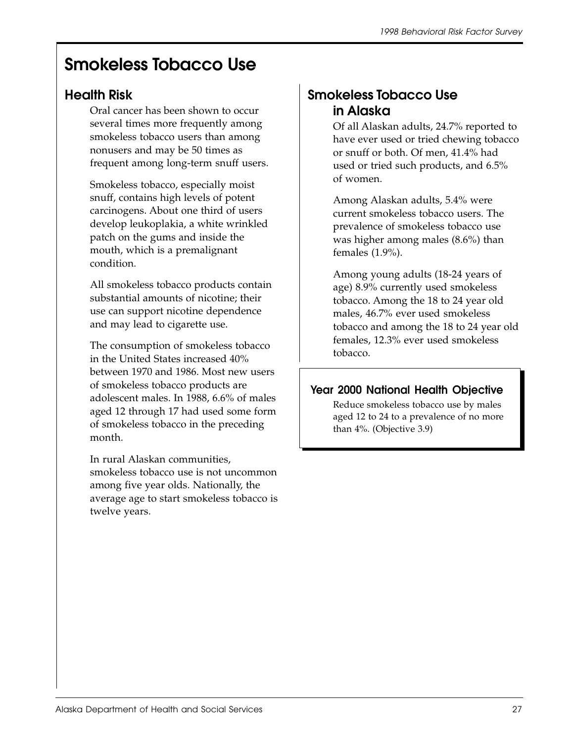# **Smokeless Tobacco Use**

## **Health Risk**

Oral cancer has been shown to occur several times more frequently among smokeless tobacco users than among nonusers and may be 50 times as frequent among long-term snuff users.

Smokeless tobacco, especially moist snuff, contains high levels of potent carcinogens. About one third of users develop leukoplakia, a white wrinkled patch on the gums and inside the mouth, which is a premalignant condition.

All smokeless tobacco products contain substantial amounts of nicotine; their use can support nicotine dependence and may lead to cigarette use.

The consumption of smokeless tobacco in the United States increased 40% between 1970 and 1986. Most new users of smokeless tobacco products are adolescent males. In 1988, 6.6% of males aged 12 through 17 had used some form of smokeless tobacco in the preceding month.

In rural Alaskan communities, smokeless tobacco use is not uncommon among five year olds. Nationally, the average age to start smokeless tobacco is twelve years.

## **Smokeless Tobacco Use in Alaska**

Of all Alaskan adults, 24.7% reported to have ever used or tried chewing tobacco or snuff or both. Of men, 41.4% had used or tried such products, and 6.5% of women.

Among Alaskan adults, 5.4% were current smokeless tobacco users. The prevalence of smokeless tobacco use was higher among males (8.6%) than females (1.9%).

Among young adults (18-24 years of age) 8.9% currently used smokeless tobacco. Among the 18 to 24 year old males, 46.7% ever used smokeless tobacco and among the 18 to 24 year old females, 12.3% ever used smokeless tobacco.

## **Year 2000 National Health Objective**

Reduce smokeless tobacco use by males aged 12 to 24 to a prevalence of no more than 4%. (Objective 3.9)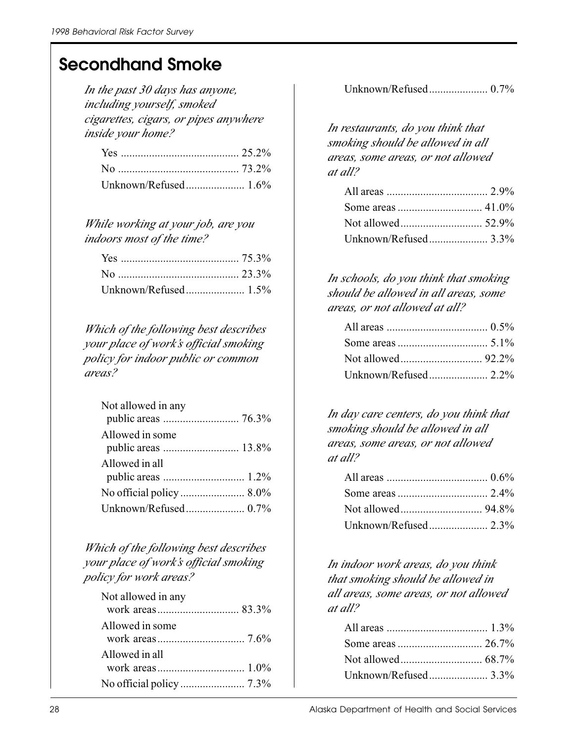# **Secondhand Smoke**

*In the past 30 days has anyone, including yourself, smoked cigarettes, cigars, or pipes anywhere inside your home?*

*While working at your job, are you indoors most of the time?*

*Which of the following best describes your place of work's official smoking policy for indoor public or common areas?*

| Not allowed in any |  |
|--------------------|--|
| Allowed in some    |  |
|                    |  |
| Allowed in all     |  |
|                    |  |
|                    |  |
|                    |  |

*Which of the following best describes your place of work's official smoking policy for work areas?*

| Not allowed in any |  |
|--------------------|--|
|                    |  |
| Allowed in some    |  |
|                    |  |
| Allowed in all     |  |
|                    |  |
|                    |  |

Unknown/Refused..................... 0.7%

*In restaurants, do you think that smoking should be allowed in all areas, some areas, or not allowed at all?*

*In schools, do you think that smoking should be allowed in all areas, some areas, or not allowed at all?*

*In day care centers, do you think that smoking should be allowed in all areas, some areas, or not allowed at all?*

*In indoor work areas, do you think that smoking should be allowed in all areas, some areas, or not allowed at all?*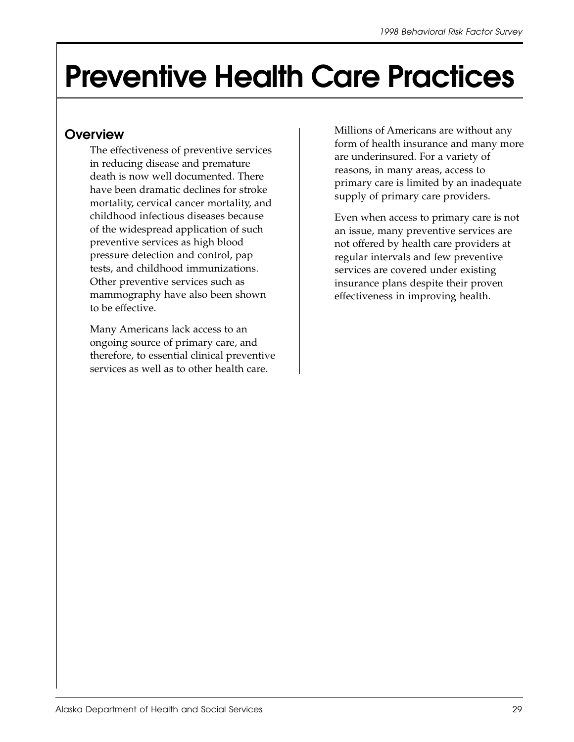# **Preventive Health Care Practices**

## **Overview**

The effectiveness of preventive services in reducing disease and premature death is now well documented. There have been dramatic declines for stroke mortality, cervical cancer mortality, and childhood infectious diseases because of the widespread application of such preventive services as high blood pressure detection and control, pap tests, and childhood immunizations. Other preventive services such as mammography have also been shown to be effective.

Many Americans lack access to an ongoing source of primary care, and therefore, to essential clinical preventive services as well as to other health care.

Millions of Americans are without any form of health insurance and many more are underinsured. For a variety of reasons, in many areas, access to primary care is limited by an inadequate supply of primary care providers.

Even when access to primary care is not an issue, many preventive services are not offered by health care providers at regular intervals and few preventive services are covered under existing insurance plans despite their proven effectiveness in improving health.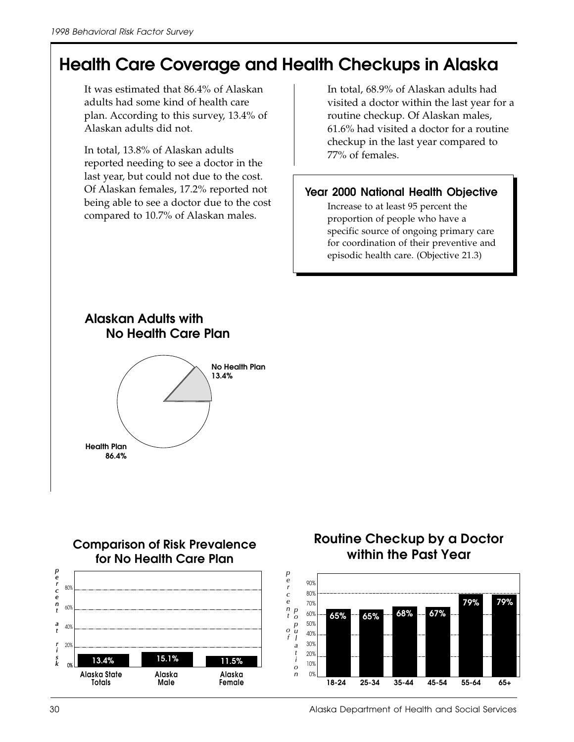# **Health Care Coverage and Health Checkups in Alaska**

It was estimated that 86.4% of Alaskan adults had some kind of health care plan. According to this survey, 13.4% of Alaskan adults did not.

In total, 13.8% of Alaskan adults reported needing to see a doctor in the last year, but could not due to the cost. Of Alaskan females, 17.2% reported not being able to see a doctor due to the cost compared to 10.7% of Alaskan males.

In total, 68.9% of Alaskan adults had visited a doctor within the last year for a routine checkup. Of Alaskan males, 61.6% had visited a doctor for a routine checkup in the last year compared to 77% of females.

#### **Year 2000 National Health Objective**

Increase to at least 95 percent the proportion of people who have a specific source of ongoing primary care for coordination of their preventive and episodic health care. (Objective 21.3)



### **Comparison of Risk Prevalence for No Health Care Plan**



## **Routine Checkup by a Doctor within the Past Year**

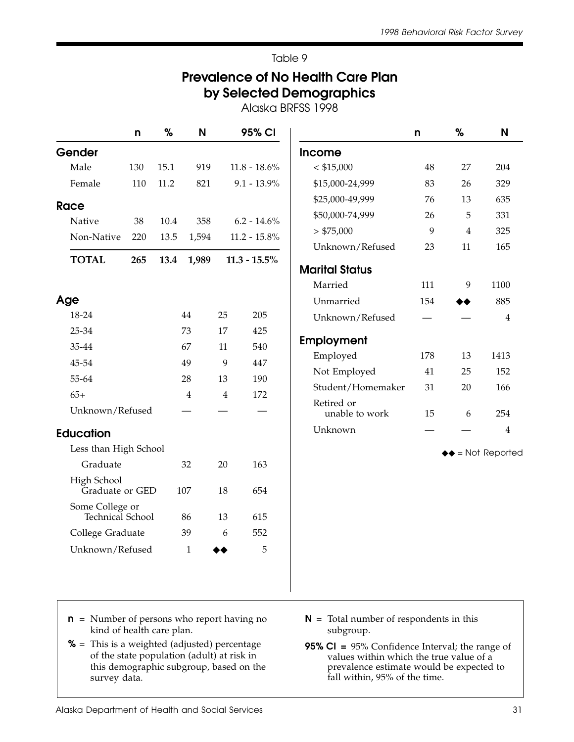#### **Prevalence of No Health Care Plan by Selected Demographics**

Alaska BRFSS 1998

|                                     | $\mathsf{n}$ | $\%$ | N              |                | 95% CI          |                              | n   | $\%$           | N              |
|-------------------------------------|--------------|------|----------------|----------------|-----------------|------------------------------|-----|----------------|----------------|
| Gender                              |              |      |                |                |                 | Income                       |     |                |                |
| Male                                | 130          | 15.1 | 919            |                | $11.8 - 18.6\%$ | $<$ \$15,000                 | 48  | 27             | 204            |
| Female                              | 110          | 11.2 | 821            |                | $9.1 - 13.9\%$  | \$15,000-24,999              | 83  | 26             | 329            |
| <b>Race</b>                         |              |      |                |                |                 | \$25,000-49,999              | 76  | 13             | 635            |
| Native                              | 38           | 10.4 | 358            |                | $6.2 - 14.6\%$  | \$50,000-74,999              | 26  | 5              | 331            |
| Non-Native                          | 220          | 13.5 | 1,594          |                | $11.2 - 15.8\%$ | $>$ \$75,000                 | 9   | $\overline{4}$ | 325            |
|                                     |              |      |                |                |                 | Unknown/Refused              | 23  | 11             | 165            |
| <b>TOTAL</b>                        | 265          | 13.4 | 1,989          |                | $11.3 - 15.5\%$ | <b>Marital Status</b>        |     |                |                |
|                                     |              |      |                |                |                 | Married                      | 111 | 9              | 1100           |
| Age                                 |              |      |                |                |                 | Unmarried                    | 154 | ◆◆             | 885            |
| 18-24                               |              |      | 44             | 25             | 205             | Unknown/Refused              |     |                | $\overline{4}$ |
| 25-34                               |              |      | 73             | 17             | 425             |                              |     |                |                |
| 35-44                               |              |      | 67             | 11             | 540             | Employment                   |     |                |                |
| 45-54                               |              |      | 49             | 9              | 447             | Employed                     | 178 | 13             | 1413           |
| 55-64                               |              |      | 28             | 13             | 190             | Not Employed                 | 41  | 25             | 152            |
| $65+$                               |              |      | $\overline{4}$ | $\overline{4}$ | 172             | Student/Homemaker            | 31  | 20             | 166            |
| Unknown/Refused                     |              |      |                |                |                 | Retired or<br>unable to work | 15  | 6              | 254            |
| <b>Education</b>                    |              |      |                |                |                 | Unknown                      |     |                | $\overline{4}$ |
| Less than High School               |              |      |                |                |                 |                              |     |                | = Not Reported |
| Graduate                            |              |      | 32             | 20             | 163             |                              |     |                |                |
| High School<br>Graduate or GED      |              |      | 107            | 18             | 654             |                              |     |                |                |
| Some College or<br>Technical School |              |      | 86             | 13             | 615             |                              |     |                |                |
| College Graduate                    |              |      | 39             | 6              | 552             |                              |     |                |                |
| Unknown/Refused                     |              |      | $\mathbf{1}$   |                | 5               |                              |     |                |                |
|                                     |              |      |                |                |                 |                              |     |                |                |
|                                     |              |      |                |                |                 |                              |     |                |                |

- **n** = Number of persons who report having no kind of health care plan.
- **%** = This is a weighted (adjusted) percentage of the state population (adult) at risk in this demographic subgroup, based on the survey data.
- **N** = Total number of respondents in this subgroup.
- **95% CI =** 95% Confidence Interval; the range of values within which the true value of a prevalence estimate would be expected to fall within, 95% of the time.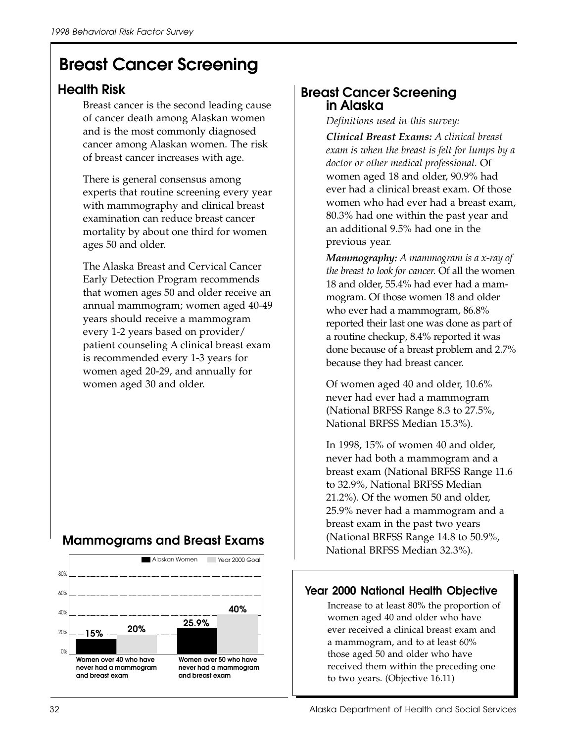## **Breast Cancer Screening**

#### **Health Risk**

Breast cancer is the second leading cause of cancer death among Alaskan women and is the most commonly diagnosed cancer among Alaskan women. The risk of breast cancer increases with age.

There is general consensus among experts that routine screening every year with mammography and clinical breast examination can reduce breast cancer mortality by about one third for women ages 50 and older.

The Alaska Breast and Cervical Cancer Early Detection Program recommends that women ages 50 and older receive an annual mammogram; women aged 40-49 years should receive a mammogram every 1-2 years based on provider/ patient counseling A clinical breast exam is recommended every 1-3 years for women aged 20-29, and annually for women aged 30 and older.

### **Mammograms and Breast Exams**



#### **Breast Cancer Screening in Alaska**

*Definitions used in this survey:*

*Clinical Breast Exams: A clinical breast exam is when the breast is felt for lumps by a doctor or other medical professional.* Of women aged 18 and older, 90.9% had ever had a clinical breast exam. Of those women who had ever had a breast exam, 80.3% had one within the past year and an additional 9.5% had one in the previous year.

*Mammography: A mammogram is a x-ray of the breast to look for cancer.* Of all the women 18 and older, 55.4% had ever had a mammogram. Of those women 18 and older who ever had a mammogram, 86.8% reported their last one was done as part of a routine checkup, 8.4% reported it was done because of a breast problem and 2.7% because they had breast cancer.

Of women aged 40 and older, 10.6% never had ever had a mammogram (National BRFSS Range 8.3 to 27.5%, National BRFSS Median 15.3%).

In 1998, 15% of women 40 and older, never had both a mammogram and a breast exam (National BRFSS Range 11.6 to 32.9%, National BRFSS Median 21.2%). Of the women 50 and older, 25.9% never had a mammogram and a breast exam in the past two years (National BRFSS Range 14.8 to 50.9%, National BRFSS Median 32.3%).

#### **Year 2000 National Health Objective**

Increase to at least 80% the proportion of women aged 40 and older who have ever received a clinical breast exam and a mammogram, and to at least 60% those aged 50 and older who have received them within the preceding one to two years. (Objective 16.11)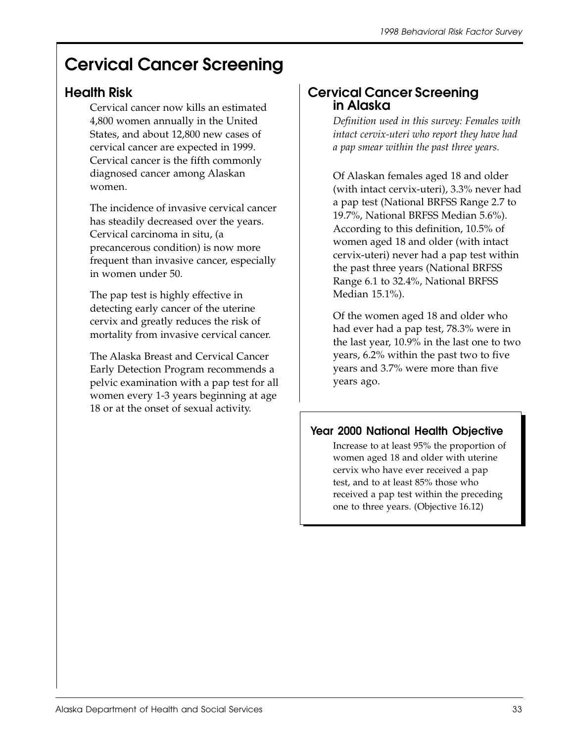# **Cervical Cancer Screening**

## **Health Risk**

Cervical cancer now kills an estimated 4,800 women annually in the United States, and about 12,800 new cases of cervical cancer are expected in 1999. Cervical cancer is the fifth commonly diagnosed cancer among Alaskan women.

The incidence of invasive cervical cancer has steadily decreased over the years. Cervical carcinoma in situ, (a precancerous condition) is now more frequent than invasive cancer, especially in women under 50.

The pap test is highly effective in detecting early cancer of the uterine cervix and greatly reduces the risk of mortality from invasive cervical cancer.

The Alaska Breast and Cervical Cancer Early Detection Program recommends a pelvic examination with a pap test for all women every 1-3 years beginning at age 18 or at the onset of sexual activity.

### **Cervical Cancer Screening in Alaska**

*Definition used in this survey: Females with intact cervix-uteri who report they have had a pap smear within the past three years.*

Of Alaskan females aged 18 and older (with intact cervix-uteri), 3.3% never had a pap test (National BRFSS Range 2.7 to 19.7%, National BRFSS Median 5.6%). According to this definition, 10.5% of women aged 18 and older (with intact cervix-uteri) never had a pap test within the past three years (National BRFSS Range 6.1 to 32.4%, National BRFSS Median 15.1%).

Of the women aged 18 and older who had ever had a pap test, 78.3% were in the last year, 10.9% in the last one to two years, 6.2% within the past two to five years and 3.7% were more than five years ago.

## **Year 2000 National Health Objective**

Increase to at least 95% the proportion of women aged 18 and older with uterine cervix who have ever received a pap test, and to at least 85% those who received a pap test within the preceding one to three years. (Objective 16.12)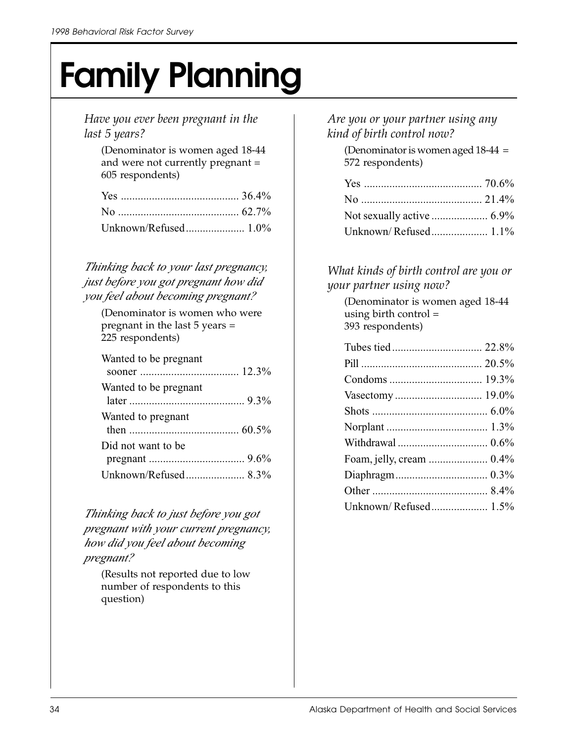# **Family Planning**

*Have you ever been pregnant in the last 5 years?*

(Denominator is women aged 18-44 and were not currently pregnant = 605 respondents)

*Thinking back to your last pregnancy, just before you got pregnant how did you feel about becoming pregnant?*

(Denominator is women who were pregnant in the last 5 years = 225 respondents)

| Unknown/Refused 8.3% |
|----------------------|
|                      |

*Thinking back to just before you got pregnant with your current pregnancy, how did you feel about becoming pregnant?*

(Results not reported due to low number of respondents to this question)

#### *Are you or your partner using any kind of birth control now?*

(Denominator is women aged 18-44 = 572 respondents)

*What kinds of birth control are you or your partner using now?*

| (Denominator is women aged 18-44 |
|----------------------------------|
| using birth control $=$          |
| 393 respondents)                 |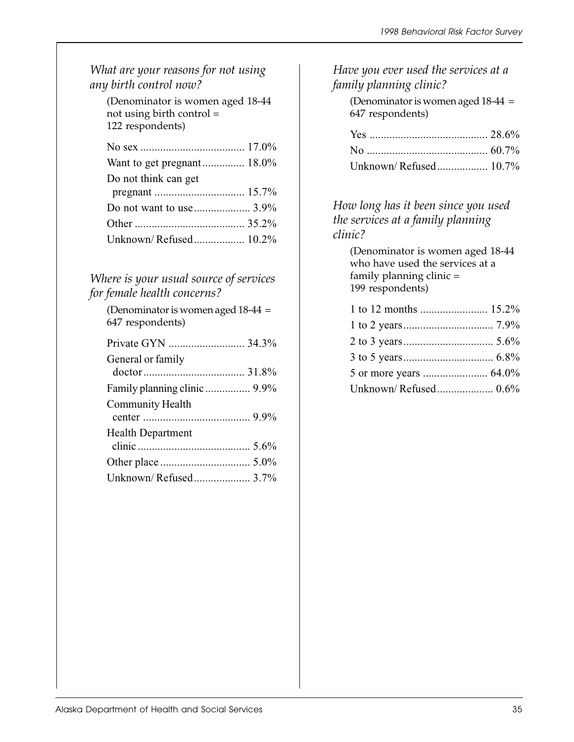#### *What are your reasons for not using any birth control now?*

(Denominator is women aged 18-44 not using birth control = 122 respondents)

| Do not think can get  |  |
|-----------------------|--|
|                       |  |
|                       |  |
|                       |  |
| Unknown/Refused 10.2% |  |

*Where is your usual source of services for female health concerns?*

#### *Have you ever used the services at a family planning clinic?*

(Denominator is women aged 18-44 = 647 respondents)

| Unknown/Refused 10.7% |  |
|-----------------------|--|

*How long has it been since you used the services at a family planning clinic?*

(Denominator is women aged 18-44 who have used the services at a family planning clinic = 199 respondents)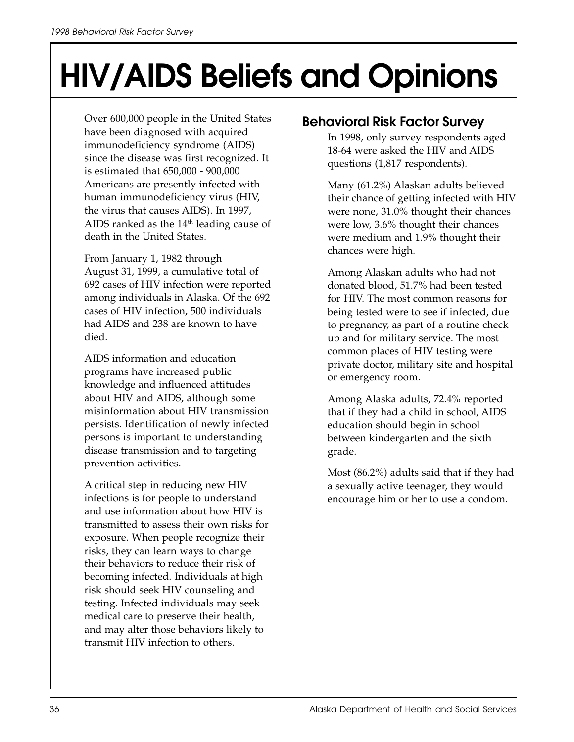# **HIV/AIDS Beliefs and Opinions**

Over 600,000 people in the United States have been diagnosed with acquired immunodeficiency syndrome (AIDS) since the disease was first recognized. It is estimated that 650,000 - 900,000 Americans are presently infected with human immunodeficiency virus (HIV, the virus that causes AIDS). In 1997, AIDS ranked as the  $14<sup>th</sup>$  leading cause of death in the United States.

From January 1, 1982 through August 31, 1999, a cumulative total of 692 cases of HIV infection were reported among individuals in Alaska. Of the 692 cases of HIV infection, 500 individuals had AIDS and 238 are known to have died.

AIDS information and education programs have increased public knowledge and influenced attitudes about HIV and AIDS, although some misinformation about HIV transmission persists. Identification of newly infected persons is important to understanding disease transmission and to targeting prevention activities.

A critical step in reducing new HIV infections is for people to understand and use information about how HIV is transmitted to assess their own risks for exposure. When people recognize their risks, they can learn ways to change their behaviors to reduce their risk of becoming infected. Individuals at high risk should seek HIV counseling and testing. Infected individuals may seek medical care to preserve their health, and may alter those behaviors likely to transmit HIV infection to others.

#### **Behavioral Risk Factor Survey**

In 1998, only survey respondents aged 18-64 were asked the HIV and AIDS questions (1,817 respondents).

Many (61.2%) Alaskan adults believed their chance of getting infected with HIV were none, 31.0% thought their chances were low, 3.6% thought their chances were medium and 1.9% thought their chances were high.

Among Alaskan adults who had not donated blood, 51.7% had been tested for HIV. The most common reasons for being tested were to see if infected, due to pregnancy, as part of a routine check up and for military service. The most common places of HIV testing were private doctor, military site and hospital or emergency room.

Among Alaska adults, 72.4% reported that if they had a child in school, AIDS education should begin in school between kindergarten and the sixth grade.

Most (86.2%) adults said that if they had a sexually active teenager, they would encourage him or her to use a condom.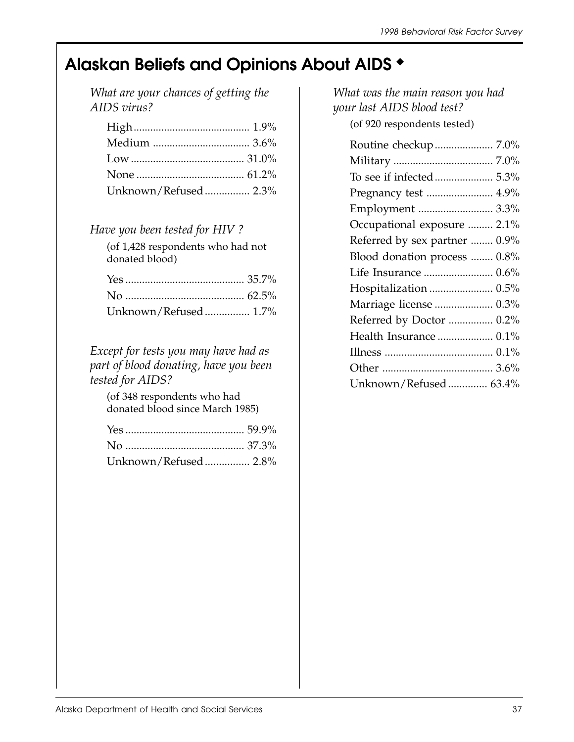## **Alaskan Beliefs and Opinions About AIDS** ◆

*What are your chances of getting the AIDS virus?*

| Unknown/Refused 2.3% |  |
|----------------------|--|

#### *Have you been tested for HIV ?*

(of 1,428 respondents who had not donated blood)

| Unknown/Refused 1.7% |  |
|----------------------|--|

*Except for tests you may have had as part of blood donating, have you been tested for AIDS?*

(of 348 respondents who had donated blood since March 1985)

| Unknown/Refused 2.8% |  |
|----------------------|--|

*What was the main reason you had your last AIDS blood test?* (of 920 respondents tested)

Routine checkup..................... 7.0% Military .................................... 7.0% To see if infected..................... 5.3% Pregnancy test ........................ 4.9% Employment ........................... 3.3% Occupational exposure ......... 2.1% Referred by sex partner ........ 0.9% Blood donation process ........ 0.8% Life Insurance ......................... 0.6% Hospitalization ....................... 0.5% Marriage license ..................... 0.3% Referred by Doctor ................ 0.2% Health Insurance ...................... 0.1% Illness ....................................... 0.1% Other ........................................ 3.6% Unknown/Refused.............. 63.4%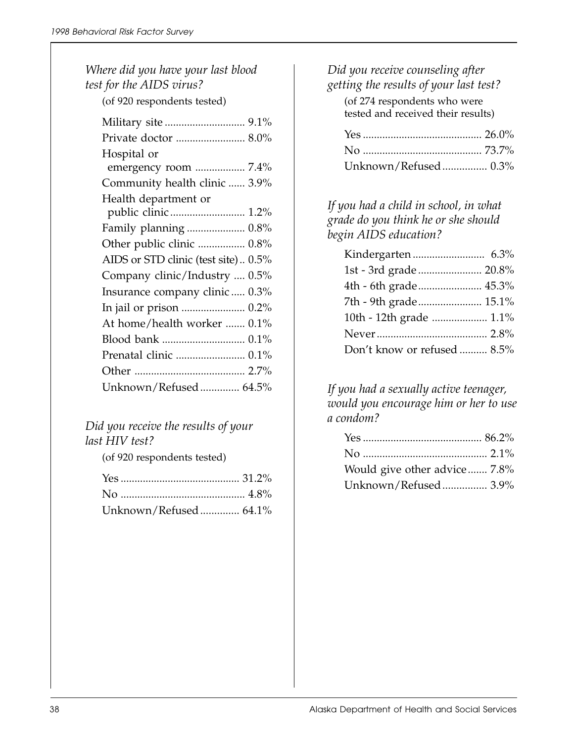#### *Where did you have your last blood test for the AIDS virus?*

(of 920 respondents tested)

| Military site  9.1%                 |  |
|-------------------------------------|--|
| Private doctor  8.0%                |  |
| Hospital or                         |  |
| emergency room  7.4%                |  |
| Community health clinic  3.9%       |  |
| Health department or                |  |
|                                     |  |
| Family planning  0.8%               |  |
| Other public clinic  0.8%           |  |
| AIDS or STD clinic (test site) 0.5% |  |
| Company clinic/Industry  0.5%       |  |
| Insurance company clinic  0.3%      |  |
|                                     |  |
| At home/health worker  0.1%         |  |
|                                     |  |
|                                     |  |
|                                     |  |
| Unknown/Refused  64.5%              |  |

#### *Did you receive the results of your last HIV test?*

(of 920 respondents tested)

| Unknown/Refused 64.1% |  |
|-----------------------|--|

#### *Did you receive counseling after getting the results of your last test?*

(of 274 respondents who were tested and received their results)

| Unknown/Refused 0.3% |  |
|----------------------|--|

*If you had a child in school, in what grade do you think he or she should begin AIDS education?*

| 4th - 6th grade 45.3%       |  |
|-----------------------------|--|
| 7th - 9th grade 15.1%       |  |
| 10th - 12th grade  1.1%     |  |
|                             |  |
| Don't know or refused  8.5% |  |

*If you had a sexually active teenager, would you encourage him or her to use a condom?*

| Would give other advice 7.8% |  |
|------------------------------|--|
| Unknown/Refused 3.9%         |  |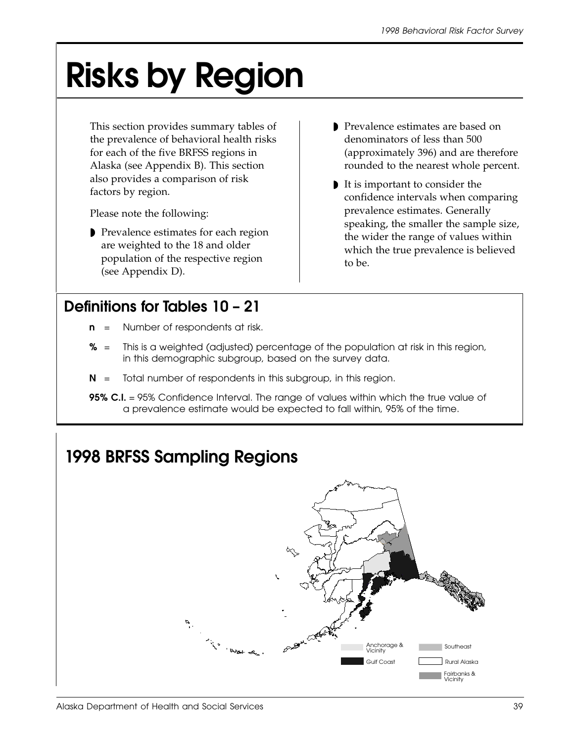# **Risks by Region**

This section provides summary tables of the prevalence of behavioral health risks for each of the five BRFSS regions in Alaska (see Appendix B). This section also provides a comparison of risk factors by region.

Please note the following:

◗ Prevalence estimates for each region are weighted to the 18 and older population of the respective region (see Appendix D).

## **Definitions for Tables 10 – 21**

- **n** = Number of respondents at risk.
- **%** = This is a weighted (adjusted) percentage of the population at risk in this region, in this demographic subgroup, based on the survey data.
- **N** = Total number of respondents in this subgroup, in this region.
- **95% C.I.** = 95% Confidence Interval. The range of values within which the true value of a prevalence estimate would be expected to fall within, 95% of the time.



- ◗ Prevalence estimates are based on denominators of less than 500 (approximately 396) and are therefore rounded to the nearest whole percent.
- ◗ It is important to consider the confidence intervals when comparing prevalence estimates. Generally speaking, the smaller the sample size, the wider the range of values within which the true prevalence is believed to be.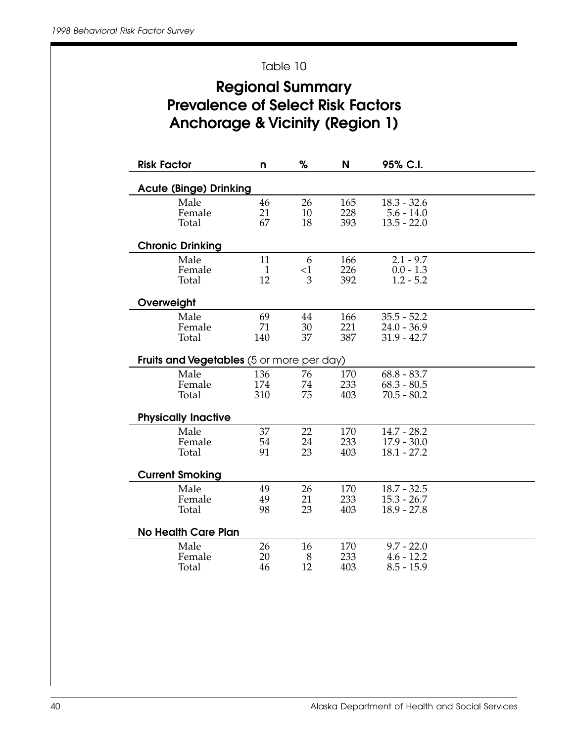## **Regional Summary Prevalence of Select Risk Factors Anchorage & Vicinity (Region 1)**

| <b>Risk Factor</b>                                | n                 | %               | N                 | 95% C.I.                                        |  |
|---------------------------------------------------|-------------------|-----------------|-------------------|-------------------------------------------------|--|
| <b>Acute (Binge) Drinking</b>                     |                   |                 |                   |                                                 |  |
| Male<br>Female<br>Total                           | 46<br>21<br>67    | 26<br>10<br>18  | 165<br>228<br>393 | $18.3 - 32.6$<br>$5.6 - 14.0$<br>$13.5 - 22.0$  |  |
| <b>Chronic Drinking</b>                           |                   |                 |                   |                                                 |  |
| Male<br>Female<br>Total                           | 11<br>1<br>12     | 6<br>$<$ 1<br>3 | 166<br>226<br>392 | $2.1 - 9.7$<br>$0.0 - 1.3$<br>$1.2 - 5.2$       |  |
| Overweight                                        |                   |                 |                   |                                                 |  |
| Male<br>Female<br>Total                           | 69<br>71<br>140   | 44<br>30<br>37  | 166<br>221<br>387 | $35.5 - 52.2$<br>$24.0 - 36.9$<br>$31.9 - 42.7$ |  |
| <b>Fruits and Vegetables</b> (5 or more per day)  |                   |                 |                   |                                                 |  |
| Male<br>Female<br>Total                           | 136<br>174<br>310 | 76<br>74<br>75  | 170<br>233<br>403 | $68.8 - 83.7$<br>$68.3 - 80.5$<br>$70.5 - 80.2$ |  |
| <b>Physically Inactive</b>                        |                   |                 |                   |                                                 |  |
| Male<br>Female<br>Total<br><b>Current Smoking</b> | 37<br>54<br>91    | 22<br>24<br>23  | 170<br>233<br>403 | $14.7 - 28.2$<br>$17.9 - 30.0$<br>$18.1 - 27.2$ |  |
| Male                                              | 49                | 26              | 170               | $18.7 - 32.5$                                   |  |
| Female<br>Total                                   | 49<br>98          | 21<br>23        | 233<br>403        | $15.3 - 26.7$<br>$18.9 - 27.8$                  |  |
| <b>No Health Care Plan</b>                        |                   |                 |                   |                                                 |  |
| Male<br>Female<br>Total                           | 26<br>20<br>46    | 16<br>8<br>12   | 170<br>233<br>403 | $9.7 - 22.0$<br>$4.6 - 12.2$<br>$8.5 - 15.9$    |  |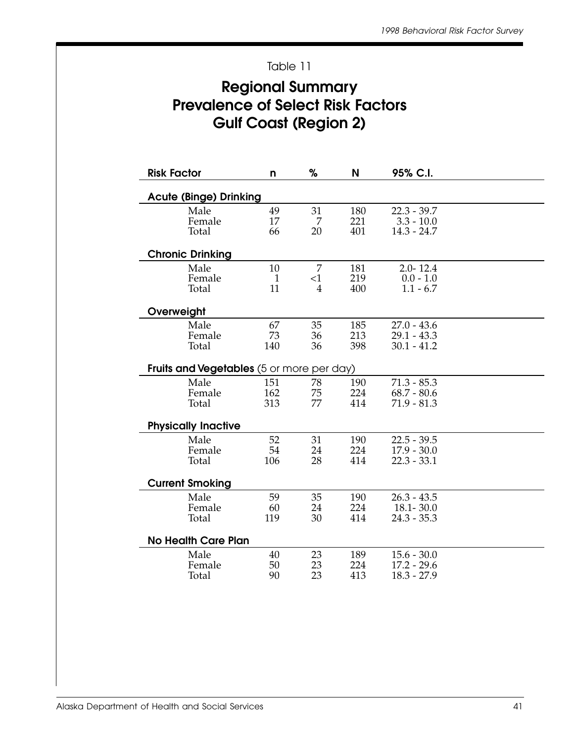## **Regional Summary Prevalence of Select Risk Factors Gulf Coast (Region 2)**

| <b>Risk Factor</b>                               | n            | %              | N   | 95% C.I.      |  |
|--------------------------------------------------|--------------|----------------|-----|---------------|--|
| <b>Acute (Binge) Drinking</b>                    |              |                |     |               |  |
| Male                                             | 49           | 31             | 180 | $22.3 - 39.7$ |  |
| Female                                           | 17           | 7              | 221 | $3.3 - 10.0$  |  |
| Total                                            | 66           | 20             | 401 | $14.3 - 24.7$ |  |
| <b>Chronic Drinking</b>                          |              |                |     |               |  |
| Male                                             | 10           | 7              | 181 | $2.0 - 12.4$  |  |
| Female                                           | $\mathbf{1}$ | $<$ 1          | 219 | $0.0 - 1.0$   |  |
| Total                                            | 11           | $\overline{4}$ | 400 | $1.1 - 6.7$   |  |
| Overweight                                       |              |                |     |               |  |
| Male                                             | 67           | 35             | 185 | $27.0 - 43.6$ |  |
| Female                                           | 73           | 36             | 213 | $29.1 - 43.3$ |  |
| Total                                            | 140          | 36             | 398 | $30.1 - 41.2$ |  |
| <b>Fruits and Vegetables</b> (5 or more per day) |              |                |     |               |  |
| Male                                             | 151          | 78             | 190 | $71.3 - 85.3$ |  |
| Female                                           | 162          | 75             | 224 | $68.7 - 80.6$ |  |
| Total                                            | 313          | 77             | 414 | $71.9 - 81.3$ |  |
| <b>Physically Inactive</b>                       |              |                |     |               |  |
| Male                                             | 52           | 31             | 190 | $22.5 - 39.5$ |  |
| Female                                           | 54           | 24             | 224 | $17.9 - 30.0$ |  |
| Total                                            | 106          | 28             | 414 | $22.3 - 33.1$ |  |
| <b>Current Smoking</b>                           |              |                |     |               |  |
| Male                                             | 59           | 35             | 190 | $26.3 - 43.5$ |  |
| Female                                           | 60           | 24             | 224 | 18.1-30.0     |  |
| Total                                            | 119          | 30             | 414 | $24.3 - 35.3$ |  |
| <b>No Health Care Plan</b>                       |              |                |     |               |  |
| Male                                             | 40           | 23             | 189 | $15.6 - 30.0$ |  |
| Female                                           | 50           | 23             | 224 | $17.2 - 29.6$ |  |
| Total                                            | 90           | 23             | 413 | $18.3 - 27.9$ |  |
|                                                  |              |                |     |               |  |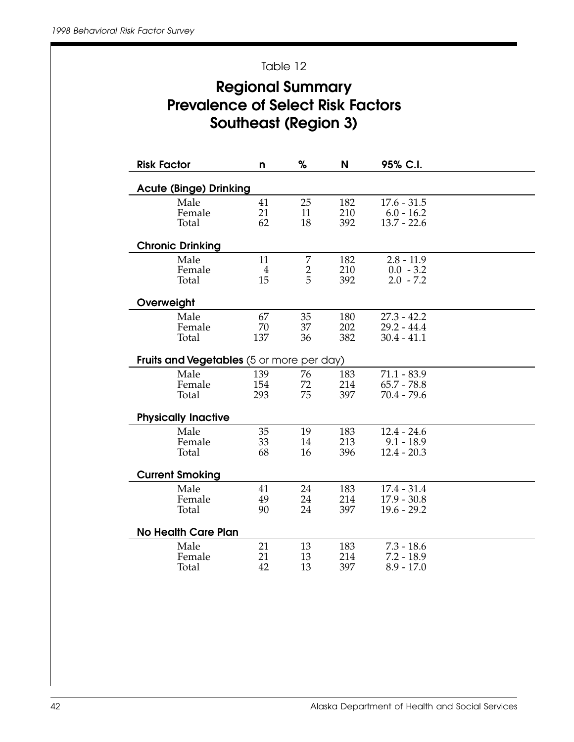## **Regional Summary Prevalence of Select Risk Factors Southeast (Region 3)**

| <b>Risk Factor</b>                                | n                 | %                | N                 | 95% C.I.                                        |  |
|---------------------------------------------------|-------------------|------------------|-------------------|-------------------------------------------------|--|
| <b>Acute (Binge) Drinking</b>                     |                   |                  |                   |                                                 |  |
| Male<br>Female<br>Total                           | 41<br>21<br>62    | 25<br>11<br>18   | 182<br>210<br>392 | $17.6 - 31.5$<br>$6.0 - 16.2$<br>$13.7 - 22.6$  |  |
| <b>Chronic Drinking</b>                           |                   |                  |                   |                                                 |  |
| Male<br>Female<br>Total                           | 11<br>4<br>15     | 7<br>$rac{2}{5}$ | 182<br>210<br>392 | $2.8 - 11.9$<br>$0.0 - 3.2$<br>$2.0 - 7.2$      |  |
| Overweight                                        |                   |                  |                   |                                                 |  |
| Male<br>Female<br>Total                           | 67<br>70<br>137   | 35<br>37<br>36   | 180<br>202<br>382 | $27.3 - 42.2$<br>$29.2 - 44.4$<br>$30.4 - 41.1$ |  |
| Fruits and Vegetables (5 or more per day)         |                   |                  |                   |                                                 |  |
| Male<br>Female<br>Total                           | 139<br>154<br>293 | 76<br>72<br>75   | 183<br>214<br>397 | $71.1 - 83.9$<br>$65.7 - 78.8$<br>$70.4 - 79.6$ |  |
| <b>Physically Inactive</b>                        |                   |                  |                   |                                                 |  |
| Male<br>Female<br>Total<br><b>Current Smoking</b> | 35<br>33<br>68    | 19<br>14<br>16   | 183<br>213<br>396 | $12.4 - 24.6$<br>$9.1 - 18.9$<br>$12.4 - 20.3$  |  |
| Male                                              | 41                | 24               | 183               | $17.4 - 31.4$                                   |  |
| Female<br>Total                                   | 49<br>90          | 24<br>24         | 214<br>397        | $17.9 - 30.8$<br>$19.6 - 29.2$                  |  |
| <b>No Health Care Plan</b>                        |                   |                  |                   |                                                 |  |
| Male<br>Female<br>Total                           | 21<br>21<br>42    | 13<br>13<br>13   | 183<br>214<br>397 | $7.3 - 18.6$<br>$7.2 - 18.9$<br>$8.9 - 17.0$    |  |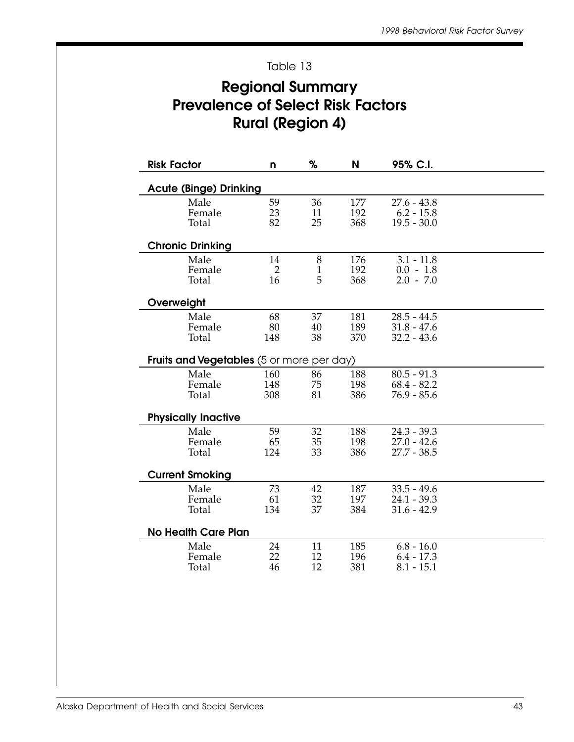## **Regional Summary Prevalence of Select Risk Factors Rural (Region 4)**

| <b>Risk Factor</b>                        | n              | %            | N   | 95% C.I.      |  |
|-------------------------------------------|----------------|--------------|-----|---------------|--|
| <b>Acute (Binge) Drinking</b>             |                |              |     |               |  |
| Male                                      | 59             | 36           | 177 | $27.6 - 43.8$ |  |
| Female                                    | 23             | 11           | 192 | $6.2 - 15.8$  |  |
| Total                                     | 82             | 25           | 368 | $19.5 - 30.0$ |  |
| <b>Chronic Drinking</b>                   |                |              |     |               |  |
| Male                                      | 14             | 8            | 176 | $3.1 - 11.8$  |  |
| Female                                    | $\overline{2}$ | $\mathbf{1}$ | 192 | $0.0 - 1.8$   |  |
| Total                                     | 16             | 5            | 368 | $2.0 - 7.0$   |  |
| Overweight                                |                |              |     |               |  |
| Male                                      | 68             | 37           | 181 | $28.5 - 44.5$ |  |
| Female                                    | 80             | 40           | 189 | $31.8 - 47.6$ |  |
| Total                                     | 148            | 38           | 370 | $32.2 - 43.6$ |  |
| Fruits and Vegetables (5 or more per day) |                |              |     |               |  |
| Male                                      | 160            | 86           | 188 | $80.5 - 91.3$ |  |
| Female                                    | 148            | 75           | 198 | $68.4 - 82.2$ |  |
| Total                                     | 308            | 81           | 386 | $76.9 - 85.6$ |  |
| <b>Physically Inactive</b>                |                |              |     |               |  |
| Male                                      | 59             | 32           | 188 | $24.3 - 39.3$ |  |
| Female                                    | 65             | 35           | 198 | $27.0 - 42.6$ |  |
| Total                                     | 124            | 33           | 386 | $27.7 - 38.5$ |  |
| <b>Current Smoking</b>                    |                |              |     |               |  |
| Male                                      | 73             | 42           | 187 | $33.5 - 49.6$ |  |
| Female                                    | 61             | 32           | 197 | $24.1 - 39.3$ |  |
| Total                                     | 134            | 37           | 384 | $31.6 - 42.9$ |  |
| <b>No Health Care Plan</b>                |                |              |     |               |  |
| Male                                      | 24             | 11           | 185 | $6.8 - 16.0$  |  |
| Female                                    | 22             | 12           | 196 | $6.4 - 17.3$  |  |
| Total                                     | 46             | 12           | 381 | $8.1 - 15.1$  |  |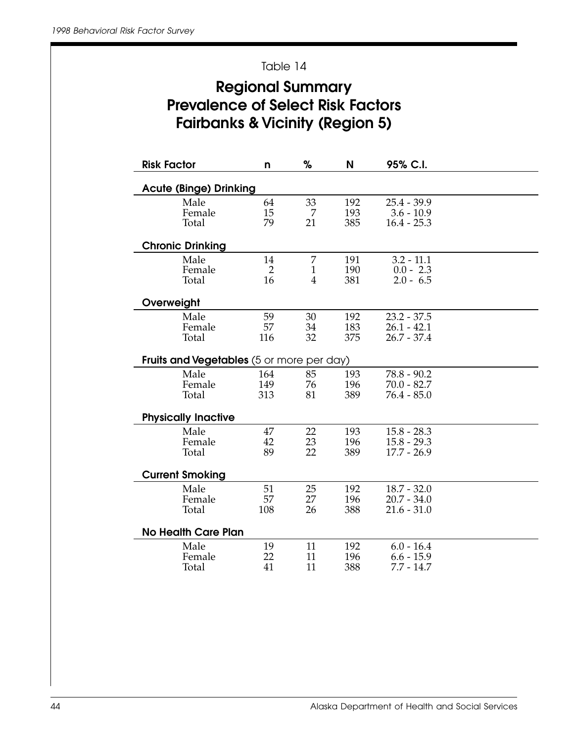## **Regional Summary Prevalence of Select Risk Factors Fairbanks & Vicinity (Region 5)**

| <b>Risk Factor</b>                                | n                          | %                                   | N                 | 95% C.I.                                        |  |
|---------------------------------------------------|----------------------------|-------------------------------------|-------------------|-------------------------------------------------|--|
| <b>Acute (Binge) Drinking</b>                     |                            |                                     |                   |                                                 |  |
| Male<br>Female<br>Total                           | 64<br>15<br>79             | 33<br>7<br>21                       | 192<br>193<br>385 | $25.4 - 39.9$<br>$3.6 - 10.9$<br>$16.4 - 25.3$  |  |
| <b>Chronic Drinking</b>                           |                            |                                     |                   |                                                 |  |
| Male<br>Female<br>Total                           | 14<br>$\overline{2}$<br>16 | 7<br>$\mathbf{1}$<br>$\overline{4}$ | 191<br>190<br>381 | $3.2 - 11.1$<br>$0.0 - 2.3$<br>$2.0 - 6.5$      |  |
| Overweight                                        |                            |                                     |                   |                                                 |  |
| Male<br>Female                                    | 59<br>57                   | 30<br>34                            | 192<br>183        | $23.2 - 37.5$<br>$26.1 - 42.1$                  |  |
| Total                                             | 116                        | 32                                  | 375               | $26.7 - 37.4$                                   |  |
| Fruits and Vegetables (5 or more per day)         |                            |                                     |                   |                                                 |  |
| Male<br>Female<br>Total                           | 164<br>149<br>313          | 85<br>76<br>81                      | 193<br>196<br>389 | $78.8 - 90.2$<br>$70.0 - 82.7$<br>$76.4 - 85.0$ |  |
| <b>Physically Inactive</b>                        |                            |                                     |                   |                                                 |  |
| Male<br>Female<br>Total<br><b>Current Smoking</b> | 47<br>42<br>89             | 22<br>23<br>22                      | 193<br>196<br>389 | $15.8 - 28.3$<br>$15.8 - 29.3$<br>$17.7 - 26.9$ |  |
| Male                                              | 51                         | 25                                  | 192               | $18.7 - 32.0$                                   |  |
| Female<br>Total                                   | 57<br>108                  | 27<br>26                            | 196<br>388        | $20.7 - 34.0$<br>$21.6 - 31.0$                  |  |
| <b>No Health Care Plan</b>                        |                            |                                     |                   |                                                 |  |
| Male                                              | 19                         | 11                                  | 192               | $6.0 - 16.4$                                    |  |
| Female                                            | 22                         | 11                                  | 196               | $6.6 - 15.9$                                    |  |
| Total                                             | 41                         | 11                                  | 388               | $7.7 - 14.7$                                    |  |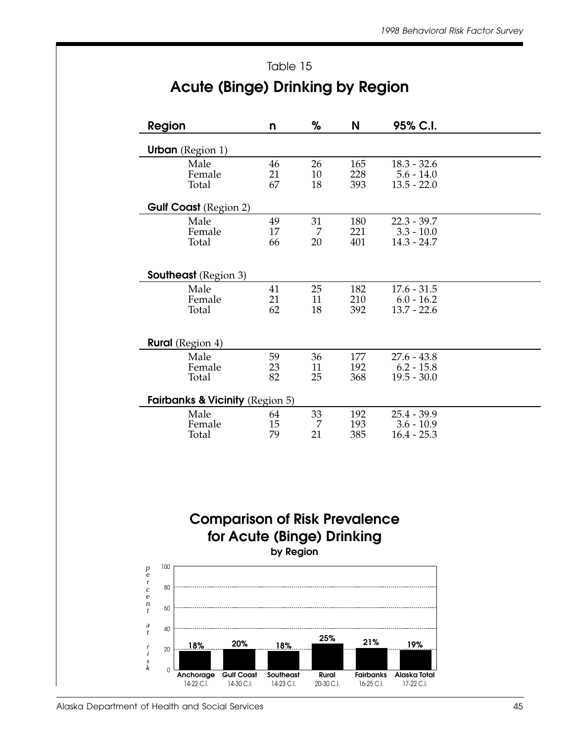|                                         | Table 15 |  |
|-----------------------------------------|----------|--|
| <b>Acute (Binge) Drinking by Region</b> |          |  |

| Region                                     | n                                       | %              | N                 | 95% C.I.                                       |  |
|--------------------------------------------|-----------------------------------------|----------------|-------------------|------------------------------------------------|--|
| <b>Urban</b> (Region 1)                    |                                         |                |                   |                                                |  |
| Male<br>Female<br>Total                    | 46<br>21<br>67                          | 26<br>10<br>18 | 165<br>228<br>393 | $18.3 - 32.6$<br>$5.6 - 14.0$<br>$13.5 - 22.0$ |  |
| <b>Gulf Coast</b> (Region 2)               |                                         |                |                   |                                                |  |
| Male<br>Female<br>Total                    | 49<br>17<br>66                          | 31<br>7<br>20  | 180<br>221<br>401 | $22.3 - 39.7$<br>$3.3 - 10.0$<br>$14.3 - 24.7$ |  |
| <b>Southeast</b> (Region 3)                |                                         |                |                   |                                                |  |
| Male<br>Female<br>Total                    | 41<br>21<br>62                          | 25<br>11<br>18 | 182<br>210<br>392 | $17.6 - 31.5$<br>$6.0 - 16.2$<br>$13.7 - 22.6$ |  |
| <b>Rural</b> (Region 4)                    |                                         |                |                   |                                                |  |
| Male<br>Female<br>Total                    | 59<br>23<br>82                          | 36<br>11<br>25 | 177<br>192<br>368 | $27.6 - 43.8$<br>$6.2 - 15.8$<br>$19.5 - 30.0$ |  |
| <b>Fairbanks &amp; Vicinity (Region 5)</b> |                                         |                |                   |                                                |  |
| Male<br>Female<br>Total                    | 64<br>15<br>79                          | 33<br>7<br>21  | 192<br>193<br>385 | $25.4 - 39.9$<br>$3.6 - 10.9$<br>$16.4 - 25.3$ |  |
| <b>Comparison of Risk Prevalence</b>       | for Acute (Binge) Drinking<br>by Region |                |                   |                                                |  |

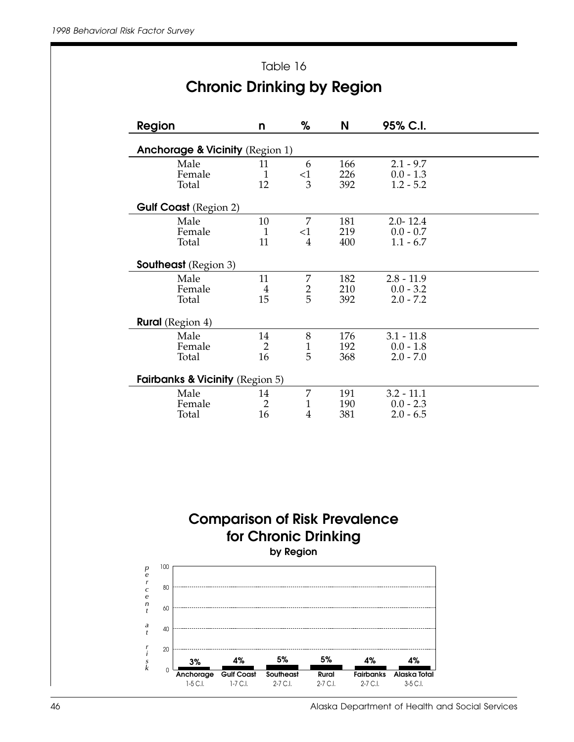## Table 16 **Chronic Drinking by Region**

| Region                                     | n                          | %                  | N                 | 95% C.I.                                   |  |
|--------------------------------------------|----------------------------|--------------------|-------------------|--------------------------------------------|--|
| <b>Anchorage &amp; Vicinity (Region 1)</b> |                            |                    |                   |                                            |  |
| Male<br>Female<br>Total                    | 11<br>$\mathbf{1}$<br>12   | 6<br><1<br>3       | 166<br>226<br>392 | $2.1 - 9.7$<br>$0.0 - 1.3$<br>$1.2 - 5.2$  |  |
| <b>Gulf Coast</b> (Region 2)               |                            |                    |                   |                                            |  |
| Male<br>Female<br>Total                    | 10<br>$\mathbf{1}$<br>11   | 7<br>$\leq$ 1<br>4 | 181<br>219<br>400 | $2.0 - 12.4$<br>$0.0 - 0.7$<br>$1.1 - 6.7$ |  |
| <b>Southeast</b> (Region 3)                |                            |                    |                   |                                            |  |
| Male<br>Female<br>Total                    | 11<br>4<br>15              | 7<br>$rac{2}{5}$   | 182<br>210<br>392 | $2.8 - 11.9$<br>$0.0 - 3.2$<br>$2.0 - 7.2$ |  |
| <b>Rural</b> (Region 4)                    |                            |                    |                   |                                            |  |
| Male<br>Female<br>Total                    | 14<br>$\overline{2}$<br>16 | 8<br>1<br>5        | 176<br>192<br>368 | $3.1 - 11.8$<br>$0.0 - 1.8$<br>$2.0 - 7.0$ |  |
| <b>Fairbanks &amp; Vicinity</b> (Region 5) |                            |                    |                   |                                            |  |
| Male<br>Female<br>Total                    | 14<br>$\overline{2}$<br>16 | 7<br>1<br>4        | 191<br>190<br>381 | $3.2 - 11.1$<br>$0.0 - 2.3$<br>$2.0 - 6.5$ |  |



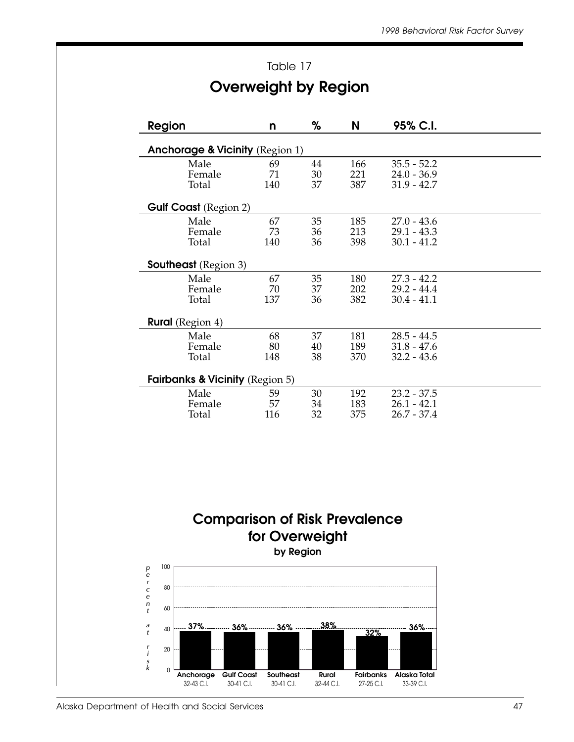## **Overweight by Region**

| Region                                     | n               | %              | N                 | 95% C.I.                                        |  |
|--------------------------------------------|-----------------|----------------|-------------------|-------------------------------------------------|--|
| <b>Anchorage &amp; Vicinity (Region 1)</b> |                 |                |                   |                                                 |  |
| Male<br>Female<br>Total                    | 69<br>71<br>140 | 44<br>30<br>37 | 166<br>221<br>387 | $35.5 - 52.2$<br>$24.0 - 36.9$<br>$31.9 - 42.7$ |  |
| <b>Gulf Coast</b> (Region 2)               |                 |                |                   |                                                 |  |
| Male<br>Female<br>Total                    | 67<br>73<br>140 | 35<br>36<br>36 | 185<br>213<br>398 | $27.0 - 43.6$<br>$29.1 - 43.3$<br>$30.1 - 41.2$ |  |
| <b>Southeast</b> (Region 3)                |                 |                |                   |                                                 |  |
| Male<br>Female<br>Total                    | 67<br>70<br>137 | 35<br>37<br>36 | 180<br>202<br>382 | $27.3 - 42.2$<br>$29.2 - 44.4$<br>$30.4 - 41.1$ |  |
| <b>Rural</b> (Region 4)                    |                 |                |                   |                                                 |  |
| Male<br>Female<br>Total                    | 68<br>80<br>148 | 37<br>40<br>38 | 181<br>189<br>370 | $28.5 - 44.5$<br>$31.8 - 47.6$<br>$32.2 - 43.6$ |  |
| Fairbanks & Vicinity (Region 5)            |                 |                |                   |                                                 |  |
| Male<br>Female<br>Total                    | 59<br>57<br>116 | 30<br>34<br>32 | 192<br>183<br>375 | $23.2 - 37.5$<br>$26.1 - 42.1$<br>$26.7 - 37.4$ |  |



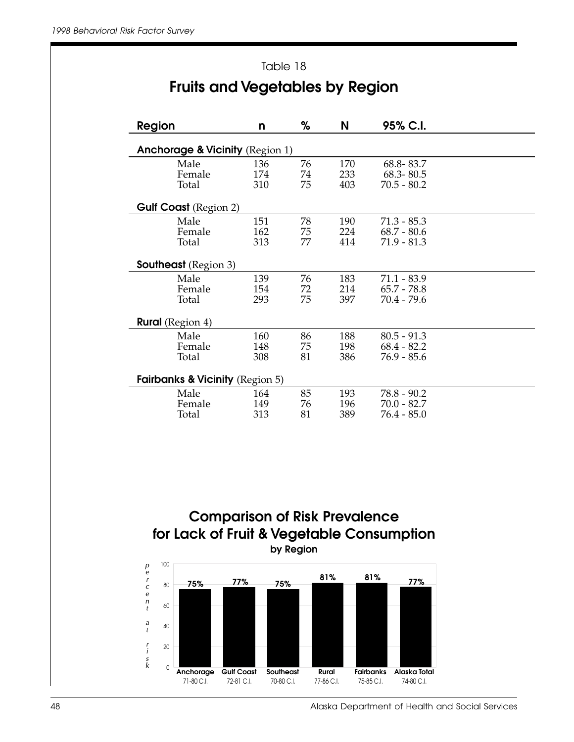## **Fruits and Vegetables by Region**

| Region                                     | n                 | %              | N                 | 95% C.I.                                        |  |
|--------------------------------------------|-------------------|----------------|-------------------|-------------------------------------------------|--|
| <b>Anchorage &amp; Vicinity (Region 1)</b> |                   |                |                   |                                                 |  |
| Male<br>Female<br>Total                    | 136<br>174<br>310 | 76<br>74<br>75 | 170<br>233<br>403 | $68.8 - 83.7$<br>$68.3 - 80.5$<br>$70.5 - 80.2$ |  |
| <b>Gulf Coast</b> (Region 2)               |                   |                |                   |                                                 |  |
| Male<br>Female<br>Total                    | 151<br>162<br>313 | 78<br>75<br>77 | 190<br>224<br>414 | $71.3 - 85.3$<br>$68.7 - 80.6$<br>$71.9 - 81.3$ |  |
| <b>Southeast</b> (Region 3)                |                   |                |                   |                                                 |  |
| Male<br>Female<br>Total                    | 139<br>154<br>293 | 76<br>72<br>75 | 183<br>214<br>397 | $71.1 - 83.9$<br>$65.7 - 78.8$<br>70.4 - 79.6   |  |
| <b>Rural</b> (Region 4)                    |                   |                |                   |                                                 |  |
| Male<br>Female<br>Total                    | 160<br>148<br>308 | 86<br>75<br>81 | 188<br>198<br>386 | $80.5 - 91.3$<br>$68.4 - 82.2$<br>$76.9 - 85.6$ |  |
| <b>Fairbanks &amp; Vicinity (Region 5)</b> |                   |                |                   |                                                 |  |
| Male<br>Female<br>Total                    | 164<br>149<br>313 | 85<br>76<br>81 | 193<br>196<br>389 | $78.8 - 90.2$<br>$70.0 - 82.7$<br>$76.4 - 85.0$ |  |



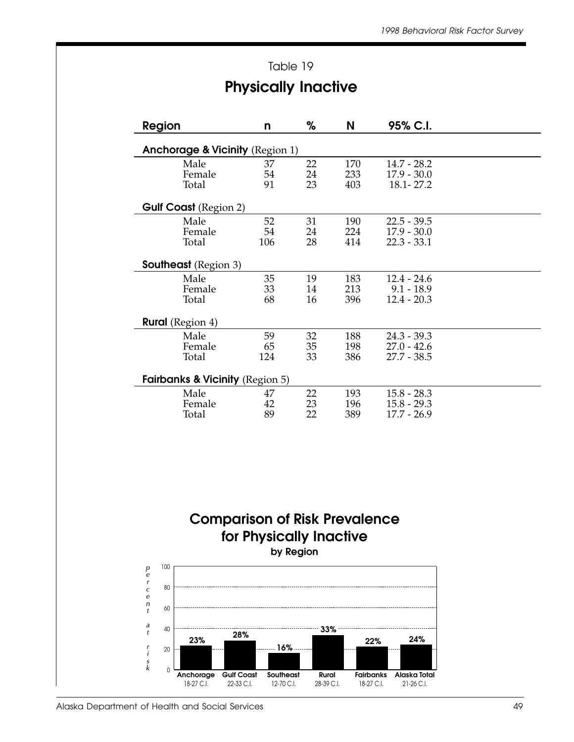## **Physically Inactive**

| Region                                     | n        | %        | N          | 95% C.I.                     |  |
|--------------------------------------------|----------|----------|------------|------------------------------|--|
| <b>Anchorage &amp; Vicinity (Region 1)</b> |          |          |            |                              |  |
| Male                                       | 37       | 22       | 170        | $14.7 - 28.2$                |  |
| Female<br>Total                            | 54<br>91 | 24<br>23 | 233<br>403 | $17.9 - 30.0$<br>18.1 - 27.2 |  |
| <b>Gulf Coast</b> (Region 2)               |          |          |            |                              |  |
| Male                                       | 52       | 31       | 190        | $22.5 - 39.5$                |  |
| Female                                     | 54       | 24       | 224        | $17.9 - 30.0$                |  |
| Total                                      | 106      | 28       | 414        | $22.3 - 33.1$                |  |
| <b>Southeast</b> (Region 3)                |          |          |            |                              |  |
| Male                                       | 35       | 19       | 183        | $12.4 - 24.6$                |  |
| Female                                     | 33       | 14       | 213        | $9.1 - 18.9$                 |  |
| Total                                      | 68       | 16       | 396        | $12.4 - 20.3$                |  |
| <b>Rural</b> (Region 4)                    |          |          |            |                              |  |
| Male                                       | 59       | 32       | 188        | $24.3 - 39.3$                |  |
| Female                                     | 65       | 35       | 198        | $27.0 - 42.6$                |  |
| Total                                      | 124      | 33       | 386        | $27.7 - 38.5$                |  |
| Fairbanks & Vicinity (Region 5)            |          |          |            |                              |  |
| Male                                       | 47       | 22       | 193        | $15.8 - 28.3$                |  |
| Female                                     | 42       | 23       | 196        | $15.8 - 29.3$                |  |
| Total                                      | 89       | 22       | 389        | $17.7 - 26.9$                |  |





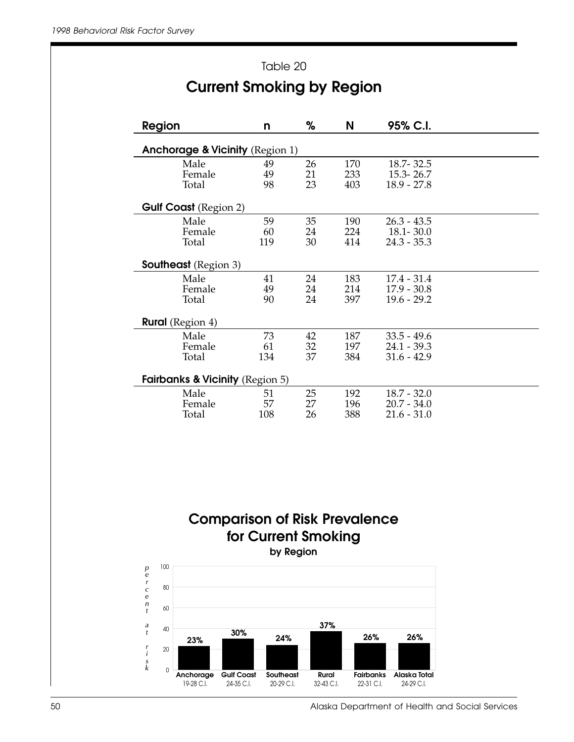## **Current Smoking by Region**

| Region                                     | n   | ℅  | Ν   | 95% C.I.      |  |
|--------------------------------------------|-----|----|-----|---------------|--|
| <b>Anchorage &amp; Vicinity (Region 1)</b> |     |    |     |               |  |
| Male                                       | 49  | 26 | 170 | $18.7 - 32.5$ |  |
| Female                                     | 49  | 21 | 233 | 15.3-26.7     |  |
| Total                                      | 98  | 23 | 403 | $18.9 - 27.8$ |  |
| <b>Gulf Coast</b> (Region 2)               |     |    |     |               |  |
| Male                                       | 59  | 35 | 190 | $26.3 - 43.5$ |  |
| Female                                     | 60  | 24 | 224 | $18.1 - 30.0$ |  |
| Total                                      | 119 | 30 | 414 | $24.3 - 35.3$ |  |
|                                            |     |    |     |               |  |
| <b>Southeast</b> (Region 3)                |     |    |     |               |  |
| Male                                       | 41  | 24 | 183 | $17.4 - 31.4$ |  |
| Female                                     | 49  | 24 | 214 | $17.9 - 30.8$ |  |
| Total                                      | 90  | 24 | 397 | $19.6 - 29.2$ |  |
|                                            |     |    |     |               |  |
| <b>Rural</b> (Region 4)                    |     |    |     |               |  |
| Male                                       | 73  | 42 | 187 | $33.5 - 49.6$ |  |
| Female                                     | 61  | 32 | 197 | $24.1 - 39.3$ |  |
| Total                                      | 134 | 37 | 384 | $31.6 - 42.9$ |  |
|                                            |     |    |     |               |  |
| <b>Fairbanks &amp; Vicinity (Region 5)</b> |     |    |     |               |  |
| Male                                       | 51  | 25 | 192 | $18.7 - 32.0$ |  |
| Female                                     | 57  | 27 | 196 | $20.7 - 34.0$ |  |
| Total                                      | 108 | 26 | 388 | $21.6 - 31.0$ |  |

## **Comparison of Risk Prevalence for Current Smoking**

**by Region**

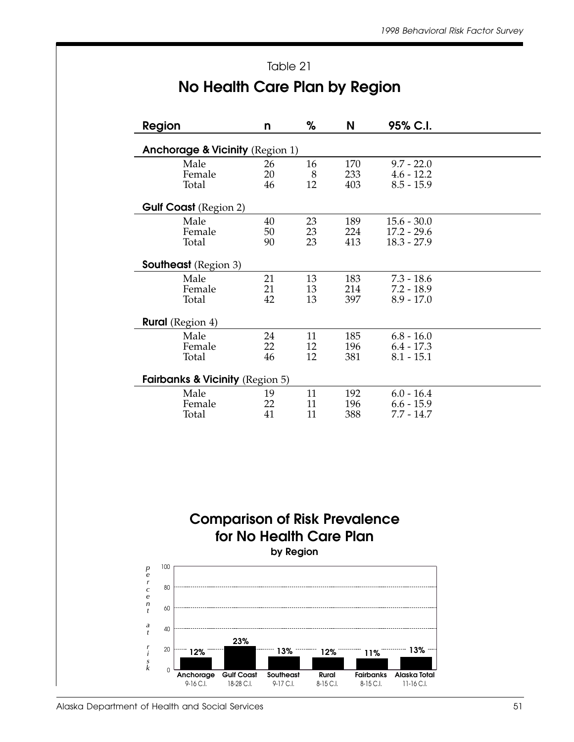## **No Health Care Plan by Region**

| Region                                     | n              | %              | N                 | 95% C.I.                                        |  |
|--------------------------------------------|----------------|----------------|-------------------|-------------------------------------------------|--|
| <b>Anchorage &amp; Vicinity (Region 1)</b> |                |                |                   |                                                 |  |
| Male<br>Female<br>Total                    | 26<br>20<br>46 | 16<br>8<br>12  | 170<br>233<br>403 | $9.7 - 22.0$<br>$4.6 - 12.2$<br>$8.5 - 15.9$    |  |
| <b>Gulf Coast</b> (Region 2)               |                |                |                   |                                                 |  |
| Male<br>Female<br>Total                    | 40<br>50<br>90 | 23<br>23<br>23 | 189<br>224<br>413 | $15.6 - 30.0$<br>$17.2 - 29.6$<br>$18.3 - 27.9$ |  |
| <b>Southeast</b> (Region 3)                |                |                |                   |                                                 |  |
| Male<br>Female<br>Total                    | 21<br>21<br>42 | 13<br>13<br>13 | 183<br>214<br>397 | $7.3 - 18.6$<br>$7.2 - 18.9$<br>$8.9 - 17.0$    |  |
| <b>Rural</b> (Region 4)                    |                |                |                   |                                                 |  |
| Male<br>Female<br>Total                    | 24<br>22<br>46 | 11<br>12<br>12 | 185<br>196<br>381 | $6.8 - 16.0$<br>$6.4 - 17.3$<br>$8.1 - 15.1$    |  |
| Fairbanks & Vicinity (Region 5)            |                |                |                   |                                                 |  |
| Male<br>Female<br>Total                    | 19<br>22<br>41 | 11<br>11<br>11 | 192<br>196<br>388 | $6.0 - 16.4$<br>$6.6 - 15.9$<br>$7.7 - 14.7$    |  |



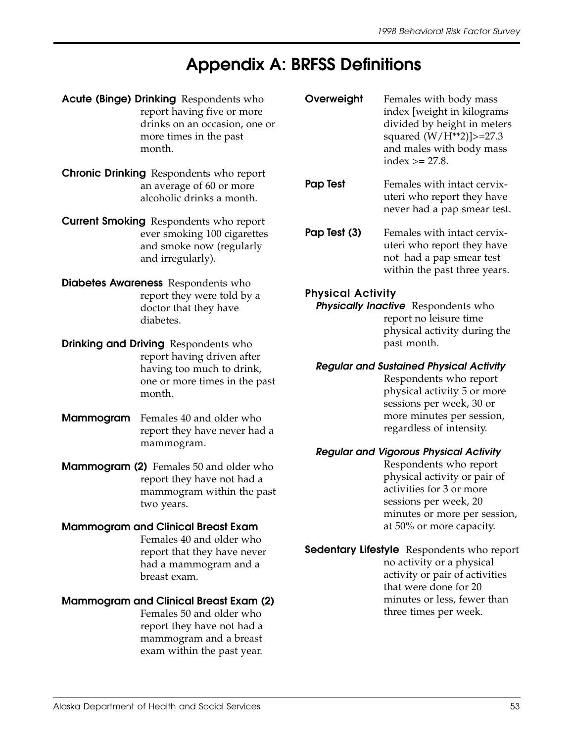# **Appendix A: BRFSS Definitions**

**Overweight** Females with body mass index [weight in kilograms divided by height in meters squared (W/H\*\*2)]>=27.3 and males with body mass index  $>= 27.8$ . **Pap Test** Females with intact cervixuteri who report they have never had a pap smear test. **Pap Test (3)** Females with intact cervixuteri who report they have not had a pap smear test within the past three years. **Physical Activity Physically Inactive** Respondents who report no leisure time physical activity during the past month.  **Regular and Sustained Physical Activity** Respondents who report physical activity 5 or more sessions per week, 30 or more minutes per session, regardless of intensity.  **Regular and Vigorous Physical Activity** Respondents who report physical activity or pair of activities for 3 or more sessions per week, 20 minutes or more per session, at 50% or more capacity. **Sedentary Lifestyle** Respondents who report no activity or a physical activity or pair of activities that were done for 20 minutes or less, fewer than three times per week. **Acute (Binge) Drinking** Respondents who report having five or more drinks on an occasion, one or more times in the past month. **Chronic Drinking** Respondents who report an average of 60 or more alcoholic drinks a month. **Current Smoking** Respondents who report ever smoking 100 cigarettes and smoke now (regularly and irregularly). **Diabetes Awareness** Respondents who report they were told by a doctor that they have diabetes. **Drinking and Driving** Respondents who report having driven after having too much to drink, one or more times in the past month. **Mammogram** Females 40 and older who report they have never had a mammogram. **Mammogram (2)** Females 50 and older who report they have not had a mammogram within the past two years. **Mammogram and Clinical Breast Exam** Females 40 and older who report that they have never had a mammogram and a breast exam. **Mammogram and Clinical Breast Exam (2)** Females 50 and older who report they have not had a mammogram and a breast exam within the past year.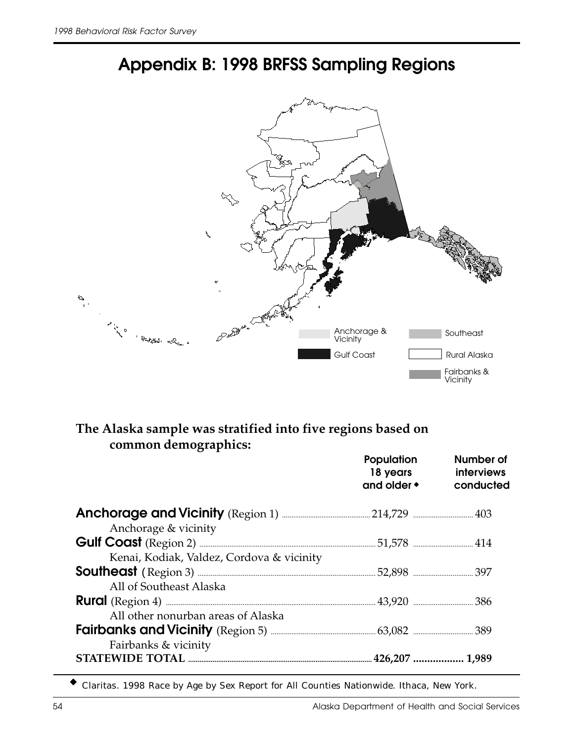

## **Appendix B: 1998 BRFSS Sampling Regions**

#### **The Alaska sample was stratified into five regions based on common demographics:**

|                                                                                                                  | Population<br>18 years<br>and older $\bullet$ | Number of<br>interviews<br>conducted |
|------------------------------------------------------------------------------------------------------------------|-----------------------------------------------|--------------------------------------|
|                                                                                                                  |                                               |                                      |
| Anchorage & vicinity                                                                                             |                                               |                                      |
| <b>Gulf Coast</b> (Region 2) <b><i>manufacture 120 <b>COAST</b></i></b> (Region 2) <b><i>manufacture 124</i></b> |                                               |                                      |
| Kenai, Kodiak, Valdez, Cordova & vicinity                                                                        |                                               |                                      |
|                                                                                                                  |                                               |                                      |
| All of Southeast Alaska                                                                                          |                                               |                                      |
| <b>Rural</b> (Region 4) <b><i>manufacture 386</i></b>                                                            |                                               |                                      |
| All other nonurban areas of Alaska                                                                               |                                               |                                      |
|                                                                                                                  |                                               |                                      |
| Fairbanks & vicinity                                                                                             |                                               |                                      |
|                                                                                                                  |                                               |                                      |

◆ Claritas. 1998 Race by Age by Sex Report for All Counties Nationwide. Ithaca, New York.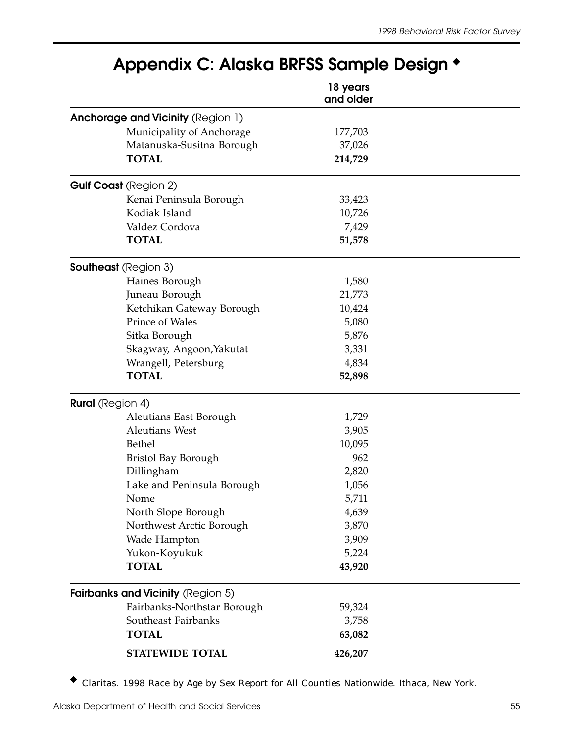|                                          | 18 years<br>and older |  |
|------------------------------------------|-----------------------|--|
| <b>Anchorage and Vicinity (Region 1)</b> |                       |  |
| Municipality of Anchorage                | 177,703               |  |
| Matanuska-Susitna Borough                | 37,026                |  |
| <b>TOTAL</b>                             | 214,729               |  |
| <b>Gulf Coast (Region 2)</b>             |                       |  |
| Kenai Peninsula Borough                  | 33,423                |  |
| Kodiak Island                            | 10,726                |  |
| Valdez Cordova                           | 7,429                 |  |
| <b>TOTAL</b>                             | 51,578                |  |
| <b>Southeast</b> (Region 3)              |                       |  |
| Haines Borough                           | 1,580                 |  |
| Juneau Borough                           | 21,773                |  |
| Ketchikan Gateway Borough                | 10,424                |  |
| Prince of Wales                          | 5,080                 |  |
| Sitka Borough                            | 5,876                 |  |
| Skagway, Angoon, Yakutat                 | 3,331                 |  |
| Wrangell, Petersburg                     | 4,834                 |  |
| <b>TOTAL</b>                             | 52,898                |  |
| <b>Rural</b> (Region 4)                  |                       |  |
| Aleutians East Borough                   | 1,729                 |  |
| <b>Aleutians West</b>                    | 3,905                 |  |
| Bethel                                   | 10,095                |  |
| Bristol Bay Borough                      | 962                   |  |
| Dillingham                               | 2,820                 |  |
| Lake and Peninsula Borough               | 1,056                 |  |
| Nome                                     | 5,711                 |  |
| North Slope Borough                      | 4,639                 |  |
| Northwest Arctic Borough                 | 3,870                 |  |
| Wade Hampton                             | 3,909                 |  |
| Yukon-Koyukuk                            | 5,224                 |  |
| <b>TOTAL</b>                             | 43,920                |  |
| <b>Fairbanks and Vicinity (Region 5)</b> |                       |  |
| Fairbanks-Northstar Borough              | 59,324                |  |
| Southeast Fairbanks                      | 3,758                 |  |
| <b>TOTAL</b>                             | 63,082                |  |
| <b>STATEWIDE TOTAL</b>                   | 426,207               |  |

## **Appendix C: Alaska BRFSS Sample Design** ◆

◆ Claritas. 1998 Race by Age by Sex Report for All Counties Nationwide. Ithaca, New York.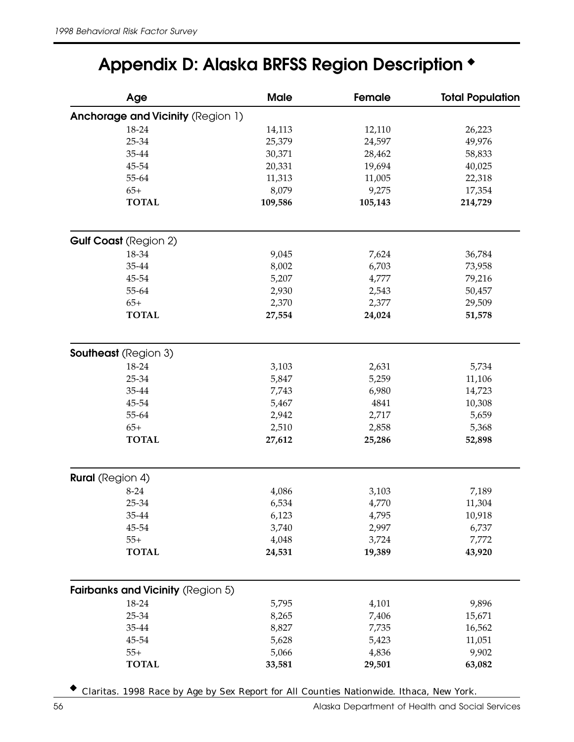# **Appendix D: Alaska BRFSS Region Description** ◆

| Age                                      | <b>Male</b>    | Female  | <b>Total Population</b> |
|------------------------------------------|----------------|---------|-------------------------|
| <b>Anchorage and Vicinity (Region 1)</b> |                |         |                         |
| 18-24                                    | 14,113         | 12,110  | 26,223                  |
| 25-34                                    | 25,379         | 24,597  | 49,976                  |
| 35-44                                    | 30,371         | 28,462  | 58,833                  |
| 45-54                                    | 20,331         | 19,694  | 40,025                  |
| 55-64                                    | 11,313         | 11,005  | 22,318                  |
| $65+$                                    | 8,079          | 9,275   | 17,354                  |
| <b>TOTAL</b>                             | 109,586        | 105,143 | 214,729                 |
| <b>Gulf Coast (Region 2)</b>             |                |         |                         |
| 18-34                                    | 9,045          | 7,624   | 36,784                  |
| 35-44                                    | 8,002          | 6,703   | 73,958                  |
| 45-54                                    | 5,207          | 4,777   | 79,216                  |
| 55-64                                    | 2,930          | 2,543   | 50,457                  |
| $65+$                                    | 2,370          | 2,377   | 29,509                  |
| <b>TOTAL</b>                             | 27,554         | 24,024  | 51,578                  |
| <b>Southeast</b> (Region 3)              |                |         |                         |
| 18-24                                    | 3,103          | 2,631   | 5,734                   |
| 25-34                                    | 5,847          | 5,259   | 11,106                  |
| 35-44                                    | 7,743          | 6,980   | 14,723                  |
| 45-54                                    | 5,467          | 4841    | 10,308                  |
| 55-64                                    | 2,942          | 2,717   | 5,659                   |
| $65+$                                    | 2,510          | 2,858   | 5,368                   |
| <b>TOTAL</b>                             | 27,612         | 25,286  | 52,898                  |
| <b>Rural</b> (Region 4)                  |                |         |                         |
| $8 - 24$                                 | 4,086          | 3,103   | 7,189                   |
| 25-34                                    | 6,534          | 4,770   | 11,304                  |
| 35-44                                    | 6,123          | 4,795   | 10,918                  |
| 45-54                                    | 3,740          | 2,997   | 6,737                   |
| $55+$                                    | 4,048          | 3,724   | 7,772                   |
| <b>TOTAL</b>                             | 24,531         | 19,389  | 43,920                  |
|                                          |                |         |                         |
| <b>Fairbanks and Vicinity (Region 5)</b> |                |         |                         |
| 18-24                                    | 5,795          | 4,101   | 9,896                   |
| 25-34                                    | 8,265          | 7,406   | 15,671                  |
| 35-44<br>45-54                           | 8,827<br>5,628 | 7,735   | 16,562                  |
|                                          |                | 5,423   | 11,051                  |
| $55+$                                    | 5,066          | 4,836   | 9,902                   |
| <b>TOTAL</b>                             | 33,581         | 29,501  | 63,082                  |

◆ Claritas. 1998 Race by Age by Sex Report for All Counties Nationwide. Ithaca, New York.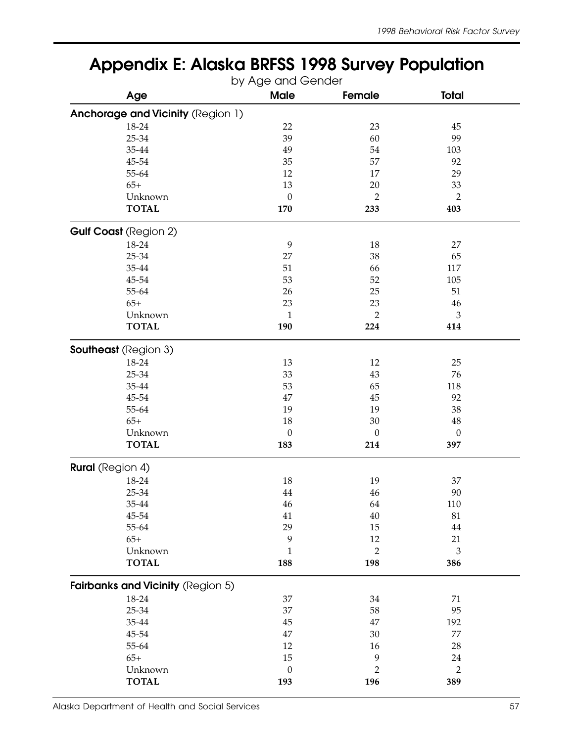| <b>Total</b><br>45<br>99<br>103<br>92<br>29<br>33<br>$\overline{2}$<br>403<br>27<br>65<br>117<br>105 |
|------------------------------------------------------------------------------------------------------|
|                                                                                                      |
|                                                                                                      |
|                                                                                                      |
|                                                                                                      |
|                                                                                                      |
|                                                                                                      |
|                                                                                                      |
|                                                                                                      |
|                                                                                                      |
|                                                                                                      |
|                                                                                                      |
|                                                                                                      |
|                                                                                                      |
|                                                                                                      |
|                                                                                                      |
|                                                                                                      |
| 51                                                                                                   |
| 46                                                                                                   |
| $\mathfrak{Z}$                                                                                       |
|                                                                                                      |
| 414                                                                                                  |
|                                                                                                      |
| 25                                                                                                   |
| 76                                                                                                   |
| 118                                                                                                  |
| 92                                                                                                   |
| 38                                                                                                   |
| 48                                                                                                   |
| $\boldsymbol{0}$                                                                                     |
| 397                                                                                                  |
|                                                                                                      |
|                                                                                                      |
| 37                                                                                                   |
| 90                                                                                                   |
| 110                                                                                                  |
| 81                                                                                                   |
| $\bf 44$                                                                                             |
| 21                                                                                                   |
| $\mathfrak{Z}$                                                                                       |
| 386                                                                                                  |
|                                                                                                      |
|                                                                                                      |
| 71                                                                                                   |
| 95                                                                                                   |
| 192                                                                                                  |
| 77                                                                                                   |
| 28                                                                                                   |
| 24                                                                                                   |
| $\overline{2}$                                                                                       |
| 389                                                                                                  |
|                                                                                                      |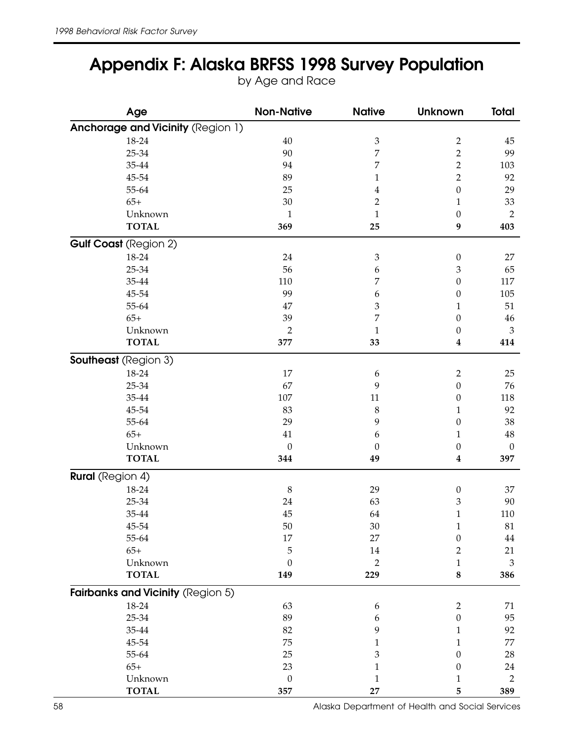# **Appendix F: Alaska BRFSS 1998 Survey Population**

by Age and Race

| Age                                               | <b>Non-Native</b> | <b>Native</b>               | <b>Unknown</b>   | <b>Total</b>     |
|---------------------------------------------------|-------------------|-----------------------------|------------------|------------------|
| <b>Anchorage and Vicinity (Region 1)</b>          |                   |                             |                  |                  |
| 18-24                                             | $40\,$            | $\ensuremath{\mathfrak{Z}}$ | $\overline{2}$   | 45               |
| 25-34                                             | 90                | 7                           | $\overline{c}$   | 99               |
| $35 - 44$                                         | 94                | 7                           | $\overline{c}$   | 103              |
| 45-54                                             | 89                | 1                           | $\mathbf 2$      | 92               |
| 55-64                                             | 25                | $\overline{4}$              | $\boldsymbol{0}$ | 29               |
| $65+$                                             | 30                | 2                           | 1                | 33               |
| Unknown                                           | $\mathbf{1}$      | $\mathbf{1}$                | $\boldsymbol{0}$ | $\overline{2}$   |
| <b>TOTAL</b>                                      | 369               | 25                          | $\boldsymbol{9}$ | 403              |
| <b>Gulf Coast (Region 2)</b>                      |                   |                             |                  |                  |
| 18-24                                             | 24                | $\mathfrak 3$               | $\boldsymbol{0}$ | 27               |
| 25-34                                             | 56                | $\boldsymbol{6}$            | $\mathfrak{Z}$   | 65               |
| 35-44                                             | 110               | 7                           | $\boldsymbol{0}$ | 117              |
| 45-54                                             | 99                | 6                           | $\boldsymbol{0}$ | 105              |
| 55-64                                             | 47                | 3                           |                  |                  |
|                                                   |                   |                             | $\mathbf{1}$     | 51               |
| $65+$                                             | 39                | 7                           | $\boldsymbol{0}$ | 46               |
| Unknown                                           | $\overline{2}$    | 1                           | $\boldsymbol{0}$ | $\mathfrak{Z}$   |
| <b>TOTAL</b>                                      | 377               | 33                          | $\boldsymbol{4}$ | 414              |
| <b>Southeast</b> (Region 3)                       |                   |                             |                  |                  |
| 18-24                                             | 17                | 6                           | $\sqrt{2}$       | 25               |
| 25-34                                             | 67                | 9                           | $\boldsymbol{0}$ | 76               |
| 35-44                                             | 107               | 11                          | $\boldsymbol{0}$ | 118              |
| 45-54                                             | 83                | $8\,$                       | 1                | 92               |
| 55-64                                             | 29                | 9                           | $\boldsymbol{0}$ | 38               |
| $65+$                                             | 41                | 6                           | $\mathbf{1}$     | 48               |
| Unknown                                           | $\boldsymbol{0}$  | $\boldsymbol{0}$            | $\boldsymbol{0}$ | $\boldsymbol{0}$ |
| <b>TOTAL</b>                                      | 344               | 49                          | 4                | 397              |
| <b>Rural</b> (Region 4)                           |                   |                             |                  |                  |
| 18-24                                             | $\,8\,$           | 29                          | $\boldsymbol{0}$ | 37               |
| 25-34                                             | 24                | 63                          | 3                | 90               |
| 35-44                                             | 45                | 64                          | $\mathbf{1}$     | 110              |
| $45 - 54$                                         | 50                | 30                          | $\mathbf 1$      | 81               |
| 55-64                                             | 17                | 27                          | $\boldsymbol{0}$ | 44               |
| $65+$                                             | $\mathbf 5$       | 14                          | 2                | 21               |
| Unknown                                           | $\boldsymbol{0}$  | $\overline{2}$              | $\mathbf{1}$     | 3                |
| <b>TOTAL</b>                                      | 149               | 229                         | $\bf 8$          | 386              |
|                                                   |                   |                             |                  |                  |
| <b>Fairbanks and Vicinity (Region 5)</b><br>18-24 | 63                |                             | $\overline{2}$   | 71               |
|                                                   |                   | 6                           |                  |                  |
| 25-34                                             | 89                | 6                           | $\theta$         | 95               |
| 35-44                                             | 82                | 9                           | 1                | 92               |
| 45-54                                             | 75                | 1                           | 1                | 77               |
| 55-64                                             | 25                | 3                           | $\boldsymbol{0}$ | 28               |
| $65+$                                             | 23                | 1                           | $\boldsymbol{0}$ | 24               |
| Unknown                                           | $\boldsymbol{0}$  | 1                           | 1                | 2                |
| <b>TOTAL</b>                                      | 357               | 27                          | 5                | 389              |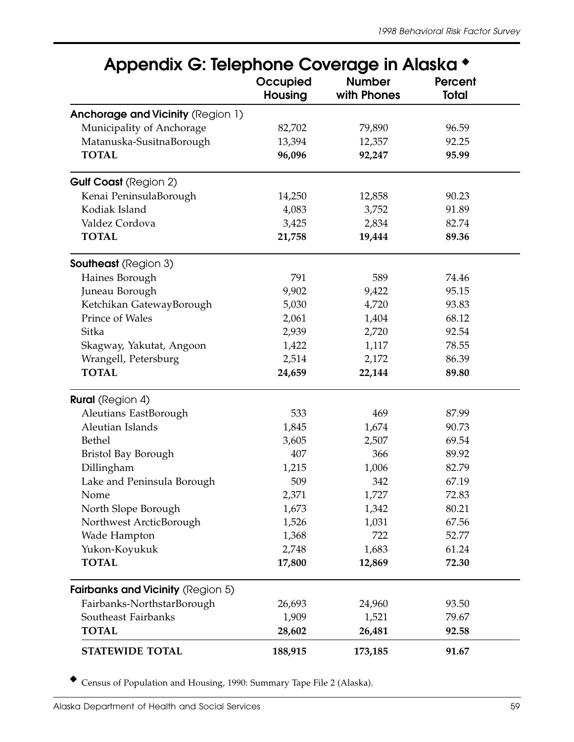|                                          | Occupied | <b>Number</b><br>with Phones | Appendix G: Telephone Coverage in Alaska *<br><b>Percent</b><br><b>Total</b> |
|------------------------------------------|----------|------------------------------|------------------------------------------------------------------------------|
|                                          | Housing  |                              |                                                                              |
| <b>Anchorage and Vicinity (Region 1)</b> |          |                              |                                                                              |
| Municipality of Anchorage                | 82,702   | 79,890                       | 96.59                                                                        |
| Matanuska-SusitnaBorough                 | 13,394   | 12,357                       | 92.25                                                                        |
| <b>TOTAL</b>                             | 96,096   | 92,247                       | 95.99                                                                        |
| <b>Gulf Coast (Region 2)</b>             |          |                              |                                                                              |
| Kenai PeninsulaBorough                   | 14,250   | 12,858                       | 90.23                                                                        |
| Kodiak Island                            | 4,083    | 3,752                        | 91.89                                                                        |
| Valdez Cordova                           | 3,425    | 2,834                        | 82.74                                                                        |
| <b>TOTAL</b>                             | 21,758   | 19,444                       | 89.36                                                                        |
| <b>Southeast</b> (Region 3)              |          |                              |                                                                              |
| Haines Borough                           | 791      | 589                          | 74.46                                                                        |
| Juneau Borough                           | 9,902    | 9,422                        | 95.15                                                                        |
| Ketchikan GatewayBorough                 | 5,030    | 4,720                        | 93.83                                                                        |
| Prince of Wales                          | 2,061    | 1,404                        | 68.12                                                                        |
| Sitka                                    | 2,939    | 2,720                        | 92.54                                                                        |
| Skagway, Yakutat, Angoon                 | 1,422    | 1,117                        | 78.55                                                                        |
| Wrangell, Petersburg                     | 2,514    | 2,172                        | 86.39                                                                        |
| <b>TOTAL</b>                             | 24,659   | 22,144                       | 89.80                                                                        |
| <b>Rural</b> (Region 4)                  |          |                              |                                                                              |
| Aleutians EastBorough                    | 533      | 469                          | 87.99                                                                        |
| Aleutian Islands                         | 1,845    | 1,674                        | 90.73                                                                        |
| Bethel                                   | 3,605    | 2,507                        | 69.54                                                                        |
| Bristol Bay Borough                      | 407      | 366                          | 89.92                                                                        |
| Dillingham                               | 1,215    | 1,006                        | 82.79                                                                        |
| Lake and Peninsula Borough               | 509      | 342                          | 67.19                                                                        |
| Nome                                     | 2,371    | 1,727                        | 72.83                                                                        |
| North Slope Borough                      | 1,673    | 1,342                        | 80.21                                                                        |
| Northwest ArcticBorough                  | 1,526    | 1,031                        | 67.56                                                                        |
| Wade Hampton                             | 1,368    | 722                          | 52.77                                                                        |
| Yukon-Koyukuk                            | 2,748    | 1,683                        | 61.24                                                                        |
| <b>TOTAL</b>                             | 17,800   | 12,869                       | 72.30                                                                        |
| <b>Fairbanks and Vicinity (Region 5)</b> |          |                              |                                                                              |
| Fairbanks-NorthstarBorough               | 26,693   | 24,960                       | 93.50                                                                        |
| Southeast Fairbanks                      | 1,909    | 1,521                        | 79.67                                                                        |
| <b>TOTAL</b>                             | 28,602   | 26,481                       | 92.58                                                                        |
| <b>STATEWIDE TOTAL</b>                   | 188,915  | 173,185                      | 91.67                                                                        |

◆ **Census of Population and Housing, 1990: Summary Tape File 2 (Alaska).**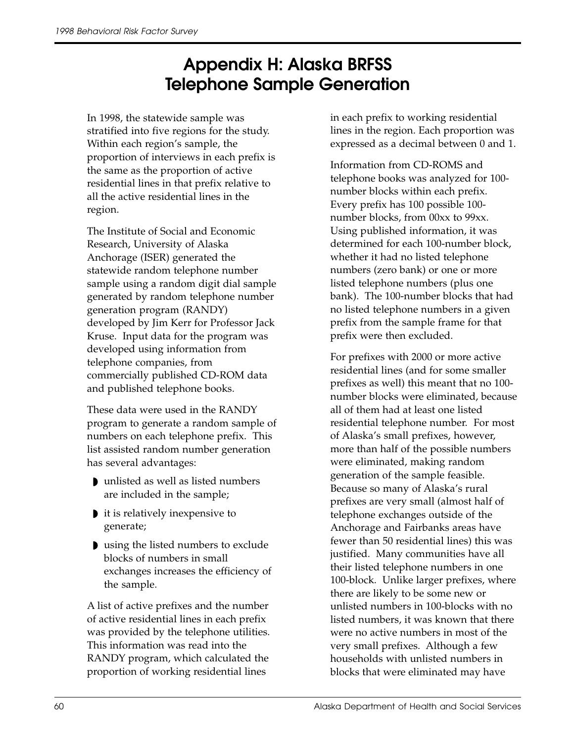## **Appendix H: Alaska BRFSS Telephone Sample Generation**

In 1998, the statewide sample was stratified into five regions for the study. Within each region's sample, the proportion of interviews in each prefix is the same as the proportion of active residential lines in that prefix relative to all the active residential lines in the region.

The Institute of Social and Economic Research, University of Alaska Anchorage (ISER) generated the statewide random telephone number sample using a random digit dial sample generated by random telephone number generation program (RANDY) developed by Jim Kerr for Professor Jack Kruse. Input data for the program was developed using information from telephone companies, from commercially published CD-ROM data and published telephone books.

These data were used in the RANDY program to generate a random sample of numbers on each telephone prefix. This list assisted random number generation has several advantages:

- ◗ unlisted as well as listed numbers are included in the sample;
- ◗ it is relatively inexpensive to generate;
- ◗ using the listed numbers to exclude blocks of numbers in small exchanges increases the efficiency of the sample.

A list of active prefixes and the number of active residential lines in each prefix was provided by the telephone utilities. This information was read into the RANDY program, which calculated the proportion of working residential lines

in each prefix to working residential lines in the region. Each proportion was expressed as a decimal between 0 and 1.

Information from CD-ROMS and telephone books was analyzed for 100 number blocks within each prefix. Every prefix has 100 possible 100 number blocks, from 00xx to 99xx. Using published information, it was determined for each 100-number block, whether it had no listed telephone numbers (zero bank) or one or more listed telephone numbers (plus one bank). The 100-number blocks that had no listed telephone numbers in a given prefix from the sample frame for that prefix were then excluded.

For prefixes with 2000 or more active residential lines (and for some smaller prefixes as well) this meant that no 100 number blocks were eliminated, because all of them had at least one listed residential telephone number. For most of Alaska's small prefixes, however, more than half of the possible numbers were eliminated, making random generation of the sample feasible. Because so many of Alaska's rural prefixes are very small (almost half of telephone exchanges outside of the Anchorage and Fairbanks areas have fewer than 50 residential lines) this was justified. Many communities have all their listed telephone numbers in one 100-block. Unlike larger prefixes, where there are likely to be some new or unlisted numbers in 100-blocks with no listed numbers, it was known that there were no active numbers in most of the very small prefixes. Although a few households with unlisted numbers in blocks that were eliminated may have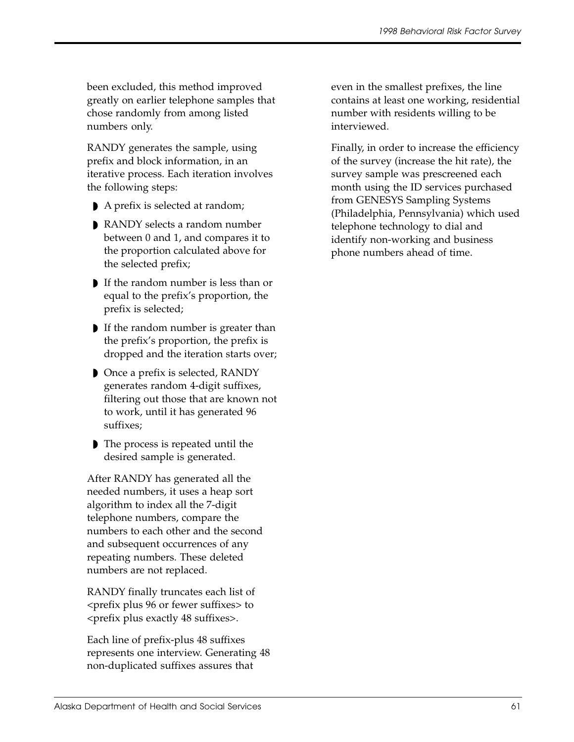been excluded, this method improved greatly on earlier telephone samples that chose randomly from among listed numbers only.

RANDY generates the sample, using prefix and block information, in an iterative process. Each iteration involves the following steps:

- ◗ A prefix is selected at random;
- ◗ RANDY selects a random number between 0 and 1, and compares it to the proportion calculated above for the selected prefix;
- ◗ If the random number is less than or equal to the prefix's proportion, the prefix is selected;
- ◗ If the random number is greater than the prefix's proportion, the prefix is dropped and the iteration starts over;
- ◗ Once a prefix is selected, RANDY generates random 4-digit suffixes, filtering out those that are known not to work, until it has generated 96 suffixes;
- ◗ The process is repeated until the desired sample is generated.

After RANDY has generated all the needed numbers, it uses a heap sort algorithm to index all the 7-digit telephone numbers, compare the numbers to each other and the second and subsequent occurrences of any repeating numbers. These deleted numbers are not replaced.

RANDY finally truncates each list of <prefix plus 96 or fewer suffixes> to <prefix plus exactly 48 suffixes>.

Each line of prefix-plus 48 suffixes represents one interview. Generating 48 non-duplicated suffixes assures that

even in the smallest prefixes, the line contains at least one working, residential number with residents willing to be interviewed.

Finally, in order to increase the efficiency of the survey (increase the hit rate), the survey sample was prescreened each month using the ID services purchased from GENESYS Sampling Systems (Philadelphia, Pennsylvania) which used telephone technology to dial and identify non-working and business phone numbers ahead of time.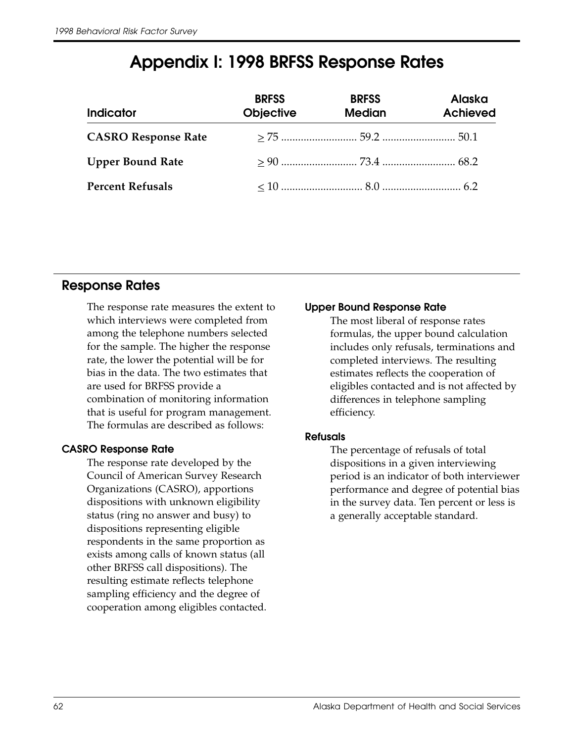## **Appendix I: 1998 BRFSS Response Rates**

| <b>Indicator</b>           | <b>BRFSS</b><br><b>Objective</b> | <b>BRFSS</b><br><b>Median</b> | Alaska<br><b>Achieved</b> |
|----------------------------|----------------------------------|-------------------------------|---------------------------|
| <b>CASRO Response Rate</b> |                                  |                               |                           |
| <b>Upper Bound Rate</b>    |                                  |                               |                           |
| <b>Percent Refusals</b>    |                                  |                               |                           |

#### **Response Rates**

The response rate measures the extent to which interviews were completed from among the telephone numbers selected for the sample. The higher the response rate, the lower the potential will be for bias in the data. The two estimates that are used for BRFSS provide a combination of monitoring information that is useful for program management. The formulas are described as follows:

#### **CASRO Response Rate**

The response rate developed by the Council of American Survey Research Organizations (CASRO), apportions dispositions with unknown eligibility status (ring no answer and busy) to dispositions representing eligible respondents in the same proportion as exists among calls of known status (all other BRFSS call dispositions). The resulting estimate reflects telephone sampling efficiency and the degree of cooperation among eligibles contacted.

#### **Upper Bound Response Rate**

The most liberal of response rates formulas, the upper bound calculation includes only refusals, terminations and completed interviews. The resulting estimates reflects the cooperation of eligibles contacted and is not affected by differences in telephone sampling efficiency.

#### **Refusals**

The percentage of refusals of total dispositions in a given interviewing period is an indicator of both interviewer performance and degree of potential bias in the survey data. Ten percent or less is a generally acceptable standard.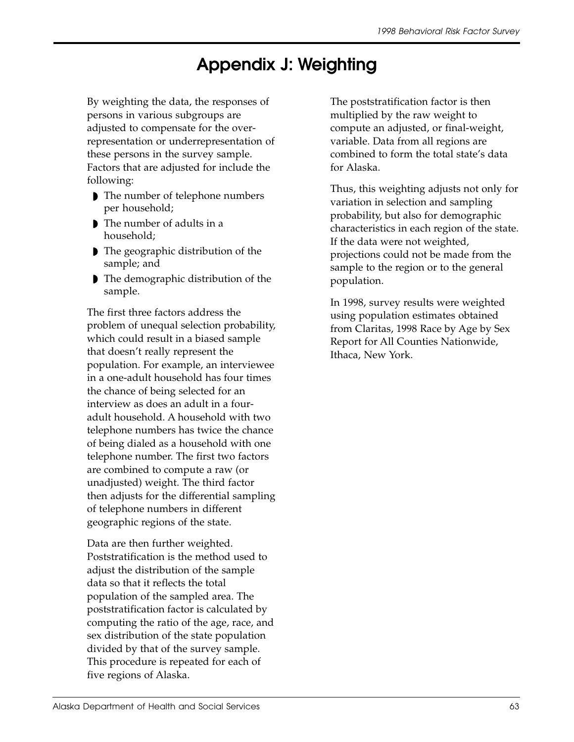## **Appendix J: Weighting**

By weighting the data, the responses of persons in various subgroups are adjusted to compensate for the overrepresentation or underrepresentation of these persons in the survey sample. Factors that are adjusted for include the following:

- ◗ The number of telephone numbers per household;
- ◗ The number of adults in a household;
- ◗ The geographic distribution of the sample; and
- ◗ The demographic distribution of the sample.

The first three factors address the problem of unequal selection probability, which could result in a biased sample that doesn't really represent the population. For example, an interviewee in a one-adult household has four times the chance of being selected for an interview as does an adult in a fouradult household. A household with two telephone numbers has twice the chance of being dialed as a household with one telephone number. The first two factors are combined to compute a raw (or unadjusted) weight. The third factor then adjusts for the differential sampling of telephone numbers in different geographic regions of the state.

Data are then further weighted. Poststratification is the method used to adjust the distribution of the sample data so that it reflects the total population of the sampled area. The poststratification factor is calculated by computing the ratio of the age, race, and sex distribution of the state population divided by that of the survey sample. This procedure is repeated for each of five regions of Alaska.

The poststratification factor is then multiplied by the raw weight to compute an adjusted, or final-weight, variable. Data from all regions are combined to form the total state's data for Alaska.

Thus, this weighting adjusts not only for variation in selection and sampling probability, but also for demographic characteristics in each region of the state. If the data were not weighted, projections could not be made from the sample to the region or to the general population.

In 1998, survey results were weighted using population estimates obtained from Claritas, 1998 Race by Age by Sex Report for All Counties Nationwide, Ithaca, New York.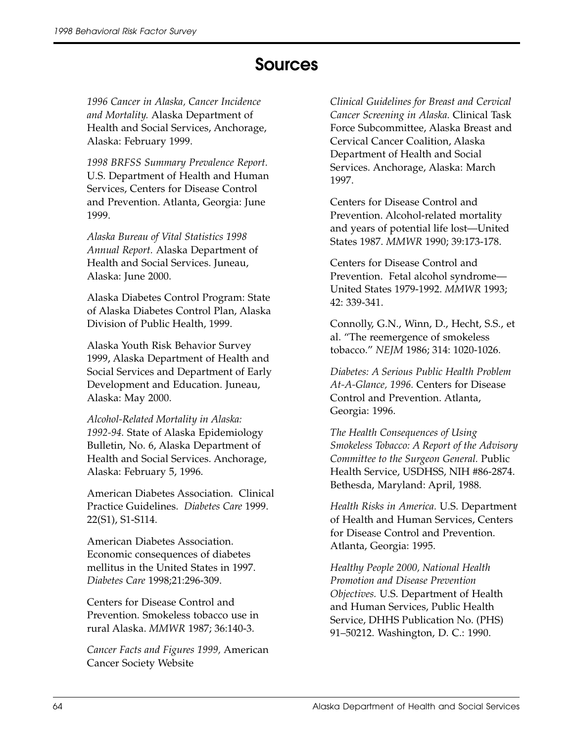## **Sources**

*1996 Cancer in Alaska, Cancer Incidence and Mortality.* Alaska Department of Health and Social Services, Anchorage, Alaska: February 1999.

*1998 BRFSS Summary Prevalence Report.* U.S. Department of Health and Human Services, Centers for Disease Control and Prevention. Atlanta, Georgia: June 1999.

*Alaska Bureau of Vital Statistics 1998 Annual Report.* Alaska Department of Health and Social Services. Juneau, Alaska: June 2000.

Alaska Diabetes Control Program: State of Alaska Diabetes Control Plan, Alaska Division of Public Health, 1999.

Alaska Youth Risk Behavior Survey 1999, Alaska Department of Health and Social Services and Department of Early Development and Education. Juneau, Alaska: May 2000.

*Alcohol-Related Mortality in Alaska: 1992-94.* State of Alaska Epidemiology Bulletin, No. 6, Alaska Department of Health and Social Services. Anchorage, Alaska: February 5, 1996.

American Diabetes Association. Clinical Practice Guidelines. *Diabetes Care* 1999. 22(S1), S1-S114.

American Diabetes Association. Economic consequences of diabetes mellitus in the United States in 1997. *Diabetes Care* 1998;21:296-309.

Centers for Disease Control and Prevention. Smokeless tobacco use in rural Alaska. *MMWR* 1987; 36:140-3.

*Cancer Facts and Figures 1999,* American Cancer Society Website

*Clinical Guidelines for Breast and Cervical Cancer Screening in Alaska.* Clinical Task Force Subcommittee, Alaska Breast and Cervical Cancer Coalition, Alaska Department of Health and Social Services. Anchorage, Alaska: March 1997.

Centers for Disease Control and Prevention. Alcohol-related mortality and years of potential life lost—United States 1987. *MMWR* 1990; 39:173-178.

Centers for Disease Control and Prevention. Fetal alcohol syndrome— United States 1979-1992. *MMWR* 1993; 42: 339-341.

Connolly, G.N., Winn, D., Hecht, S.S., et al. "The reemergence of smokeless tobacco." *NEJM* 1986; 314: 1020-1026.

*Diabetes: A Serious Public Health Problem At-A-Glance, 1996.* Centers for Disease Control and Prevention. Atlanta, Georgia: 1996.

*The Health Consequences of Using Smokeless Tobacco: A Report of the Advisory Committee to the Surgeon General.* Public Health Service, USDHSS, NIH #86-2874. Bethesda, Maryland: April, 1988.

*Health Risks in America.* U.S. Department of Health and Human Services, Centers for Disease Control and Prevention. Atlanta, Georgia: 1995.

*Healthy People 2000, National Health Promotion and Disease Prevention Objectives.* U.S. Department of Health and Human Services, Public Health Service, DHHS Publication No. (PHS) 91–50212. Washington, D. C.: 1990.